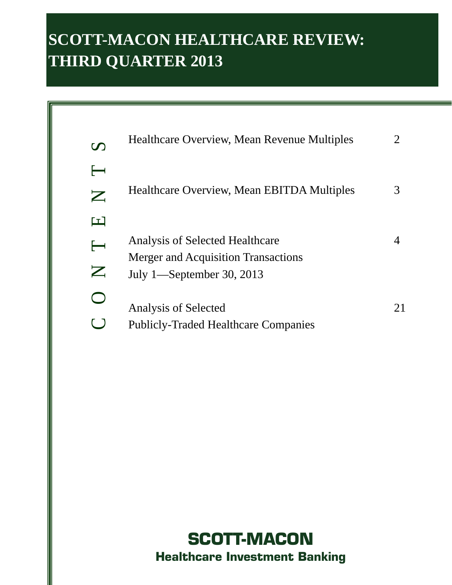# **SCOTT-MACON HEALTHCARE REVIEW: THIRD QUARTER 2013**

| $\boldsymbol{U}$                                              | Healthcare Overview, Mean Revenue Multiples                                   |    |
|---------------------------------------------------------------|-------------------------------------------------------------------------------|----|
| $\overline{\phantom{a}}$<br>$\mathbf{Z}% _{T}=\mathbf{Z}_{T}$ | Healthcare Overview, Mean EBITDA Multiples                                    |    |
| 62<br>$\longleftarrow$                                        | Analysis of Selected Healthcare<br><b>Merger and Acquisition Transactions</b> |    |
| $\boldsymbol{Z}$                                              | July 1—September 30, 2013<br>Analysis of Selected                             | 21 |
|                                                               | <b>Publicly-Traded Healthcare Companies</b>                                   |    |

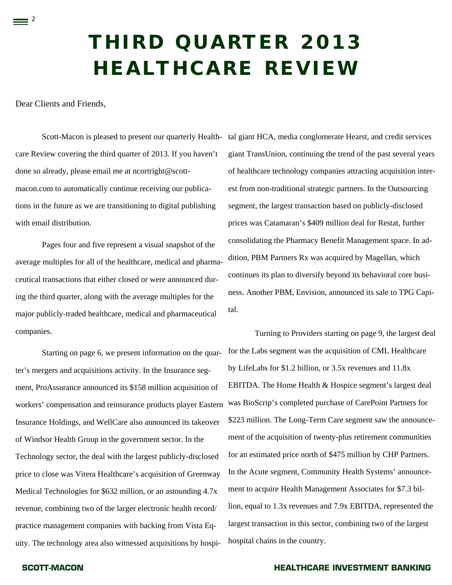# **THIRD QUARTER 2013 HEALTHCARE REVIEW**

Dear Clients and Friends,

 $=$  2

Scott-Macon is pleased to present our quarterly Health- tal giant HCA, media conglomerate Hearst, and credit services care Review covering the third quarter of 2013. If you haven't done so already, please email me at ncortright@scottmacon.com to automatically continue receiving our publications in the future as we are transitioning to digital publishing with email distribution.

Pages four and five represent a visual snapshot of the average multiples for all of the healthcare, medical and pharmaceutical transactions that either closed or were announced during the third quarter, along with the average multiples for the major publicly-traded healthcare, medical and pharmaceutical companies.

 Starting on page 6, we present information on the quarter's mergers and acquisitions activity. In the Insurance segment, ProAssurance announced its \$158 million acquisition of workers' compensation and reinsurance products player Eastern Insurance Holdings, and WellCare also announced its takeover of Windsor Health Group in the government sector. In the Technology sector, the deal with the largest publicly-disclosed price to close was Vitera Healthcare's acquisition of Greenway Medical Technologies for \$632 million, or an astounding 4.7x revenue, combining two of the larger electronic health record/ practice management companies with backing from Vista Equity. The technology area also witnessed acquisitions by hospi-

giant TransUnion, continuing the trend of the past several years of healthcare technology companies attracting acquisition interest from non-traditional strategic partners. In the Outsourcing segment, the largest transaction based on publicly-disclosed prices was Catamaran's \$409 million deal for Restat, further consolidating the Pharmacy Benefit Management space. In addition, PBM Partners Rx was acquired by Magellan, which continues its plan to diversify beyond its behavioral core business. Another PBM, Envision, announced its sale to TPG Capital.

Turning to Providers starting on page 9, the largest deal for the Labs segment was the acquisition of CML Healthcare by LifeLabs for \$1.2 billion, or 3.5x revenues and 11.8x EBITDA. The Home Health & Hospice segment's largest deal was BioScrip's completed purchase of CarePoint Partners for \$223 million. The Long-Term Care segment saw the announcement of the acquisition of twenty-plus retirement communities for an estimated price north of \$475 million by CHP Partners. In the Acute segment, Community Health Systems' announcement to acquire Health Management Associates for \$7.3 billion, equal to 1.3x revenues and 7.9x EBITDA, represented the largest transaction in this sector, combining two of the largest hospital chains in the country.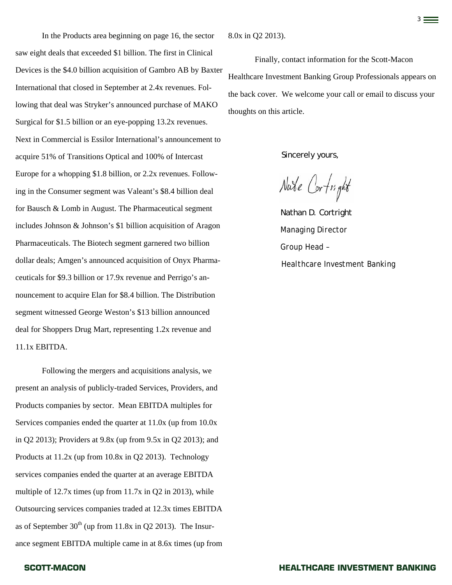In the Products area beginning on page 16, the sector saw eight deals that exceeded \$1 billion. The first in Clinical Devices is the \$4.0 billion acquisition of Gambro AB by Baxter International that closed in September at 2.4x revenues. Following that deal was Stryker's announced purchase of MAKO Surgical for \$1.5 billion or an eye-popping 13.2x revenues. Next in Commercial is Essilor International's announcement to acquire 51% of Transitions Optical and 100% of Intercast Europe for a whopping \$1.8 billion, or 2.2x revenues. Following in the Consumer segment was Valeant's \$8.4 billion deal for Bausch & Lomb in August. The Pharmaceutical segment includes Johnson & Johnson's \$1 billion acquisition of Aragon Pharmaceuticals. The Biotech segment garnered two billion dollar deals; Amgen's announced acquisition of Onyx Pharmaceuticals for \$9.3 billion or 17.9x revenue and Perrigo's announcement to acquire Elan for \$8.4 billion. The Distribution segment witnessed George Weston's \$13 billion announced deal for Shoppers Drug Mart, representing 1.2x revenue and 11.1x EBITDA.

 Following the mergers and acquisitions analysis, we present an analysis of publicly-traded Services, Providers, and Products companies by sector. Mean EBITDA multiples for Services companies ended the quarter at 11.0x (up from 10.0x in Q2 2013); Providers at 9.8x (up from 9.5x in Q2 2013); and Products at 11.2x (up from 10.8x in Q2 2013). Technology services companies ended the quarter at an average EBITDA multiple of 12.7x times (up from 11.7x in Q2 in 2013), while Outsourcing services companies traded at 12.3x times EBITDA as of September  $30<sup>th</sup>$  (up from 11.8x in Q2 2013). The Insurance segment EBITDA multiple came in at 8.6x times (up from

8.0x in Q2 2013).

Finally, contact information for the Scott-Macon Healthcare Investment Banking Group Professionals appears on the back cover. We welcome your call or email to discuss your thoughts on this article.

Sincerely yours,

Nate Cortright

Nathan D. Cortright *Managing Director Group Head – Healthcare Investment Banking*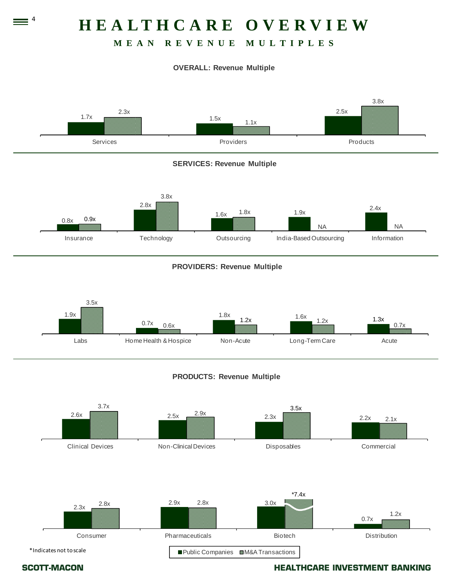# **HEALTHCARE OVERVIEW**

# **MEAN REVENUE MULTIPLES**

### **OVERALL: Revenue Multiple**





 $\equiv$   $\frac{4}{1}$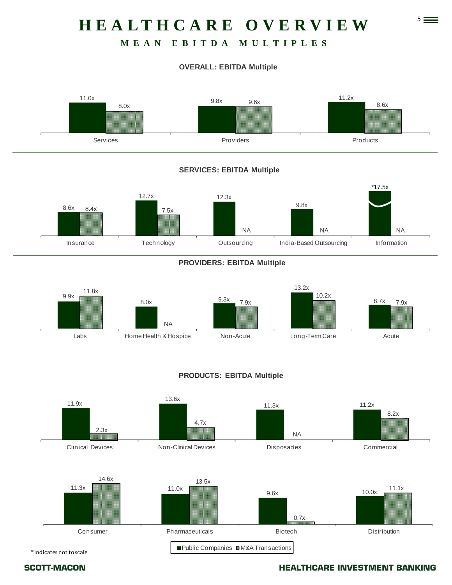# 5 **HEALTHCARE OVERVIEW**

# **MEAN EBITDA MULTIPLES**

### **OVERALL: EBITDA Multiple**



### **SERVICES: EBITDA Multiple**



### **PROVIDERS: EBITDA Multiple**



### **PRODUCTS: EBITDA Multiple**



\*Indicates not toscale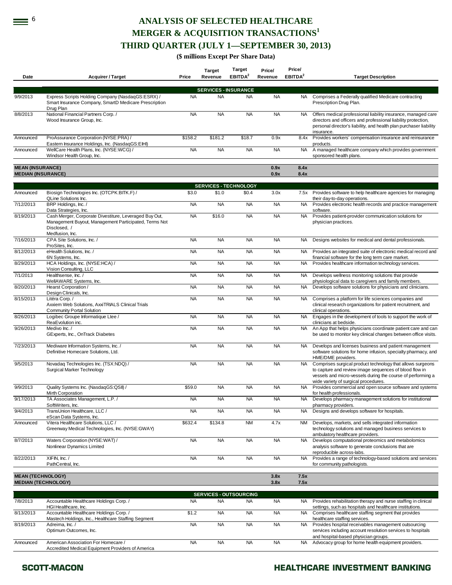# **ANALYSIS OF SELECTED HEALTHCARE MERGER & ACQUISITION TRANSACTIONS<sup>1</sup> THIRD QUARTER (JULY 1—SEPTEMBER 30, 2013)**

**(\$ millions Except Per Share Data)** 

| Date                                                 | <b>Acquirer / Target</b>                                                                                                                           | Price     | <b>Target</b><br>Revenue      | Target<br>EBITDA <sup>2</sup> | Price/<br>Revenue | Price/<br>EBITDA <sup>2</sup> | <b>Target Description</b>                                                                                                                                                                                                   |
|------------------------------------------------------|----------------------------------------------------------------------------------------------------------------------------------------------------|-----------|-------------------------------|-------------------------------|-------------------|-------------------------------|-----------------------------------------------------------------------------------------------------------------------------------------------------------------------------------------------------------------------------|
|                                                      |                                                                                                                                                    |           |                               |                               |                   |                               |                                                                                                                                                                                                                             |
|                                                      |                                                                                                                                                    |           | <b>SERVICES - INSURANCE</b>   |                               |                   |                               |                                                                                                                                                                                                                             |
| 9/9/2013                                             | Express Scripts Holding Company (NasdaqGS:ESRX) /<br>Smart Insurance Company, SmartD Medicare Prescription<br>Drug Plan                            | <b>NA</b> | <b>NA</b>                     | <b>NA</b>                     | <b>NA</b>         | NA                            | Comprises a Federally qualified Medicare contracting<br>Prescription Drug Plan.                                                                                                                                             |
| 8/8/2013                                             | National Financial Partners Corp./<br>Wood Insurance Group, Inc.                                                                                   | <b>NA</b> | <b>NA</b>                     | <b>NA</b>                     | <b>NA</b>         | NA                            | Offers medical professional liability insurance, managed care<br>directors and officers and professional liability protection,<br>personal director's liability, and health plan purchaser liability<br>insurance.          |
| Announced                                            | ProAssurance Corporation (NYSE:PRA) /<br>Eastern Insurance Holdings, Inc. (NasdaqGS:EIHI)                                                          | \$158.2   | \$181.2                       | \$18.7                        | 0.9x              | 8.4x                          | Provides workers' compensation insurance and reinsurance<br>products.                                                                                                                                                       |
| Announced                                            | WellCare Health Plans, Inc. (NYSE:WCG) /<br>Windsor Health Group, Inc.                                                                             | <b>NA</b> | <b>NA</b>                     | <b>NA</b>                     | <b>NA</b>         | NA                            | A managed healthcare company which provides government<br>sponsored health plans.                                                                                                                                           |
| <b>MEAN (INSURANCE)</b><br><b>MEDIAN (INSURANCE)</b> |                                                                                                                                                    |           |                               |                               | 0.9x<br>0.9x      | 8.4x<br>8.4x                  |                                                                                                                                                                                                                             |
|                                                      |                                                                                                                                                    |           | <b>SERVICES - TECHNOLOGY</b>  |                               |                   |                               |                                                                                                                                                                                                                             |
| Announced                                            | Biosign Technologies Inc. (OTCPK:BITK.F) /<br>QLine Solutions Inc.                                                                                 | \$3.0     | \$1.0                         | \$0.4                         | 3.0x              |                               | 7.5x Provides software to help healthcare agencies for managing<br>their day-to-day operations.                                                                                                                             |
| 7/12/2013                                            | BRP Holdings, Inc. /<br>Data Strategies, Inc.                                                                                                      | <b>NA</b> | <b>NA</b>                     | <b>NA</b>                     | <b>NA</b>         | <b>NA</b>                     | Provides electronic health records and practice management<br>software.                                                                                                                                                     |
| 8/19/2013                                            | Cash Merger, Corporate Divestiture, Leveraged Buy Out,<br>Management Buyout, Management Participated, Terms Not<br>Disclosed, /<br>Medfusion, Inc. | <b>NA</b> | \$16.0                        | <b>NA</b>                     | <b>NA</b>         | <b>NA</b>                     | Provides patient-provider communication solutions for<br>physician practices.                                                                                                                                               |
| 7/16/2013                                            | CPA Site Solutions, Inc. /<br>ProSites, Inc.                                                                                                       | <b>NA</b> | <b>NA</b>                     | <b>NA</b>                     | <b>NA</b>         | NA                            | Designs websites for medical and dental professionals.                                                                                                                                                                      |
| 8/12/2013                                            | eHealth Solutions. Inc. /<br>6N Systems, Inc.                                                                                                      | <b>NA</b> | <b>NA</b>                     | <b>NA</b>                     | <b>NA</b>         | NA                            | Provides an integrated suite of electronic medical record and<br>financial software for the long term care market.                                                                                                          |
| 8/29/2013                                            | HCA Holdings, Inc. (NYSE:HCA) /<br>Vision Consulting, LLC                                                                                          | <b>NA</b> | <b>NA</b>                     | <b>NA</b>                     | <b>NA</b>         | <b>NA</b>                     | Provides healthcare information technology services.                                                                                                                                                                        |
| 7/1/2013                                             | Healthsense, Inc. /<br>WellAWARE Systems, Inc.                                                                                                     | <b>NA</b> | <b>NA</b>                     | <b>NA</b>                     | <b>NA</b>         | NA                            | Develops wellness monitoring solutions that provide<br>physiological data to caregivers and family members.                                                                                                                 |
| 8/20/2013                                            | Hearst Corporation /<br>Design Clinicals, Inc.                                                                                                     | <b>NA</b> | <b>NA</b>                     | <b>NA</b>                     | <b>NA</b>         | NA                            | Develops software solutions for physicians and clinicians.                                                                                                                                                                  |
| 8/15/2013                                            | Litéra Corp. /<br>Axxiem Web Solutions, AxxiTRIALS Clinical Trials<br><b>Community Portal Solution</b>                                             | <b>NA</b> | <b>NA</b>                     | <b>NA</b>                     | <b>NA</b>         | NA                            | Comprises a platform for life sciences companies and<br>clinical research organizations for patient recruitment, and<br>clinical operations.                                                                                |
| 8/26/2013                                            | Logibec Groupe Informatique Ltee /<br>ReaEvolution inc.                                                                                            | <b>NA</b> | <b>NA</b>                     | <b>NA</b>                     | <b>NA</b>         | <b>NA</b>                     | Engages in the development of tools to support the work of<br>clinicians at bedside.                                                                                                                                        |
| 9/26/2013                                            | Medivo Inc./<br>GExperts, Inc., OnTrack Diabetes                                                                                                   | <b>NA</b> | <b>NA</b>                     | <b>NA</b>                     | <b>NA</b>         | NA                            | An App that helps physicians coordinate patient care and can<br>be used to monitor key clinical changes between office visits.                                                                                              |
| 7/23/2013                                            | Mediware Information Systems, Inc. /<br>Definitive Homecare Solutions, Ltd.                                                                        | <b>NA</b> | <b>NA</b>                     | <b>NA</b>                     | <b>NA</b>         | NA                            | Develops and licenses business and patient management<br>software solutions for home infusion, specialty pharmacy, and<br>HME/DME providers.                                                                                |
| 9/5/2013                                             | Novadaq Technologies Inc. (TSX:NDQ) /<br>Surgical Marker Technology                                                                                | <b>NA</b> | <b>NA</b>                     | <b>NA</b>                     | <b>NA</b>         | NA                            | Comprises surgical product technology that allows surgeons<br>to capture and review image sequences of blood flow in<br>vessels and micro-vessels during the course of performing a<br>wide variety of surgical procedures. |
| 9/9/2013                                             | Quality Systems Inc. (NasdaqGS:QSII) /<br>Mirth Corporation                                                                                        | \$59.0    | <b>NA</b>                     | <b>NA</b>                     | <b>NA</b>         | NA                            | Provides commercial and open source software and systems<br>for health professionals.                                                                                                                                       |
| 9/17/2013                                            | TA Associates Management, L.P. /<br>SoftWriters, Inc.                                                                                              | <b>NA</b> | <b>NA</b>                     | <b>NA</b>                     | <b>NA</b>         |                               | Develops pharmacy management solutions for institutional<br>pharmacy providers.                                                                                                                                             |
| 9/4/2013                                             | TransUnion Healthcare, LLC /<br>eScan Data Systems, Inc.                                                                                           | <b>NA</b> | <b>NA</b>                     | <b>NA</b>                     | <b>NA</b>         | NA                            | Designs and develops software for hospitals.                                                                                                                                                                                |
| Announced                                            | Vitera Healthcare Solutions, LLC /<br>Greenway Medical Technologies, Inc. (NYSE:GWAY)                                                              | \$632.4   | \$134.8                       | <b>NM</b>                     | 4.7x              | NM                            | Develops, markets, and sells integrated information<br>technology solutions and managed business services to<br>ambulatory healthcare providers.                                                                            |
| 8/7/2013                                             | Waters Corporation (NYSE:WAT) /<br>Nonlinear Dynamics Limited                                                                                      | <b>NA</b> | <b>NA</b>                     | <b>NA</b>                     | <b>NA</b>         | <b>NA</b>                     | Develops computational proteomics and metabolomics<br>analysis software to generate conclusions that are<br>reproducible across-labs.                                                                                       |
| 8/22/2013                                            | XIFIN, Inc./<br>PathCentral, Inc.                                                                                                                  | <b>NA</b> | <b>NA</b>                     | <b>NA</b>                     | <b>NA</b>         | <b>NA</b>                     | Provides a range of technology-based solutions and services<br>for community pathologists.                                                                                                                                  |
| <b>MEAN (TECHNOLOGY)</b>                             | <b>MEDIAN (TECHNOLOGY)</b>                                                                                                                         |           |                               |                               | 3.8x<br>3.8x      | 7.5x<br>7.5x                  |                                                                                                                                                                                                                             |
|                                                      |                                                                                                                                                    |           | <b>SERVICES - OUTSOURCING</b> |                               |                   |                               |                                                                                                                                                                                                                             |
| 7/8/2013                                             | Accountable Healthcare Holdings Corp./<br>HGI Healthcare, Inc.                                                                                     | <b>NA</b> | <b>NA</b>                     | <b>NA</b>                     | <b>NA</b>         | NA.                           | Provides rehabilitation therapy and nurse staffing in clinical<br>settings, such as hospitals and healthcare institutions.                                                                                                  |
| 8/13/2013                                            | Accountable Healthcare Holdings Corp./<br>Mastech Holdings, Inc., Healthcare Staffing Segment                                                      | \$1.2     | <b>NA</b>                     | <b>NA</b>                     | <b>NA</b>         | NA.                           | Comprises healthcare staffing segment that provides<br>healthcare staffing services.                                                                                                                                        |
| 8/19/2013                                            | Adreima, Inc. /<br>Optimum Outcomes, Inc.                                                                                                          | <b>NA</b> | <b>NA</b>                     | <b>NA</b>                     | <b>NA</b>         | NA.                           | Provides hospital receivables management outsourcing<br>services including account resolution services to hospitals                                                                                                         |
| Announced                                            | American Association For Homecare /<br>Accredited Medical Equipment Providers of America                                                           | <b>NA</b> | <b>NA</b>                     | <b>NA</b>                     | <b>NA</b>         | NA                            | and hospital-based physician groups.<br>Advocacy group for home health equipment providers.                                                                                                                                 |

 $\equiv$   $\circ$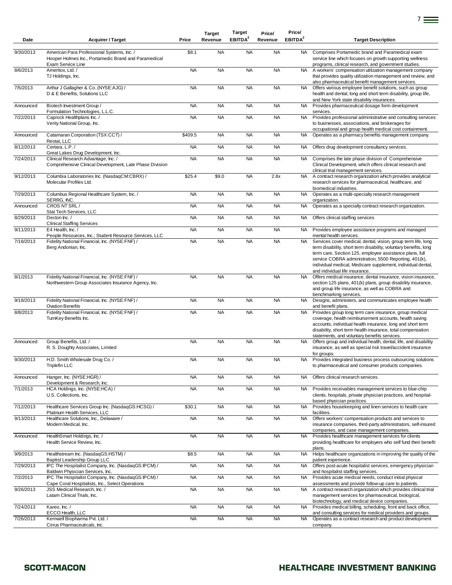| Date      | <b>Acquirer / Target</b>                                                                                                             | Price     | <b>Target</b><br>Revenue | <b>Target</b><br>EBITDA <sup>2</sup> | Price/<br>Revenue | Price/<br>EBITDA <sup>2</sup> | <b>Target Description</b>                                                                                                                                                                                                                                                                                                                              |
|-----------|--------------------------------------------------------------------------------------------------------------------------------------|-----------|--------------------------|--------------------------------------|-------------------|-------------------------------|--------------------------------------------------------------------------------------------------------------------------------------------------------------------------------------------------------------------------------------------------------------------------------------------------------------------------------------------------------|
| 9/30/2013 | American Para Professional Systems, Inc. /<br>Hooper Holmes Inc., Portamedic Brand and Paramedical<br>Exam Service Line              | \$8.1     | <b>NA</b>                | <b>NA</b>                            | <b>NA</b>         | <b>NA</b>                     | Comprises Portamedic brand and Paramedical exam<br>service line which focuses on growth supporting wellness<br>programs, clinical research, and government studies.                                                                                                                                                                                    |
| 8/6/2013  | Ameritox, Ltd. /<br>TJ Holdings, Inc.                                                                                                | <b>NA</b> | <b>NA</b>                | <b>NA</b>                            | <b>NA</b>         | NA.                           | A workers' compensation utilization management company<br>that provides quality utilization management and review, and<br>also pharmaceutical benefit management services.                                                                                                                                                                             |
| 7/5/2013  | Arthur J Gallagher & Co. (NYSE:AJG) /<br>D & E Benefits, Solutions LLC                                                               | <b>NA</b> | <b>NA</b>                | <b>NA</b>                            | <b>NA</b>         | <b>NA</b>                     | Offers various employee benefit solutions, such as group<br>health and dental, long and short term disability, group life,<br>and New York state disability insurances.                                                                                                                                                                                |
| Announced | Biotech Investment Group /<br>Formulation Technologies, L.L.C.                                                                       | <b>NA</b> | <b>NA</b>                | <b>NA</b>                            | <b>NA</b>         | <b>NA</b>                     | Provides pharmaceutical dosage form development<br>services.                                                                                                                                                                                                                                                                                           |
| 7/22/2013 | Caprock Healthplans Inc. /<br>Verity National Group, Inc.                                                                            | <b>NA</b> | <b>NA</b>                | <b>NA</b>                            | <b>NA</b>         | <b>NA</b>                     | Provides professional administrative and consulting services<br>to businesses, associations, and brokerages for<br>occupational and group health medical cost containment.                                                                                                                                                                             |
| Announced | Catamaran Corporation (TSX:CCT) /                                                                                                    | \$409.5   | <b>NA</b>                | <b>NA</b>                            | <b>NA</b>         | <b>NA</b>                     | Operates as a pharmacy benefits management company.                                                                                                                                                                                                                                                                                                    |
| 8/12/2013 | Restat, LLC<br>Certara, L.P./                                                                                                        | <b>NA</b> | <b>NA</b>                | <b>NA</b>                            | <b>NA</b>         | NA                            | Offers drug development consultancy services.                                                                                                                                                                                                                                                                                                          |
| 7/24/2013 | Great Lakes Drug Development, Inc.<br>Clinical Research Advantage, Inc. /<br>Comprehensive Clinical Development, Late Phase Division | <b>NA</b> | <b>NA</b>                | <b>NA</b>                            | <b>NA</b>         | NA.                           | Comprises the late phase division of Comprehensive<br>Clinical Development, which offers clinical research and                                                                                                                                                                                                                                         |
| 9/12/2013 | Columbia Laboratories Inc. (NasdaqCM:CBRX) /<br>Molecular Profiles Ltd.                                                              | \$25.4    | \$9.0                    | <b>NA</b>                            | 2.8x              | <b>NA</b>                     | clinical trial management services.<br>A contract research organization which provides analytical<br>research services for pharmaceutical, healthcare, and<br>biomedical industries.                                                                                                                                                                   |
| 7/29/2013 | Columbus Regional Healthcare System, Inc. /<br>SERRG, INC.                                                                           | <b>NA</b> | <b>NA</b>                | <b>NA</b>                            | <b>NA</b>         | NA                            | Operates as a multi-specialty research management<br>organization.                                                                                                                                                                                                                                                                                     |
| Announced | CROS NT SRL/<br>Stat Tech Services, LLC                                                                                              | <b>NA</b> | <b>NA</b>                | <b>NA</b>                            | <b>NA</b>         | <b>NA</b>                     | Operates as a specialty contract research organization.                                                                                                                                                                                                                                                                                                |
| 8/29/2013 | Decton Inc. /<br><b>Clinical Staffing Services</b>                                                                                   | <b>NA</b> | <b>NA</b>                | <b>NA</b>                            | <b>NA</b>         | NA                            | Offers clinical staffing services                                                                                                                                                                                                                                                                                                                      |
| 9/11/2013 | E4 Health, Inc. /<br>People Resources, Inc.; Student Resource Services, LLC                                                          | <b>NA</b> | <b>NA</b>                | <b>NA</b>                            | <b>NA</b>         | NA                            | Provides employee assistance programs and managed<br>mental health services.                                                                                                                                                                                                                                                                           |
| 7/18/2013 | Fidelity National Financial, Inc. (NYSE:FNF) /<br>Berg Andonian, Inc.                                                                | <b>NA</b> | <b>NA</b>                | <b>NA</b>                            | <b>NA</b>         | <b>NA</b>                     | Services cover medical, dental, vision, group term life, long<br>term disability, short term disability, voluntary benefits, long<br>term care, Section 125, employee assistance plans, full<br>service COBRA administration, 5500 Reporting, 401(k),<br>individual medical, Medicare supplement, individual dental,<br>and individual life insurance. |
| 8/1/2013  | Fidelity National Financial, Inc. (NYSE:FNF) /<br>Northwestern Group Associates Insurance Agency, Inc.                               | <b>NA</b> | <b>NA</b>                | <b>NA</b>                            | <b>NA</b>         | <b>NA</b>                     | Offers medical insurance, dental insurance, vision insurance,<br>section 125 plans, 401(k) plans, group disability insurance,<br>and group life insurance, as well as COBRA and<br>benchmarking services.                                                                                                                                              |
| 9/18/2013 | Fidelity National Financial, Inc. (NYSE:FNF) /<br><b>Ovation Benefits</b>                                                            | <b>NA</b> | <b>NA</b>                | <b>NA</b>                            | <b>NA</b>         | NA                            | Designs, administers, and communicates employee health<br>and benefit plans.                                                                                                                                                                                                                                                                           |
| 8/8/2013  | Fidelity National Financial, Inc. (NYSE:FNF) /<br>TurnKey Benefits Inc.                                                              | <b>NA</b> | <b>NA</b>                | <b>NA</b>                            | <b>NA</b>         | NA                            | Provides group long term care insurance, group medical<br>coverage, health reimbursement accounts, health saving<br>accounts, individual health insurance, long and short term<br>disability, short term health insurance, total compensation<br>statements, and voluntary benefits services.                                                          |
| Announced | Group Benefits, Ltd. /<br>R. S. Doughty Associates, Limited                                                                          | <b>NA</b> | <b>NA</b>                | <b>NA</b>                            | <b>NA</b>         | <b>NA</b>                     | Offers group and individual health, dental, life, and disability<br>insurance, as well as special risk travel/accident insurance<br>for groups.                                                                                                                                                                                                        |
| 9/30/2013 | H.D. Smith Wholesale Drug Co. /<br>Triplefin LLC                                                                                     | <b>NA</b> | <b>NA</b>                | <b>NA</b>                            | <b>NA</b>         | <b>NA</b>                     | Provides integrated business process outsourcing solutions<br>to pharmaceutical and consumer products companies.                                                                                                                                                                                                                                       |
| Announced | Hanger, Inc. (NYSE:HGR) /<br>Development & Research, Inc.                                                                            | <b>NA</b> | <b>NA</b>                | <b>NA</b>                            | <b>NA</b>         | NA                            | Offers clinical research services.                                                                                                                                                                                                                                                                                                                     |
| 7/1/2013  | HCA Holdings, Inc. (NYSE:HCA) /<br>U.S. Collections, Inc.                                                                            | <b>NA</b> | <b>NA</b>                | <b>NA</b>                            | <b>NA</b>         | <b>NA</b>                     | Provides receivables management services to blue-chip<br>clients, hospitals, private physician practices, and hospital-<br>based physician practices.                                                                                                                                                                                                  |
| 7/12/2013 | Healthcare Services Group Inc. (NasdaqGS:HCSG) /<br>Platinum Health Services, LLC                                                    | \$30.1    | <b>NA</b>                | <b>NA</b>                            | <b>NA</b>         | <b>NA</b>                     | Provides housekeeping and linen services to health care<br>facilities.                                                                                                                                                                                                                                                                                 |
| 9/13/2013 | Healthcare Solutions, Inc., Delaware /<br>Modern Medical, Inc.                                                                       | <b>NA</b> | <b>NA</b>                | <b>NA</b>                            | <b>NA</b>         | <b>NA</b>                     | Offers workers' compensation products and services to<br>insurance companies, third-party administrators, self-insured<br>companies, and case management companies.                                                                                                                                                                                    |
| Announced | HealthSmart Holdings, Inc. /<br>Health Service Review, Inc.                                                                          | <b>NA</b> | <b>NA</b>                | <b>NA</b>                            | <b>NA</b>         | <b>NA</b>                     | Provides healthcare management services for clients<br>providing healthcare for employers who self fund their benefit<br>plans.                                                                                                                                                                                                                        |
| 9/9/2013  | Healthstream Inc. (NasdaqGS:HSTM) /<br>Baptist Leadership Group LLC                                                                  | \$8.5     | <b>NA</b>                | <b>NA</b>                            | <b>NA</b>         | <b>NA</b>                     | Helps healthcare organizations in improving the quality of the<br>patient experience.                                                                                                                                                                                                                                                                  |
| 7/29/2013 | IPC The Hospitalist Company, Inc. (NasdaqGS:IPCM) /<br>Baldwin Physician Services, Inc.                                              | <b>NA</b> | <b>NA</b>                | <b>NA</b>                            | <b>NA</b>         | <b>NA</b>                     | Offers post-acute hospitalist services, emergency physician<br>and hospitalist staffing services.                                                                                                                                                                                                                                                      |
| 7/2/2013  | IPC The Hospitalist Company, Inc. (NasdaqGS:IPCM) /<br>Cape Coral Hospitalists, Inc., Select Operations                              | <b>NA</b> | <b>NA</b>                | <b>NA</b>                            | <b>NA</b>         | <b>NA</b>                     | Provides acute medical needs, conduct initial physical<br>assessments and provide follow-up care to patients.                                                                                                                                                                                                                                          |
| 9/26/2013 | JSS Medical Research, Inc. /<br>Latam Clinical Trials, Inc.                                                                          | <b>NA</b> | <b>NA</b>                | <b>NA</b>                            | <b>NA</b>         | <b>NA</b>                     | A contract research organization which provides clinical trial<br>management services for pharmaceutical, biological,<br>biotechnology, and medical device companies.                                                                                                                                                                                  |
| 7/24/2013 | Kareo, Inc./<br>ECCO Health, LLC                                                                                                     | <b>NA</b> | <b>NA</b>                | <b>NA</b>                            | <b>NA</b>         | <b>NA</b>                     | Provides medical billing, scheduling, front and back office,<br>and consulting services for medical providers and groups.                                                                                                                                                                                                                              |
| 7/26/2013 | Kemwell Biopharma Pvt. Ltd. /<br>Cirrus Pharmaceuticals, Inc.                                                                        | <b>NA</b> | <b>NA</b>                | <b>NA</b>                            | <b>NA</b>         | NA                            | Operates as a contract research and product development<br>company.                                                                                                                                                                                                                                                                                    |

7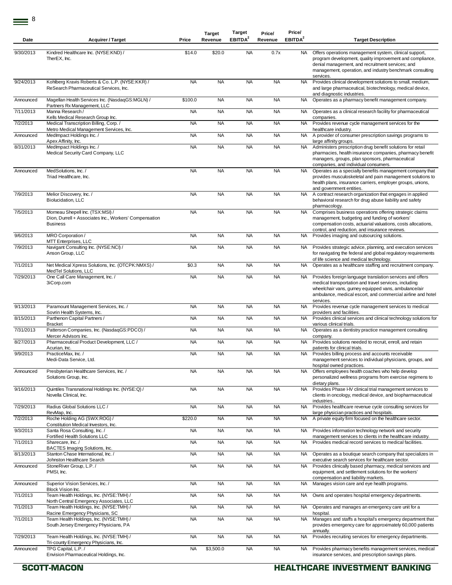| Date      | <b>Acquirer / Target</b>                                                                                      | Price     | <b>Target</b><br>Revenue | Target<br>EBITDA <sup>2</sup> | Price/<br>Revenue | Price/<br>EBITDA <sup>2</sup> | <b>Target Description</b>                                                                                                                                                                                                                              |
|-----------|---------------------------------------------------------------------------------------------------------------|-----------|--------------------------|-------------------------------|-------------------|-------------------------------|--------------------------------------------------------------------------------------------------------------------------------------------------------------------------------------------------------------------------------------------------------|
| 9/30/2013 | Kindred Healthcare Inc. (NYSE:KND) /<br>TherEX, Inc.                                                          | \$14.0    | \$20.0                   | <b>NA</b>                     | 0.7x              | <b>NA</b>                     | Offers operations management system, clinical support,<br>program development, quality improvement and compliance,<br>denial management, and recruitment services; and<br>management, operation, and industry benchmark consulting<br>services.        |
| 9/24/2013 | Kohlberg Kravis Roberts & Co. L.P. (NYSE:KKR) /<br>ReSearch Pharmaceutical Services, Inc.                     | <b>NA</b> | <b>NA</b>                | <b>NA</b>                     | <b>NA</b>         | <b>NA</b>                     | Provides clinical development solutions to small, medium,<br>and large pharmaceutical, biotechnology, medical device,<br>and diagnostic industries.                                                                                                    |
| Announced | Magellan Health Services Inc. (NasdaqGS:MGLN) /<br>Partners Rx Management, LLC                                | \$100.0   | <b>NA</b>                | <b>NA</b>                     | <b>NA</b>         | NA                            | Operates as a pharmacy benefit management company.                                                                                                                                                                                                     |
| 7/11/2013 | Manna Research/<br>Kells Medical Research Group Inc.                                                          | <b>NA</b> | <b>NA</b>                | <b>NA</b>                     | <b>NA</b>         | NA                            | Operates as a clinical research facility for pharmaceutical<br>companies.                                                                                                                                                                              |
| 7/2/2013  | Medical Transcription Billing, Corp./<br>Metro Medical Management Services, Inc.                              | <b>NA</b> | <b>NA</b>                | <b>NA</b>                     | <b>NA</b>         | <b>NA</b>                     | Provides revenue cycle management services for the<br>healthcare industry.                                                                                                                                                                             |
| Announced | MedImpact Holdings Inc. /<br>Apex Affinity, Inc.                                                              | <b>NA</b> | <b>NA</b>                | <b>NA</b>                     | <b>NA</b>         | NA                            | A provider of consumer prescription savings programs to<br>large affinity groups.                                                                                                                                                                      |
| 8/31/2013 | MedImpact Holdings Inc. /<br>Medical Security Card Company, LLC                                               | <b>NA</b> | <b>NA</b>                | <b>NA</b>                     | <b>NA</b>         | <b>NA</b>                     | Administers prescription drug benefit solutions for retail<br>pharmacies, health insurance companies, pharmacy benefit<br>managers, groups, plan sponsors, pharmaceutical<br>companies, and individual consumers.                                      |
| Announced | MedSolutions, Inc. /<br>Triad Healthcare, Inc.                                                                | <b>NA</b> | <b>NA</b>                | <b>NA</b>                     | <b>NA</b>         | <b>NA</b>                     | Operates as a specialty benefits management company that<br>provides musculoskeletal and pain management solutions to<br>health plans, insurance carriers, employer groups, unions,<br>and government entities.                                        |
| 7/9/2013  | Melior Discovery, Inc. /<br>Biolucidation, LLC                                                                | <b>NA</b> | <b>NA</b>                | <b>NA</b>                     | <b>NA</b>         | NA.                           | A contract research organization that engages in applied<br>behavioral research for drug abuse liability and safety<br>pharmacology.                                                                                                                   |
| 7/5/2013  | Morneau Shepell Inc. (TSX:MSI) /<br>Dion, Durrell + Associates Inc., Workers' Compensation<br><b>Business</b> | <b>NA</b> | <b>NA</b>                | <b>NA</b>                     | <b>NA</b>         | <b>NA</b>                     | Comprises business operations offering strategic claims<br>management, budgeting and funding of workers'<br>compensation costs, actuarial valuations, costs allocations,<br>control, and reduction, and insurance reviews.                             |
| 9/6/2013  | MRO Corporation/<br>MTT Enterprises, LLC                                                                      | <b>NA</b> | <b>NA</b>                | <b>NA</b>                     | <b>NA</b>         | <b>NA</b>                     | Provides imaging and outsourcing solutions.                                                                                                                                                                                                            |
| 7/9/2013  | Navigant Consulting Inc. (NYSE:NCI) /<br>Anson Group, LLC                                                     | <b>NA</b> | <b>NA</b>                | <b>NA</b>                     | <b>NA</b>         | NA.                           | Provides strategic advice, planning, and execution services<br>for navigating the federal and global regulatory requirements<br>of life science and medical technology.                                                                                |
| 7/1/2013  | Net Medical Xpress Solutions, Inc. (OTCPK:NMXS) /<br>MedTel Solutions, LLC                                    | \$0.3     | <b>NA</b>                | <b>NA</b>                     | <b>NA</b>         | NA.                           | Operates as a healthcare staffing and recruitment company.                                                                                                                                                                                             |
| 7/29/2013 | One Call Care Management, Inc. /<br>3iCorp.com                                                                | <b>NA</b> | <b>NA</b>                | <b>NA</b>                     | <b>NA</b>         | NA                            | Provides foreign language translation services and offers<br>medical transportation and travel services, including<br>wheelchair vans, gurney equipped vans, ambulance/air<br>ambulance, medical escort, and commercial airline and hotel<br>services. |
| 9/13/2013 | Paramount Management Services, Inc. /<br>Sovrin Health Systems, Inc.                                          | <b>NA</b> | <b>NA</b>                | <b>NA</b>                     | <b>NA</b>         | <b>NA</b>                     | Provides revenue cycle management services to medical<br>providers and facilities.                                                                                                                                                                     |
| 8/15/2013 | Parthenon Capital Partners /<br><b>Bracket</b>                                                                | <b>NA</b> | <b>NA</b>                | <b>NA</b>                     | <b>NA</b>         | NA.                           | Provides clinical services and clinical technology solutions for<br>various clinical trials.                                                                                                                                                           |
| 7/31/2013 | Patterson Companies, Inc. (NasdaqGS:PDCO) /<br>Mercer Advisors Inc.                                           | <b>NA</b> | <b>NA</b>                | <b>NA</b>                     | <b>NA</b>         | NA                            | Operates as a dentistry practice management consulting<br>company.                                                                                                                                                                                     |
| 8/27/2013 | Pharmaceutical Product Development, LLC /<br>Acurian, Inc.                                                    | <b>NA</b> | <b>NA</b>                | <b>NA</b>                     | <b>NA</b>         | NA.                           | Provides solutions needed to recruit, enroll, and retain<br>patients for clinical trials.                                                                                                                                                              |
| 9/9/2013  | PracticeMax. Inc. /<br>Medi-Data Service, Ltd.                                                                | <b>NA</b> | <b>NA</b>                | <b>NA</b>                     | <b>NA</b>         | <b>NA</b>                     | Provides billing process and accounts receivable<br>management services to individual physicians, groups, and<br>hospital owned practices.                                                                                                             |
| Announced | Presbyterian Healthcare Services, Inc. /<br>Solutions Group, Inc.                                             | <b>NA</b> | <b>NA</b>                | <b>NA</b>                     | <b>NA</b>         | <b>NA</b>                     | Offers employees health coaches who help develop<br>personalized wellness programs from exercise regimens to<br>dietary plans.                                                                                                                         |
| 9/16/2013 | Quintiles Transnational Holdings Inc. (NYSE:Q) /<br>Novella Clinical, Inc.                                    | <b>NA</b> | <b>NA</b>                | <b>NA</b>                     | <b>NA</b>         | <b>NA</b>                     | Provides Phase I-IV clinical trial management services to<br>clients in oncology, medical device, and biopharmaceutical<br>industries                                                                                                                  |
| 7/29/2013 | Radius Global Solutions LLC /<br>RevMap, Inc.                                                                 | <b>NA</b> | <b>NA</b>                | <b>NA</b>                     | <b>NA</b>         | <b>NA</b>                     | Provides healthcare revenue cycle consulting services for<br>large physician practices and hospitals.                                                                                                                                                  |
| 7/2/2013  | Roche Holding AG (SWX:ROG) /<br>Constitution Medical Investors, Inc.                                          | \$220.0   | <b>NA</b>                | <b>NA</b>                     | <b>NA</b>         | NA                            | A private equity firm focused on the healthcare sector.                                                                                                                                                                                                |
| 9/3/2013  | Santa Rosa Consulting, Inc. /<br>Fortified Health Solutions LLC                                               | <b>NA</b> | <b>NA</b>                | <b>NA</b>                     | <b>NA</b>         | NA                            | Provides information technology network and security<br>management services to clients in the healthcare industry.                                                                                                                                     |
| 7/1/2013  | Sharecare, Inc./<br>BACTES Imaging Solutions, Inc.                                                            | <b>NA</b> | <b>NA</b>                | <b>NA</b>                     | <b>NA</b>         | <b>NA</b>                     | Provides medical record services to medical facilities.                                                                                                                                                                                                |
| 8/13/2013 | Stanton Chase International, Inc. /<br>Johnston Healthcare Search                                             | <b>NA</b> | <b>NA</b>                | <b>NA</b>                     | <b>NA</b>         | NA                            | Operates as a boutique search company that specializes in<br>executive search services for healthcare sector.                                                                                                                                          |
| Announced | StoneRiver Group, L.P./<br>PMSI, Inc.                                                                         | <b>NA</b> | <b>NA</b>                | <b>NA</b>                     | <b>NA</b>         | NA                            | Provides clinically based pharmacy, medical services and<br>equipment, and settlement solutions for the workers'<br>compensation and liability markets.                                                                                                |
| Announced | Superior Vision Services, Inc. /<br>Block Vision Inc.                                                         | <b>NA</b> | <b>NA</b>                | <b>NA</b>                     | <b>NA</b>         | <b>NA</b>                     | Manages vision care and eye health programs.                                                                                                                                                                                                           |
| 7/1/2013  | Team Health Holdings, Inc. (NYSE:TMH) /<br>North Central Emergency Associates, LLC                            | <b>NA</b> | <b>NA</b>                | <b>NA</b>                     | <b>NA</b>         | NA.                           | Owns and operates hospital emergency departments.                                                                                                                                                                                                      |
| 7/1/2013  | Team Health Holdings, Inc. (NYSE:TMH) /<br>Racine Emergency Physicians, SC                                    | <b>NA</b> | <b>NA</b>                | <b>NA</b>                     | <b>NA</b>         | NA                            | Operates and manages an emergency care unit for a<br>hospital.                                                                                                                                                                                         |
| 7/1/2013  | Team Health Holdings, Inc. (NYSE:TMH) /<br>South Jersey Emergency Physicians, PA                              | <b>NA</b> | <b>NA</b>                | <b>NA</b>                     | <b>NA</b>         | <b>NA</b>                     | Manages and staffs a hospital's emergency department that<br>provides emergency care for approximately 60,000 patients<br>annually.                                                                                                                    |
| 7/29/2013 | Team Health Holdings, Inc. (NYSE:TMH) /<br>Tri-county Emergency Physicians, Inc.                              | <b>NA</b> | <b>NA</b>                | <b>NA</b>                     | <b>NA</b>         | <b>NA</b>                     | Provides recruiting services for emergency departments.                                                                                                                                                                                                |
| Announced | TPG Capital, L.P./<br>Envision Pharmaceutical Holdings, Inc.                                                  | <b>NA</b> | \$3,500.0                | <b>NA</b>                     | <b>NA</b>         | <b>NA</b>                     | Provides pharmacy benefits management services, medical<br>insurance services, and prescription savings plans.                                                                                                                                         |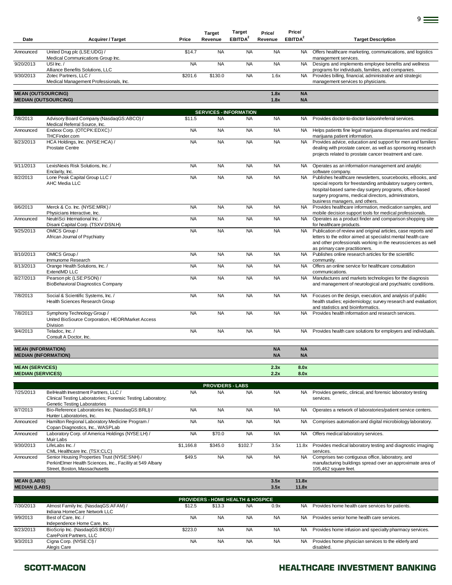| Date                                               | <b>Acquirer / Target</b>                                                                                                                   | Price     | <b>Target</b><br>Revenue                   | Target<br>EBITDA <sup>2</sup> | Price/<br>Revenue      | Price/<br>EBITDA <sup>2</sup> | <b>Target Description</b>                                                                                                                                                                                                                                                                           |
|----------------------------------------------------|--------------------------------------------------------------------------------------------------------------------------------------------|-----------|--------------------------------------------|-------------------------------|------------------------|-------------------------------|-----------------------------------------------------------------------------------------------------------------------------------------------------------------------------------------------------------------------------------------------------------------------------------------------------|
| Announced                                          | United Drug plc (LSE:UDG) /<br>Medical Communications Group Inc.                                                                           | \$14.7    | <b>NA</b>                                  | <b>NA</b>                     | <b>NA</b>              | NA.                           | Offers healthcare marketing, communications, and logistics<br>management services.                                                                                                                                                                                                                  |
| 9/20/2013                                          | USI $lnc.$                                                                                                                                 | <b>NA</b> | <b>NA</b>                                  | <b>NA</b>                     | <b>NA</b>              | <b>NA</b>                     | Designs and implements employee benefits and wellness                                                                                                                                                                                                                                               |
| 9/30/2013                                          | Alliance Benefits Solutions, LLC<br>Zotec Partners, LLC /<br>Medical Management Professionals, Inc.                                        | \$201.6   | \$130.0                                    | <b>NA</b>                     | 1.6x                   | <b>NA</b>                     | programs for individuals, families, and companies.<br>Provides billing, financial, administrative and strategic<br>management services to physicians.                                                                                                                                               |
| <b>MEAN (OUTSOURCING)</b>                          | <b>MEDIAN (OUTSOURCING)</b>                                                                                                                |           |                                            |                               | 1.8x<br>1.8x           | <b>NA</b><br><b>NA</b>        |                                                                                                                                                                                                                                                                                                     |
|                                                    |                                                                                                                                            |           |                                            |                               |                        |                               |                                                                                                                                                                                                                                                                                                     |
| 7/8/2013                                           | Advisory Board Company (NasdaqGS:ABCO) /<br>Medical Referral Source, Inc.                                                                  | \$11.5    | <b>SERVICES - INFORMATION</b><br><b>NA</b> | <b>NA</b>                     | <b>NA</b>              | NA.                           | Provides doctor-to-doctor liaison/referral services.                                                                                                                                                                                                                                                |
| Announced                                          | Endexx Corp. (OTCPK:EDXC) /<br>THCFinder.com                                                                                               | <b>NA</b> | <b>NA</b>                                  | <b>NA</b>                     | <b>NA</b>              | NA.                           | Helps patients fine legal marijuana dispensaries and medical<br>marijuana patient information.                                                                                                                                                                                                      |
| 8/23/2013                                          | HCA Holdings, Inc. (NYSE:HCA) /<br><b>Prostate Centre</b>                                                                                  | <b>NA</b> | <b>NA</b>                                  | <b>NA</b>                     | <b>NA</b>              | <b>NA</b>                     | Provides advice, education and support for men and families<br>dealing with prostate cancer, as well as sponsoring research<br>projects related to prostate cancer treatment and care.                                                                                                              |
| 9/11/2013                                          | LexisNexis Risk Solutions, Inc. /<br>Enclarity, Inc.                                                                                       | <b>NA</b> | <b>NA</b>                                  | <b>NA</b>                     | <b>NA</b>              | NA.                           | Operates as an information management and analytic                                                                                                                                                                                                                                                  |
| 8/2/2013                                           | Lone Peak Capital Group LLC /<br>AHC Media LLC                                                                                             | <b>NA</b> | <b>NA</b>                                  | <b>NA</b>                     | <b>NA</b>              | <b>NA</b>                     | software company.<br>Publishes healthcare newsletters, sourcebooks, eBooks, and<br>special reports for freestanding ambulatory surgery centers,<br>hospital-based same-day surgery programs, office-based<br>surgery programs, medical directors, administrators,<br>business managers, and others. |
| 8/6/2013                                           | Merck & Co. Inc. (NYSE:MRK) /<br>Physicians Interactive, Inc.                                                                              | <b>NA</b> | <b>NA</b>                                  | <b>NA</b>                     | <b>NA</b>              | <b>NA</b>                     | Provides healthcare information, medication samples, and<br>mobile decision support tools for medical professionals.                                                                                                                                                                                |
| Announced                                          | NeutriSci International Inc. /<br>Disani Capital Corp. (TSXV:DSN.H)                                                                        | <b>NA</b> | <b>NA</b>                                  | <b>NA</b>                     | <b>NA</b>              | <b>NA</b>                     | Operates as a product finder and comparison shopping site<br>for healthcare products.                                                                                                                                                                                                               |
| 9/25/2013                                          | OMICS Group /<br>African Journal of Psychiatry                                                                                             | <b>NA</b> | <b>NA</b>                                  | <b>NA</b>                     | <b>NA</b>              | <b>NA</b>                     | Publication of review and original articles, case reports and<br>letters to the editor aimed at specialist mental health care<br>and other professionals working in the neurosciences as well<br>as primary care practitioners.                                                                     |
| 8/10/2013                                          | OMICS Group /<br>Immunome Research                                                                                                         | <b>NA</b> | <b>NA</b>                                  | <b>NA</b>                     | <b>NA</b>              | <b>NA</b>                     | Publishes online research articles for the scientific<br>community.                                                                                                                                                                                                                                 |
| 8/13/2013                                          | Orange Health Solutions, Inc. /<br>ExtendMD LLC                                                                                            | <b>NA</b> | <b>NA</b>                                  | <b>NA</b>                     | <b>NA</b>              | <b>NA</b>                     | Offers an online service for healthcare consultation<br>communications.                                                                                                                                                                                                                             |
| 8/27/2013                                          | Pearson plc (LSE:PSON) /<br><b>BioBehavioral Diagnostics Company</b>                                                                       | <b>NA</b> | <b>NA</b>                                  | <b>NA</b>                     | <b>NA</b>              | <b>NA</b>                     | Manufactures and markets technologies for the diagnosis<br>and management of neurological and psychiatric conditions.                                                                                                                                                                               |
| 7/8/2013                                           | Social & Scientific Systems, Inc. /<br>Health Sciences Research Group                                                                      | <b>NA</b> | <b>NA</b>                                  | <b>NA</b>                     | <b>NA</b>              | NA                            | Focuses on the design, execution, and analysis of public<br>health studies; epidemiology; survey research and evaluation;<br>and statistics and bioinformatics.                                                                                                                                     |
| 7/8/2013                                           | Symphony Technology Group /<br>United BioSource Corporation, HEOR/Market Access<br>Division                                                | <b>NA</b> | <b>NA</b>                                  | <b>NA</b>                     | <b>NA</b>              | <b>NA</b>                     | Provides health information and research services.                                                                                                                                                                                                                                                  |
| 9/4/2013                                           | Teladoc, Inc. /<br>Consult A Doctor, Inc.                                                                                                  | <b>NA</b> | <b>NA</b>                                  | <b>NA</b>                     | <b>NA</b>              | NA                            | Provides health care solutions for employers and individuals.                                                                                                                                                                                                                                       |
| <b>MEAN (INFORMATION)</b>                          | <b>MEDIAN (INFORMATION)</b>                                                                                                                |           |                                            |                               | <b>NA</b><br><b>NA</b> | <b>NA</b><br><b>NA</b>        |                                                                                                                                                                                                                                                                                                     |
| <b>MEAN (SERVICES)</b><br><b>MEDIAN (SERVICES)</b> |                                                                                                                                            |           |                                            |                               | 2.3x<br>2.2x           | 8.0x<br>8.0x                  |                                                                                                                                                                                                                                                                                                     |
|                                                    |                                                                                                                                            |           | <b>PROVIDERS - LABS</b>                    |                               |                        |                               |                                                                                                                                                                                                                                                                                                     |
| 7/25/2013                                          | BelHealth Investment Partners, LLC /<br>Clinical Testing Laboratories; Forensic Testing Laboratory;<br>Genetic Testing Laboratories        | <b>NA</b> | <b>NA</b>                                  | <b>NA</b>                     | <b>NA</b>              | NA.                           | Provides genetic, clinical, and forensic laboratory testing<br>services.                                                                                                                                                                                                                            |
| 8/7/2013                                           | Bio-Reference Laboratories Inc. (NasdaqGS:BRLI) /<br>Hunter Laboratories, Inc.                                                             | <b>NA</b> | <b>NA</b>                                  | <b>NA</b>                     | <b>NA</b>              | <b>NA</b>                     | Operates a network of laboratories/patient service centers.                                                                                                                                                                                                                                         |
| Announced                                          | Hamilton Regional Laboratory Medicine Program /<br>Copan Diagnostics, Inc., WASPLab                                                        | <b>NA</b> | <b>NA</b>                                  | <b>NA</b>                     | <b>NA</b>              | <b>NA</b>                     | Comprises automation and digital microbiology laboratory.                                                                                                                                                                                                                                           |
| Announced                                          | Laboratory Corp. of America Holdings (NYSE:LH) /<br>Muir Labs                                                                              | <b>NA</b> | \$70.0                                     | <b>NA</b>                     | <b>NA</b>              | <b>NA</b>                     | Offers medical laboratory services.                                                                                                                                                                                                                                                                 |
| 9/30/2013                                          | LifeLabs Inc. /<br>CML Healthcare Inc. (TSX:CLC)                                                                                           | \$1,166.8 | \$345.0                                    | \$102.7                       | 3.5x                   | 11.8x                         | Provides medical laboratory testing and diagnostic imaging<br>services.                                                                                                                                                                                                                             |
| Announced                                          | Senior Housing Properties Trust (NYSE:SNH) /<br>PerkinElmer Health Sciences, Inc., Facility at 549 Albany<br>Street, Boston, Massachusetts | \$49.5    | <b>NA</b>                                  | <b>NA</b>                     | <b>NA</b>              | <b>NA</b>                     | Comprises two contiguous office, laboratory, and<br>manufacturing buildings spread over an approximate area of<br>105,462 square feet.                                                                                                                                                              |
| <b>MEAN (LABS)</b><br><b>MEDIAN (LABS)</b>         |                                                                                                                                            |           |                                            |                               | 3.5x<br>3.5x           | 11.8x<br>11.8x                |                                                                                                                                                                                                                                                                                                     |
|                                                    |                                                                                                                                            |           | PROVIDERS - HOME HEALTH & HOSPICE          |                               |                        |                               |                                                                                                                                                                                                                                                                                                     |
| 7/30/2013                                          | Almost Family Inc. (NasdaqGS:AFAM) /<br>Indiana HomeCare Network LLC                                                                       | \$12.5    | \$13.3                                     | <b>NA</b>                     | 0.9x                   | NA.                           | Provides home health care services for patients.                                                                                                                                                                                                                                                    |
| 9/9/2013                                           | Best of Care, Inc./<br>Independence Home Care, Inc.                                                                                        | <b>NA</b> | <b>NA</b>                                  | <b>NA</b>                     | <b>NA</b>              | NA.                           | Provides senior home health care services.                                                                                                                                                                                                                                                          |
| 8/23/2013                                          | BioScrip Inc. (NasdaqGS:BIOS) /<br>CarePoint Partners, LLC                                                                                 | \$223.0   | <b>NA</b>                                  | <b>NA</b>                     | <b>NA</b>              | NA.                           | Provides home infusion and specialty pharmacy services.                                                                                                                                                                                                                                             |
| 9/3/2013                                           | Cigna Corp. (NYSE:CI) /<br>Alegis Care                                                                                                     | <b>NA</b> | <b>NA</b>                                  | <b>NA</b>                     | <b>NA</b>              | <b>NA</b>                     | Provides home physician services to the elderly and<br>disabled.                                                                                                                                                                                                                                    |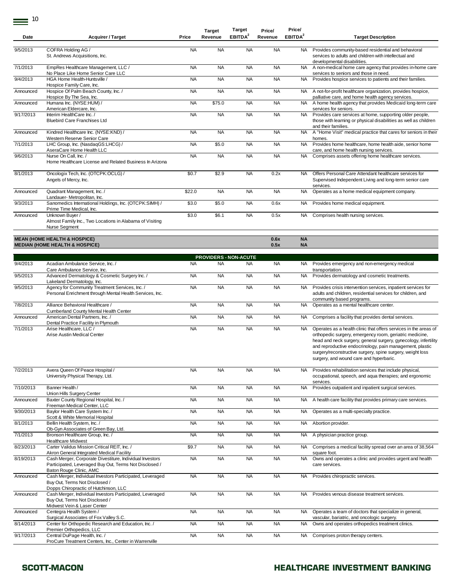| Date      | <b>Acquirer / Target</b>                                                                                                             | Price     | <b>Target</b><br>Revenue | Target<br>EBITDA <sup>2</sup> | Price/<br>Revenue | Price/<br>EBITDA <sup>2</sup> | <b>Target Description</b>                                                                                                                                                                                                                                                                                                                                           |
|-----------|--------------------------------------------------------------------------------------------------------------------------------------|-----------|--------------------------|-------------------------------|-------------------|-------------------------------|---------------------------------------------------------------------------------------------------------------------------------------------------------------------------------------------------------------------------------------------------------------------------------------------------------------------------------------------------------------------|
|           |                                                                                                                                      |           |                          |                               |                   |                               |                                                                                                                                                                                                                                                                                                                                                                     |
| 9/5/2013  | COFRA Holding AG /<br>St. Andrews Acquisitions, Inc.                                                                                 | <b>NA</b> | <b>NA</b>                | <b>NA</b>                     | <b>NA</b>         | <b>NA</b>                     | Provides community-based residential and behavioral<br>services to adults and children with intellectual and<br>developmental disabilities.                                                                                                                                                                                                                         |
| 7/1/2013  | EmpRes Healthcare Management, LLC /<br>No Place Like Home Senior Care LLC                                                            | <b>NA</b> | <b>NA</b>                | <b>NA</b>                     | <b>NA</b>         | <b>NA</b>                     | A non-medical home care agency that provides in-home care<br>services to seniors and those in need.                                                                                                                                                                                                                                                                 |
| 9/4/2013  | HGA Home Health-Huntsville /<br>Hospice Family Care, Inc.                                                                            | <b>NA</b> | <b>NA</b>                | <b>NA</b>                     | <b>NA</b>         | <b>NA</b>                     | Provides hospice services to patients and their families.                                                                                                                                                                                                                                                                                                           |
| Announced | Hospice Of Palm Beach County, Inc. /                                                                                                 | <b>NA</b> | <b>NA</b>                | <b>NA</b>                     | <b>NA</b>         | <b>NA</b>                     | A not-for-profit healthcare organization, provides hospice,                                                                                                                                                                                                                                                                                                         |
| Announced | Hospice By The Sea, Inc.<br>Humana Inc. (NYSE:HUM) /                                                                                 | <b>NA</b> | \$75.0                   | <b>NA</b>                     | <b>NA</b>         | <b>NA</b>                     | palliative care, and home health agency services.<br>A home health agency that provides Medicaid long-term care                                                                                                                                                                                                                                                     |
|           | American Eldercare, Inc.                                                                                                             |           |                          |                               |                   |                               | services for seniors.                                                                                                                                                                                                                                                                                                                                               |
| 9/17/2013 | Interim HealthCare Inc. /<br><b>Bluebird Care Franchises Ltd</b>                                                                     | <b>NA</b> | <b>NA</b>                | <b>NA</b>                     | <b>NA</b>         | <b>NA</b>                     | Provides care services at home, supporting older people,<br>those with learning or physical disabilities as well as children<br>and their families.                                                                                                                                                                                                                 |
| Announced | Kindred Healthcare Inc. (NYSE:KND) /<br>Western Reserve Senior Care                                                                  | <b>NA</b> | <b>NA</b>                | <b>NA</b>                     | <b>NA</b>         | <b>NA</b>                     | A "Home Visit" medical practice that cares for seniors in their<br>homes.                                                                                                                                                                                                                                                                                           |
| 7/1/2013  | LHC Group, Inc. (NasdaqGS:LHCG) /<br>AseraCare Home Health LLC                                                                       | <b>NA</b> | \$5.0                    | <b>NA</b>                     | <b>NA</b>         | <b>NA</b>                     | Provides home healthcare, home health aide, senior home<br>care, and home health nursing services.                                                                                                                                                                                                                                                                  |
| 9/6/2013  | Nurse On Call, Inc. /<br>Home Healthcare License and Related Business In Arizona                                                     | <b>NA</b> | <b>NA</b>                | <b>NA</b>                     | <b>NA</b>         | <b>NA</b>                     | Comprises assets offering home healthcare services.                                                                                                                                                                                                                                                                                                                 |
| 8/1/2013  | Oncologix Tech, Inc. (OTCPK:OCLG) /<br>Angels of Mercy, Inc.                                                                         | \$0.7     | \$2.9                    | <b>NA</b>                     | 0.2x              | NA.                           | Offers Personal Care Attendant healthcare services for<br>Supervised Independent Living and long-term senior care<br>services.                                                                                                                                                                                                                                      |
| Announced | Quadrant Management, Inc. /<br>Landauer-Metropolitan, Inc.                                                                           | \$22.0    | <b>NA</b>                | <b>NA</b>                     | <b>NA</b>         | <b>NA</b>                     | Operates as a home medical equipment company.                                                                                                                                                                                                                                                                                                                       |
| 9/3/2013  | Sanomedics International Holdings, Inc. (OTCPK:SIMH) /<br>Prime Time Medical, Inc.                                                   | \$3.0     | \$5.0                    | <b>NA</b>                     | 0.6x              | NA.                           | Provides home medical equipment.                                                                                                                                                                                                                                                                                                                                    |
| Announced | Unknown Buyer /<br>Almost Family Inc., Two Locations in Alabama of Visiting<br>Nurse Segment                                         | \$3.0     | \$6.1                    | <b>NA</b>                     | 0.5x              | NA.                           | Comprises health nursing services.                                                                                                                                                                                                                                                                                                                                  |
|           | <b>MEAN (HOME HEALTH &amp; HOSPICE)</b>                                                                                              |           |                          |                               | 0.6x              | <b>NA</b>                     |                                                                                                                                                                                                                                                                                                                                                                     |
|           | <b>MEDIAN (HOME HEALTH &amp; HOSPICE)</b>                                                                                            |           |                          |                               | 0.5x              | <b>NA</b>                     |                                                                                                                                                                                                                                                                                                                                                                     |
|           |                                                                                                                                      |           |                          | <b>PROVIDERS - NON-ACUTE</b>  |                   |                               |                                                                                                                                                                                                                                                                                                                                                                     |
| 9/4/2013  | Acadian Ambulance Service, Inc. /<br>Care Ambulance Service, Inc.                                                                    | <b>NA</b> | <b>NA</b>                | <b>NA</b>                     | <b>NA</b>         | <b>NA</b>                     | Provides emergency and non-emergency medical<br>transportation.                                                                                                                                                                                                                                                                                                     |
| 9/5/2013  | Advanced Dermatology & Cosmetic Surgery Inc. /<br>Lakeland Dermatology, Inc.                                                         | <b>NA</b> | <b>NA</b>                | <b>NA</b>                     | <b>NA</b>         | <b>NA</b>                     | Provides dermatology and cosmetic treatments.                                                                                                                                                                                                                                                                                                                       |
| 9/5/2013  | Agency for Community Treatment Services, Inc. /<br>Personal Enrichment through Mental Health Services, Inc.                          | <b>NA</b> | <b>NA</b>                | <b>NA</b>                     | <b>NA</b>         | <b>NA</b>                     | Provides crisis intervention services, inpatient services for<br>adults and children, residential services for children, and<br>community based programs.                                                                                                                                                                                                           |
| 7/8/2013  | Alliance Behavioral Healthcare /<br>Cumberland County Mental Health Center                                                           | <b>NA</b> | <b>NA</b>                | <b>NA</b>                     | <b>NA</b>         | <b>NA</b>                     | Operates as a mental healthcare center.                                                                                                                                                                                                                                                                                                                             |
| Announced | American Dental Partners, Inc. /<br>Dental Practice Facility in Plymouth                                                             | <b>NA</b> | <b>NA</b>                | <b>NA</b>                     | <b>NA</b>         | NA.                           | Comprises a facility that provides dental services.                                                                                                                                                                                                                                                                                                                 |
| 7/1/2013  | Arise Healthcare, LLC /<br>Arise Austin Medical Center                                                                               | <b>NA</b> | <b>NA</b>                | <b>NA</b>                     | <b>NA</b>         | NA                            | Operates as a health clinic that offers services in the areas of<br>orthopedic surgery, emergency room, geriatric medicine,<br>head and neck surgery, general surgery, gynecology, infertility<br>and reproductive endocrinology, pain management, plastic<br>surgery/reconstructive surgery, spine surgery, weight loss<br>surgery, and wound care and hyperbaric. |
| 7/2/2013  | Avera Queen Of Peace Hospital /<br>University Physical Therapy, Ltd.                                                                 | <b>NA</b> | <b>NA</b>                | <b>NA</b>                     | <b>NA</b>         | <b>NA</b>                     | Provides rehabilitation services that include physical,<br>occupational, speech, and aqua therapies; and ergonomic<br>services.                                                                                                                                                                                                                                     |
| 7/10/2013 | Banner Health /<br>Union Hills Surgery Center                                                                                        | <b>NA</b> | <b>NA</b>                | <b>NA</b>                     | <b>NA</b>         | <b>NA</b>                     | Provides outpatient and inpatient surgical services.                                                                                                                                                                                                                                                                                                                |
| Announced | Baxter County Regional Hospital, Inc. /<br>Freeman Medical Center, LLC                                                               | <b>NA</b> | <b>NA</b>                | <b>NA</b>                     | <b>NA</b>         | NA.                           | A health care facility that provides primary care services.                                                                                                                                                                                                                                                                                                         |
| 9/30/2013 | Baylor Health Care System Inc. /<br>Scott & White Memorial Hospital                                                                  | <b>NA</b> | <b>NA</b>                | <b>NA</b>                     | <b>NA</b>         | <b>NA</b>                     | Operates as a multi-specialty practice.                                                                                                                                                                                                                                                                                                                             |
| 8/1/2013  | Bellin Health System, Inc. /<br>Ob-Gyn Associates of Green Bay, Ltd.                                                                 | <b>NA</b> | <b>NA</b>                | <b>NA</b>                     | <b>NA</b>         | <b>NA</b>                     | Abortion provider.                                                                                                                                                                                                                                                                                                                                                  |
| 7/1/2013  | Bronson Healthcare Group, Inc. /<br><b>Healthcare Midwest</b>                                                                        | <b>NA</b> | <b>NA</b>                | <b>NA</b>                     | <b>NA</b>         | NA                            | A physician practice group.                                                                                                                                                                                                                                                                                                                                         |
| 8/23/2013 | Carter Validus Mission Critical REIT, Inc. /<br>Akron General Integrated Medical Facility                                            | \$9.7     | <b>NA</b>                | <b>NA</b>                     | <b>NA</b>         | NA.                           | Comprises a medical facility spread over an area of 38,564<br>square foot.                                                                                                                                                                                                                                                                                          |
| 8/19/2013 | Cash Merger, Corporate Divestiture, Individual Investors<br>Participated, Leveraged Buy Out, Terms Not Disclosed /                   | <b>NA</b> | <b>NA</b>                | <b>NA</b>                     | <b>NA</b>         | <b>NA</b>                     | Owns and operates a clinic and provides urgent and health<br>care services.                                                                                                                                                                                                                                                                                         |
| Announced | Baton Rouge Clinic, AMC<br>Cash Merger, Individual Investors Participated, Leveraged<br>Buy Out, Terms Not Disclosed /               | <b>NA</b> | <b>NA</b>                | <b>NA</b>                     | <b>NA</b>         | <b>NA</b>                     | Provides chiropractic services.                                                                                                                                                                                                                                                                                                                                     |
| Announced | Dopps Chiropractic of Hutchinson, LLC<br>Cash Merger, Individual Investors Participated, Leveraged<br>Buy Out, Terms Not Disclosed / | <b>NA</b> | <b>NA</b>                | <b>NA</b>                     | <b>NA</b>         | <b>NA</b>                     | Provides venous disease treatment services.                                                                                                                                                                                                                                                                                                                         |
| Announced | Midwest Vein & Laser Center<br>Centegra Health System /                                                                              | <b>NA</b> | <b>NA</b>                | <b>NA</b>                     | <b>NA</b>         | NA                            | Operates a team of doctors that specialize in general,                                                                                                                                                                                                                                                                                                              |
| 8/14/2013 | Surgical Associates of Fox Valley S.C.<br>Center for Orthopedic Research and Education, Inc. /                                       | <b>NA</b> | <b>NA</b>                | <b>NA</b>                     | <b>NA</b>         | NA                            | vascular, bariatric, and oncologic surgery.<br>Owns and operates orthopedics treatment clinics.                                                                                                                                                                                                                                                                     |
| 9/17/2013 | Premier Orthopedics, LLC<br>Central DuPage Health, Inc. /                                                                            | <b>NA</b> | <b>NA</b>                | <b>NA</b>                     | <b>NA</b>         | <b>NA</b>                     | Comprises proton therapy centers.                                                                                                                                                                                                                                                                                                                                   |
|           | ProCure Treatment Centers, Inc., Center in Warrenville                                                                               |           |                          |                               |                   |                               |                                                                                                                                                                                                                                                                                                                                                                     |

**Price/**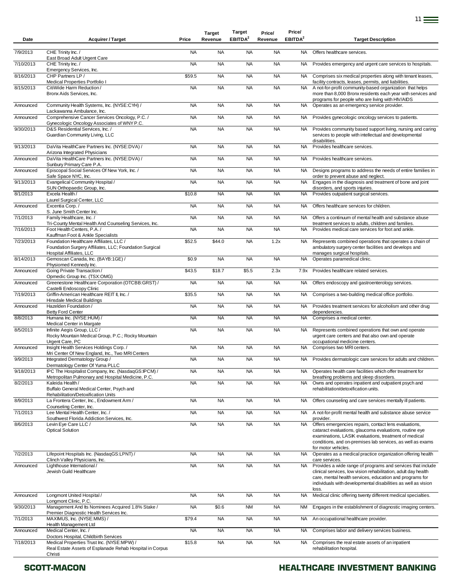| Date      | <b>Acquirer / Target</b>                                                                                                                        | Price     | <b>Target</b><br>Revenue | Target<br>EBITDA <sup>2</sup> | Price/<br>Revenue | Price/<br>EBITDA <sup>2</sup> | <b>Target Description</b>                                                                                                                                                                                                                                                    |
|-----------|-------------------------------------------------------------------------------------------------------------------------------------------------|-----------|--------------------------|-------------------------------|-------------------|-------------------------------|------------------------------------------------------------------------------------------------------------------------------------------------------------------------------------------------------------------------------------------------------------------------------|
| 7/9/2013  | CHE Trinity Inc. /                                                                                                                              | <b>NA</b> | <b>NA</b>                | <b>NA</b>                     | <b>NA</b>         | NA                            | Offers healthcare services.                                                                                                                                                                                                                                                  |
| 7/10/2013 | East Broad Adult Urgent Care<br>CHE Trinity Inc. /                                                                                              | <b>NA</b> | <b>NA</b>                | <b>NA</b>                     | <b>NA</b>         | <b>NA</b>                     | Provides emergency and urgent care services to hospitals.                                                                                                                                                                                                                    |
| 8/16/2013 | Emergency Services, Inc.<br>CHP Partners LP /                                                                                                   | \$59.5    | <b>NA</b>                | <b>NA</b>                     | <b>NA</b>         | NA.                           | Comprises six medical properties along with tenant leases,                                                                                                                                                                                                                   |
| 8/15/2013 | Medical Properties Portfolio I<br>CitiWide Harm Reduction/<br>Bronx Aids Services, Inc.                                                         | <b>NA</b> | <b>NA</b>                | <b>NA</b>                     | <b>NA</b>         | <b>NA</b>                     | facility contracts, leases, permits, and liabilities.<br>A not-for-profit community-based organization that helps<br>more than 8,000 Bronx residents each year with services and                                                                                             |
| Announced | Community Health Systems, Inc. (NYSE:CYH) /                                                                                                     | <b>NA</b> | <b>NA</b>                | <b>NA</b>                     | <b>NA</b>         | <b>NA</b>                     | programs for people who are living with HIV/AIDS<br>Operates as an emergency service provider.                                                                                                                                                                               |
| Announced | Lackawanna Ambulance, Inc.<br>Comprehensive Cancer Services Oncology, P.C. /                                                                    | <b>NA</b> | <b>NA</b>                | <b>NA</b>                     | <b>NA</b>         | NA.                           | Provides gynecologic oncology services to patients.                                                                                                                                                                                                                          |
| 9/30/2013 | Gynecologic Oncology Associates of WNY P.C.<br>D&S Residential Services, Inc. /<br>Guardian Community Living, LLC                               | <b>NA</b> | <b>NA</b>                | <b>NA</b>                     | <b>NA</b>         | <b>NA</b>                     | Provides community based support living, nursing and caring<br>services to people with intellectual and developmental                                                                                                                                                        |
| 9/13/2013 | DaVita HealthCare Partners Inc. (NYSE:DVA) /                                                                                                    | <b>NA</b> | <b>NA</b>                | <b>NA</b>                     | <b>NA</b>         | <b>NA</b>                     | disabilities.<br>Provides healthcare services.                                                                                                                                                                                                                               |
| Announced | Arizona Integrated Physicians<br>DaVita HealthCare Partners Inc. (NYSE:DVA) /                                                                   | <b>NA</b> | <b>NA</b>                | <b>NA</b>                     | <b>NA</b>         | NA                            | Provides healthcare services.                                                                                                                                                                                                                                                |
| Announced | Sunbury Primary Care P.A.<br>Episcopal Social Services Of New York, Inc. /                                                                      | <b>NA</b> | <b>NA</b>                | <b>NA</b>                     | <b>NA</b>         | NA                            | Designs programs to address the needs of entire families in                                                                                                                                                                                                                  |
| 9/13/2013 | Safe Space NYC, Inc.<br>Evangelical Community Hospital /                                                                                        | <b>NA</b> | <b>NA</b>                | <b>NA</b>                     | <b>NA</b>         | <b>NA</b>                     | order to prevent abuse and neglect.<br>Engages in the diagnosis and treatment of bone and joint                                                                                                                                                                              |
| 8/1/2013  | SUN Orthopaedic Group, Inc.<br>Excela Health /                                                                                                  | \$10.8    | <b>NA</b>                | <b>NA</b>                     | <b>NA</b>         | <b>NA</b>                     | disorders, and sports injuries.<br>Provides outpatient surgical services.                                                                                                                                                                                                    |
| Announced | Laurel Surgical Center, LLC<br>Excentia Corp./                                                                                                  | <b>NA</b> | <b>NA</b>                | <b>NA</b>                     | <b>NA</b>         | <b>NA</b>                     | Offers healthcare services for children.                                                                                                                                                                                                                                     |
| 7/1/2013  | S. June Smith Center Inc.<br>Family Healthcare, Inc. /<br>Tri-County Mental Health And Counseling Services, Inc.                                | <b>NA</b> | <b>NA</b>                | <b>NA</b>                     | <b>NA</b>         | NA.                           | Offers a continuum of mental health and substance abuse                                                                                                                                                                                                                      |
| 7/16/2013 | Foot Health Centers, P.A./                                                                                                                      | <b>NA</b> | <b>NA</b>                | <b>NA</b>                     | <b>NA</b>         | NA.                           | treatment services to adults, children and families.<br>Provides medical care services for foot and ankle.                                                                                                                                                                   |
| 7/23/2013 | Kauffman Foot & Ankle Specialists<br>Foundation Healthcare Affiliates, LLC /<br>Foundation Surgery Affiliates, LLC; Foundation Surgical         | \$52.5    | \$44.0                   | <b>NA</b>                     | 1.2x              | <b>NA</b>                     | Represents combined operations that operates a chain of<br>ambulatory surgery center facilities and develops and                                                                                                                                                             |
| 8/14/2013 | Hospital Affiliates, LLC<br>Gemoscan Canada, Inc. (BAYB:1GE) /                                                                                  | \$0.9     | <b>NA</b>                | <b>NA</b>                     | <b>NA</b>         | <b>NA</b>                     | manages surgical hospitals.<br>Operates paramedical clinic.                                                                                                                                                                                                                  |
| Announced | Physiomed Kennedy Inc.<br>Going Private Transaction /                                                                                           | \$43.5    | \$18.7                   | \$5.5                         | 2.3x              | 7.9x                          | Provides healthcare related services.                                                                                                                                                                                                                                        |
| Announced | Opmedic Group Inc. (TSX:OMG)<br>Greenestone Healthcare Corporation (OTCBB:GRST) /<br>Castelli Endoscopy Clinic                                  | <b>NA</b> | <b>NA</b>                | <b>NA</b>                     | <b>NA</b>         | NA.                           | Offers endoscopy and gastroenterology services.                                                                                                                                                                                                                              |
| 7/19/2013 | Griffin-American Healthcare REIT II, Inc. /<br>Hinsdale Medical Buildings                                                                       | \$35.5    | <b>NA</b>                | <b>NA</b>                     | <b>NA</b>         | <b>NA</b>                     | Comprises a two-building medical office portfolio.                                                                                                                                                                                                                           |
| Announced | Hazelden Foundation /<br><b>Betty Ford Center</b>                                                                                               | <b>NA</b> | <b>NA</b>                | <b>NA</b>                     | <b>NA</b>         | <b>NA</b>                     | Provides treatment services for alcoholism and other drug<br>dependencies.                                                                                                                                                                                                   |
| 8/8/2013  | Humana Inc. (NYSE:HUM) /<br>Medical Center in Margate                                                                                           | <b>NA</b> | <b>NA</b>                | <b>NA</b>                     | <b>NA</b>         | <b>NA</b>                     | Comprises a medical center.                                                                                                                                                                                                                                                  |
| 8/5/2013  | Infinite Aegis Group, LLC /<br>Rocky Mountain Medical Group, P.C.; Rocky Mountain                                                               | <b>NA</b> | <b>NA</b>                | <b>NA</b>                     | <b>NA</b>         | <b>NA</b>                     | Represents combined operations that own and operate<br>urgent care centers and that also own and operate                                                                                                                                                                     |
| Announced | Urgent Care, PC<br>Insight Health Services Holdings Corp./<br>Mri Center Of New England, Inc., Two MRI Centers                                  | <b>NA</b> | <b>NA</b>                | <b>NA</b>                     | <b>NA</b>         | NA                            | occupational medicine centers.<br>Comprises two MRI centers.                                                                                                                                                                                                                 |
| 9/9/2013  | Integrated Dermatology Group /<br>Dermatology Center Of Yuma PLLC                                                                               | <b>NA</b> | <b>NA</b>                | <b>NA</b>                     | <b>NA</b>         | NA.                           | Provides dermatologic care services for adults and children.                                                                                                                                                                                                                 |
| 9/18/2013 | IPC The Hospitalist Company, Inc. (NasdaqGS:IPCM) /<br>Metropolitan Pulmonary and Hospital Medicine, P.C.                                       | <b>NA</b> | <b>NA</b>                | <b>NA</b>                     | <b>NA</b>         | NA.                           | Operates health care facilities which offer treatment for<br>breathing problems and sleep disorders.                                                                                                                                                                         |
| 8/2/2013  | Kaleida Health /<br>Buffalo General Medical Center, Psych and                                                                                   | <b>NA</b> | <b>NA</b>                | <b>NA</b>                     | <b>NA</b>         | <b>NA</b>                     | Owns and operates inpatient and outpatient psych and<br>rehabilitation/detoxification units.                                                                                                                                                                                 |
| 8/9/2013  | Rehabilitation/Detoxification Units<br>La Frontera Center, Inc., Endowment Arm /<br>Counseling Center, Inc.                                     | <b>NA</b> | <b>NA</b>                | <b>NA</b>                     | <b>NA</b>         | <b>NA</b>                     | Offers counseling and care services mentally ill patients.                                                                                                                                                                                                                   |
| 7/1/2013  | Lee Mental Health Center, Inc. /<br>Southwest Florida Addiction Services, Inc.                                                                  | <b>NA</b> | <b>NA</b>                | <b>NA</b>                     | <b>NA</b>         | NA .                          | A not-for-profit mental health and substance abuse service<br>provider.                                                                                                                                                                                                      |
| 8/6/2013  | Levin Eye Care LLC /<br><b>Optical Solution</b>                                                                                                 | <b>NA</b> | <b>NA</b>                | <b>NA</b>                     | <b>NA</b>         | <b>NA</b>                     | Offers emergencies repairs, contact lens evaluations,<br>cataract evaluations, glaucoma evaluations, routine eye<br>examinations, LASIK evaluations, treatment of medical<br>conditions, and on-premises lab services, as well as exams<br>for motor vehicles.               |
| 7/2/2013  | Lifepoint Hospitals Inc. (NasdaqGS:LPNT) /                                                                                                      | <b>NA</b> | <b>NA</b>                | <b>NA</b>                     | <b>NA</b>         | <b>NA</b>                     | Operates as a medical practice organization offering health                                                                                                                                                                                                                  |
| Announced | Clinch Valley Physicians, Inc.<br>Lighthouse International /<br>Jewish Guild Healthcare                                                         | <b>NA</b> | <b>NA</b>                | <b>NA</b>                     | <b>NA</b>         | NA                            | care services.<br>Provides a wide range of programs and services that include<br>clinical services, low vision rehabilitation, adult day health<br>care, mental health services, education and programs for<br>individuals with developmental disabilities as well as vision |
| Announced | Longmont United Hospital /                                                                                                                      | <b>NA</b> | <b>NA</b>                | <b>NA</b>                     | <b>NA</b>         | <b>NA</b>                     | loss.<br>Medical clinic offering twenty different medical specialties.                                                                                                                                                                                                       |
| 9/30/2013 | Longmont Clinic, P.C.<br>Management And Its Nominees Acquired 1.8% Stake /                                                                      | <b>NA</b> | \$0.6                    | <b>NM</b>                     | <b>NA</b>         | <b>NM</b>                     | Engages in the establishment of diagnostic imaging centers.                                                                                                                                                                                                                  |
| 7/1/2013  | Premier Diagnostic Health Services Inc.<br>MAXIMUS, Inc. (NYSE:MMS) /                                                                           | \$79.4    | <b>NA</b>                | <b>NA</b>                     | <b>NA</b>         | NA                            | An occupational healthcare provider.                                                                                                                                                                                                                                         |
| Announced | Health Management Ltd<br>Medical Center, Inc. /                                                                                                 | <b>NA</b> | <b>NA</b>                | <b>NA</b>                     | <b>NA</b>         | <b>NA</b>                     | Comprises labor and delivery services business.                                                                                                                                                                                                                              |
| 7/18/2013 | Doctors Hospital, Childbirth Services<br>Medical Properties Trust Inc. (NYSE:MPW) /<br>Real Estate Assets of Esplanade Rehab Hospital in Corpus | \$15.8    | <b>NA</b>                | <b>NA</b>                     | <b>NA</b>         | NA.                           | Comprises the real estate assets of an inpatient<br>rehabilitation hospital.                                                                                                                                                                                                 |
|           | Christi                                                                                                                                         |           |                          |                               |                   |                               |                                                                                                                                                                                                                                                                              |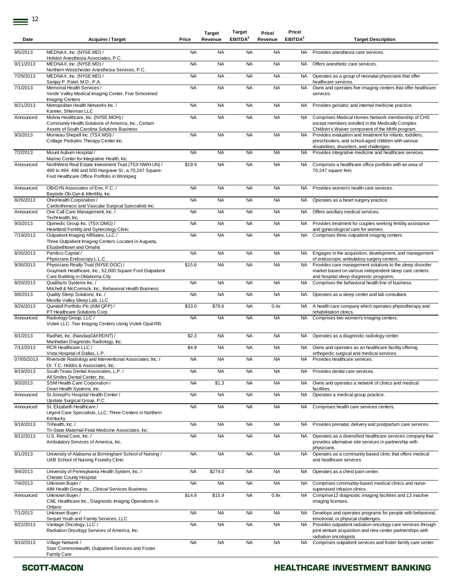$\equiv$ <sup>12</sup>

| Date       | <b>Acquirer / Target</b>                                                                                                                                                                                      | Price     | <b>Target</b><br>Revenue | <b>Target</b><br>EBITDA <sup>2</sup> | Price/<br>Revenue | Price/<br>EBITDA <sup>2</sup> | <b>Target Description</b>                                                                                                                                        |
|------------|---------------------------------------------------------------------------------------------------------------------------------------------------------------------------------------------------------------|-----------|--------------------------|--------------------------------------|-------------------|-------------------------------|------------------------------------------------------------------------------------------------------------------------------------------------------------------|
| 8/5/2013   | MEDNAX, Inc. (NYSE:MD) /<br>Holston Anesthesia Associates, P.C.                                                                                                                                               | <b>NA</b> | <b>NA</b>                | <b>NA</b>                            | <b>NA</b>         | NA.                           | Provides anesthesia care services.                                                                                                                               |
| 9/11/2013  | MEDNAX, Inc. (NYSE:MD) /<br>Northern Westchester Anesthesia Services, P.C.                                                                                                                                    | <b>NA</b> | <b>NA</b>                | <b>NA</b>                            | <b>NA</b>         | <b>NA</b>                     | Offers anesthetic care services.                                                                                                                                 |
| 7/29/2013  | MEDNAX, Inc. (NYSE:MD) /<br>Sanjay P. Patel, M.D., P.A.                                                                                                                                                       | <b>NA</b> | <b>NA</b>                | <b>NA</b>                            | <b>NA</b>         | NA                            | Operates as a group of neonatal physicians that offer<br>healthcare services.                                                                                    |
| 7/1/2013   | Memorial Health Services /<br>Verde Valley Medical Imaging Center, Five Simonmed<br><b>Imaging Centers</b>                                                                                                    | <b>NA</b> | <b>NA</b>                | <b>NA</b>                            | <b>NA</b>         | <b>NA</b>                     | Owns and operates five imaging centers that offer healthcare<br>services.                                                                                        |
| 8/21/2013  | Metropolitan Health Networks Inc. /<br>Kanner, Shteiman LLC                                                                                                                                                   | <b>NA</b> | <b>NA</b>                | <b>NA</b>                            | <b>NA</b>         | <b>NA</b>                     | Provides geriatric and internal medicine practice.                                                                                                               |
| Announced  | Molina Healthcare, Inc. (NYSE:MOH) /<br>Community Health Solutions of America, Inc., Certain<br>Assets of South Carolina Solutions Business                                                                   | <b>NA</b> | <b>NA</b>                | <b>NA</b>                            | <b>NA</b>         | <b>NA</b>                     | Comprises Medical Homes Network membership of CHS<br>except members enrolled in the Medically Complex<br>Children's Waiver component of the MHN program.         |
| 9/3/2013   | Morneau Shepell Inc. (TSX:MSI) /<br>Collage Pediatric Therapy Center Inc.                                                                                                                                     | <b>NA</b> | <b>NA</b>                | <b>NA</b>                            | <b>NA</b>         | <b>NA</b>                     | Provides evaluation and treatment for infants, toddlers,<br>preschoolers, and school-aged children with various<br>disabilities, disorders, and challenges.      |
| 7/2/2013   | Mount Auburn Hospital /                                                                                                                                                                                       | <b>NA</b> | <b>NA</b>                | <b>NA</b>                            | <b>NA</b>         | <b>NA</b>                     | Provides integrative medicine and healthcare services.                                                                                                           |
| Announced  | Marino Center for Integrative Health, Inc.<br>NorthWest Real Estate Investment Trust (TSX:NWH.UN) /<br>490 to 494, 496 and 500 Hargrave St., a 70,247 Square-<br>Foot Healthcare Office Portfolio in Winnipeg | \$19.9    | <b>NA</b>                | <b>NA</b>                            | <b>NA</b>         | NA                            | Comprises a healthcare office portfolio with an area of<br>70,247 square feet.                                                                                   |
| Announced  | OB/GYN Associates of Erie, P.C. /<br>Bayside Ob-Gyn & Infertility, Inc.                                                                                                                                       | <b>NA</b> | <b>NA</b>                | <b>NA</b>                            | <b>NA</b>         | <b>NA</b>                     | Provides women's health care services.                                                                                                                           |
| 8/26/2013  | OhioHealth Corporation /<br>Cardiothoracic and Vascular Surgical Specialists Inc.                                                                                                                             | <b>NA</b> | <b>NA</b>                | <b>NA</b>                            | <b>NA</b>         | NA                            | Operates as a heart surgery practice.                                                                                                                            |
| Announced  | One Call Care Management, Inc. /<br>TechHealth, Inc.                                                                                                                                                          | <b>NA</b> | <b>NA</b>                | <b>NA</b>                            | <b>NA</b>         | NA                            | Offers ancillary medical services.                                                                                                                               |
| 9/3/2013   | Opmedic Group Inc. (TSX:OMG) /<br>Heartland Fertility and Gynecology Clinic                                                                                                                                   | <b>NA</b> | <b>NA</b>                | <b>NA</b>                            | <b>NA</b>         | <b>NA</b>                     | Provides treatment for couples seeking fertility assistance<br>and gynecological care for women.                                                                 |
| 7/19/2013  | Outpatient Imaging Affiliates, LLC /<br>Three Outpatient Imaging Centers Located in Augusta,<br>Elizabethtown and Omaha                                                                                       | <b>NA</b> | <b>NA</b>                | <b>NA</b>                            | <b>NA</b>         | <b>NA</b>                     | Comprises three outpatient imaging centers.                                                                                                                      |
| 8/30/2013  | Pamlico Capital /<br>Physicians Endoscopy L.L.C.                                                                                                                                                              | <b>NA</b> | <b>NA</b>                | <b>NA</b>                            | <b>NA</b>         | <b>NA</b>                     | Engages in the acquisition, development, and management<br>of endoscopic ambulatory surgery centers.                                                             |
| 9/30/2013  | Physicians Realty Trust (NYSE:DOC) /<br>Graymark Healthcare, Inc., 52,000 Square Foot Outpatient<br>Care Building in Oklahoma City                                                                            | \$15.6    | <b>NA</b>                | <b>NA</b>                            | <b>NA</b>         | <b>NA</b>                     | Provides care management solutions to the sleep disorder<br>market based on various independent sleep care centers<br>and hospital sleep diagnostic programs.    |
| 8/20/2013  | Qualifacts Systems Inc./<br>Mitchell & McCormick, Inc., Behavioral Health Business                                                                                                                            | <b>NA</b> | <b>NA</b>                | <b>NA</b>                            | <b>NA</b>         | NA                            | Comprises the behavioral health line of business.                                                                                                                |
| 8/6/2013   | Quality Sleep Solutions, Inc. /<br>Mesilla Valley Sleep Lab, LLC                                                                                                                                              | <b>NA</b> | <b>NA</b>                | <b>NA</b>                            | <b>NA</b>         | NA                            | Operates as a sleep center and lab consultant.                                                                                                                   |
| 9/26/2013  | Quindell Portfolio Plc (AIM:QPP) /<br>PT Healthcare Solutions Corp.                                                                                                                                           | \$33.0    | \$79.6                   | <b>NA</b>                            | 0.4x              | <b>NA</b>                     | A health care company which operates physiotherapy and<br>rehabilitation clinics.                                                                                |
| Announced  | Radiology Group, LLC /<br>Viztek LLC, Two Imaging Centers Using Viztek Opal-RIS                                                                                                                               | <b>NA</b> | <b>NA</b>                | <b>NA</b>                            | <b>NA</b>         | <b>NA</b>                     | Comprises two women's imaging centers.                                                                                                                           |
| 8/1/2013   | RadNet, Inc. (NasdaqGM:RDNT) /<br>Manhattan Diagnostic Radiology, Inc.                                                                                                                                        | \$2.3     | <b>NA</b>                | <b>NA</b>                            | <b>NA</b>         | NA                            | Operates as a diagnostic radiology center.                                                                                                                       |
| 7/12/2013  | RCR Healthcare LLC /<br>Vista Hospital of Dallas, L.P.                                                                                                                                                        | \$4.9     | <b>NA</b>                | <b>NA</b>                            | <b>NA</b>         | NA                            | Owns and operates as an healthcare facility offering<br>orthopedic surgical and medical services.                                                                |
| 07/05/2013 | Riverside Radiology and Interventional Associates, Inc. /<br>Dr. T.C. Hobbs & Associates, Inc.                                                                                                                | <b>NA</b> | <b>NA</b>                | <b>NA</b>                            | <b>NA</b>         | <b>NA</b>                     | Provides healthcare services.                                                                                                                                    |
| 8/19/2013  | South Texas Dental Associates, L.P. /<br>All Smiles Dental Center, Inc.                                                                                                                                       | <b>NA</b> | <b>NA</b>                | <b>NA</b>                            | <b>NA</b>         | NA                            | Provides dental care services.                                                                                                                                   |
| 9/3/2013   | SSM Health Care Corporation /<br>Dean Health Systems, Inc.                                                                                                                                                    | <b>NA</b> | \$1.3                    | <b>NA</b>                            | <b>NA</b>         | NA                            | Owns and operates a network of clinics and medical<br>facilities.                                                                                                |
| Announced  | St Joseph's Hospital Health Center /<br>Upstate Surgical Group, P.C.                                                                                                                                          | <b>NA</b> | <b>NA</b>                | <b>NA</b>                            | <b>NA</b>         | <b>NA</b>                     | Operates a medical group practice.                                                                                                                               |
| Announced  | St. Elizabeth Healthcare /<br>Urgent Care Specialists, LLC, Three Centers in Northern<br>Kentucky                                                                                                             | <b>NA</b> | <b>NA</b>                | <b>NA</b>                            | <b>NA</b>         | NA                            | Comprises health care services centers.                                                                                                                          |
| 9/18/2013  | Trihealth, Inc. /<br>Tri-State Maternal-Fetal Medicine Associates, Inc.                                                                                                                                       | <b>NA</b> | <b>NA</b>                | <b>NA</b>                            | <b>NA</b>         | NA                            | Provides prenatal, delivery and postpartum care services.                                                                                                        |
| 8/12/2013  | U.S. Renal Care, Inc. /<br>Ambulatory Services of America, Inc.                                                                                                                                               | <b>NA</b> | <b>NA</b>                | <b>NA</b>                            | <b>NA</b>         | <b>NA</b>                     | Operates as a diversified healthcare services company that<br>provides alternative site services in partnership with                                             |
| 8/1/2013   | University of Alabama at Birmingham School of Nursing /<br>UAB School of Nursing Foundry Clinic                                                                                                               | <b>NA</b> | <b>NA</b>                | <b>NA</b>                            | <b>NA</b>         | NA                            | physicians.<br>Operates as a community based clinic that offers medical<br>and healthcare services.                                                              |
| 9/4/2013   | University of Pennsylvania Health System, Inc. /<br><b>Chester County Hospital</b>                                                                                                                            | <b>NA</b> | \$274.0                  | <b>NA</b>                            | <b>NA</b>         | NA                            | Operates as a chest pain center.                                                                                                                                 |
| 7/4/2013   | Unknown Buyer /<br>AIM Health Group Inc., Clinical Services Business                                                                                                                                          | <b>NA</b> | <b>NA</b>                | <b>NA</b>                            | <b>NA</b>         | NA.                           | Comprises community-based medical clinics and nurse-<br>supervised infusion clinics.                                                                             |
| Announced  | Unknown Buyer /<br>CML Healthcare Inc., Diagnostic Imaging Operations in                                                                                                                                      | \$14.9    | \$15.9                   | <b>NA</b>                            | 0.9x              | NA                            | Comprise12 diagnostic imaging facilities and 13 inactive<br>imaging licenses.                                                                                    |
| 7/1/2013   | Ontario<br>Unknown Buyer /<br>Sequel Youth and Family Services, LLC                                                                                                                                           | <b>NA</b> | <b>NA</b>                | <b>NA</b>                            | <b>NA</b>         | NA                            | Develops and operates programs for people with behavioral,                                                                                                       |
| 8/22/2013  | Vantage Oncology, LLC /<br>Radiation Oncology Services of America, Inc.                                                                                                                                       | <b>NA</b> | <b>NA</b>                | <b>NA</b>                            | <b>NA</b>         | NA                            | emotional, or physical challenges.<br>Provides outpatient radiation oncology care services through<br>joint venture acquisition and new center partnerships with |
| 9/10/2013  | Village Network /<br>Starr Commonwealth, Outpatient Services and Foster<br><b>Family Care</b>                                                                                                                 | <b>NA</b> | <b>NA</b>                | <b>NA</b>                            | <b>NA</b>         | <b>NA</b>                     | radiation oncologists.<br>Comprises outpatient services and foster family care center.                                                                           |

### SCOTT-MACON **SCOTT-MACON HEALTHCARE INVESTMENT BANKING**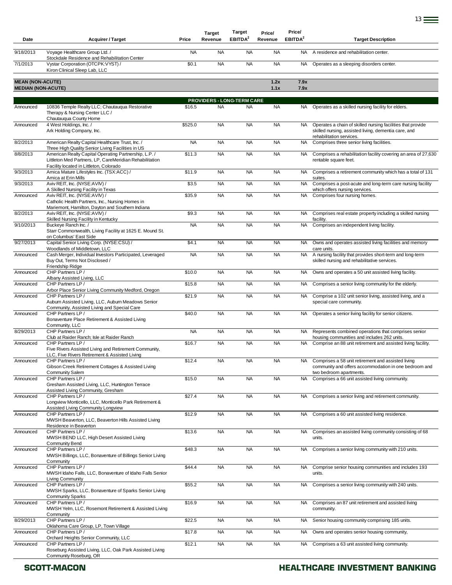| Date                                                 | <b>Acquirer / Target</b>                                                                                                                                                                                         | Price     | <b>Target</b><br>Revenue          | <b>Target</b><br>EBITDA <sup>2</sup> | Price/<br>Revenue | Price/<br>EBITDA <sup>2</sup> | <b>Target Description</b>                                                                                                                       |
|------------------------------------------------------|------------------------------------------------------------------------------------------------------------------------------------------------------------------------------------------------------------------|-----------|-----------------------------------|--------------------------------------|-------------------|-------------------------------|-------------------------------------------------------------------------------------------------------------------------------------------------|
| 9/18/2013                                            | Voyage Healthcare Group Ltd. /                                                                                                                                                                                   | <b>NA</b> | <b>NA</b>                         | <b>NA</b>                            | <b>NA</b>         | <b>NA</b>                     | A residence and rehabilitation center.                                                                                                          |
| 7/1/2013                                             | Stockdale Residence and Rehabilitation Center<br>Vystar Corporation (OTCPK:VYST) /<br>Kiron Clinical Sleep Lab, LLC                                                                                              | \$0.1     | <b>NA</b>                         | <b>NA</b>                            | <b>NA</b>         | <b>NA</b>                     | Operates as a sleeping disorders center.                                                                                                        |
| <b>MEAN (NON-ACUTE)</b><br><b>MEDIAN (NON-ACUTE)</b> |                                                                                                                                                                                                                  |           |                                   |                                      | 1.2x<br>1.1x      | 7.9x<br>7.9x                  |                                                                                                                                                 |
|                                                      |                                                                                                                                                                                                                  |           | <b>PROVIDERS - LONG-TERM CARE</b> |                                      |                   |                               |                                                                                                                                                 |
| Announced                                            | 10836 Temple Realty LLC; Chautauqua Restorative<br>Therapy & Nursing Center LLC /<br>Chautauqua County Home                                                                                                      | \$16.5    | <b>NA</b>                         | <b>NA</b>                            | <b>NA</b>         |                               | NA Operates as a skilled nursing facility for elders.                                                                                           |
| Announced                                            | 4 West Holdings, Inc. /<br>Ark Holding Company, Inc.                                                                                                                                                             | \$525.0   | <b>NA</b>                         | <b>NA</b>                            | <b>NA</b>         | NA.                           | Operates a chain of skilled nursing facilities that provide<br>skilled nursing, assisted living, dementia care, and<br>rehabilitation services. |
| 8/2/2013                                             | American Realty Capital Healthcare Trust, Inc. /                                                                                                                                                                 | <b>NA</b> | <b>NA</b>                         | <b>NA</b>                            | <b>NA</b>         | NA                            | Comprises three senior living facilities.                                                                                                       |
| 8/8/2013                                             | Three High Quality Senior Living Facilities in US<br>American Realty Capital Operating Partnership, L.P. /<br>Littleton Med Partners, LP, CareMeridian Rehabilitation<br>Facility located in Littleton, Colorado | \$11.3    | <b>NA</b>                         | <b>NA</b>                            | <b>NA</b>         | <b>NA</b>                     | Comprises a rehabilitation facility covering an area of 27,630<br>rentable square feet.                                                         |
| 9/3/2013                                             | Amica Mature Lifestyles Inc. (TSX:ACC) /<br>Amica at Erin Mills                                                                                                                                                  | \$11.9    | <b>NA</b>                         | <b>NA</b>                            | <b>NA</b>         | NA.                           | Comprises a retirement community which has a total of 131<br>suites.                                                                            |
| 9/3/2013                                             | Aviv REIT, Inc. (NYSE:AVIV) /                                                                                                                                                                                    | \$3.5     | <b>NA</b>                         | <b>NA</b>                            | <b>NA</b>         | <b>NA</b>                     | Comprises a post-acute and long-term care nursing facility                                                                                      |
| Announced                                            | A Skilled Nursing Facility in Texas<br>Aviv REIT, Inc. (NYSE:AVIV) /<br>Catholic Health Partners, Inc., Nursing Homes in                                                                                         | \$35.9    | <b>NA</b>                         | <b>NA</b>                            | <b>NA</b>         | NA                            | which offers nursing services.<br>Comprises four nursing homes.                                                                                 |
| 8/2/2013                                             | Mariemont, Hamilton, Dayton and Southern Indiana<br>Aviv REIT, Inc. (NYSE:AVIV) /                                                                                                                                | \$9.3     | <b>NA</b>                         | <b>NA</b>                            | <b>NA</b>         | NA.                           | Comprises real estate property including a skilled nursing                                                                                      |
| 9/10/2013                                            | Skilled Nursing Facility in Kentucky<br>Buckeye Ranch Inc. /                                                                                                                                                     | <b>NA</b> | <b>NA</b>                         | <b>NA</b>                            | <b>NA</b>         | <b>NA</b>                     | facility.<br>Comprises an independent living facility.                                                                                          |
|                                                      | Starr Commonwealth, Living Facility at 1625 E. Mound St.<br>on Columbus' East Side                                                                                                                               |           |                                   |                                      |                   |                               |                                                                                                                                                 |
| 9/27/2013                                            | Capital Senior Living Corp. (NYSE:CSU) /<br>Woodlands of Middletown, LLC                                                                                                                                         | \$4.1     | <b>NA</b>                         | <b>NA</b>                            | <b>NA</b>         | NA                            | Owns and operates assisted living facilities and memory<br>care units.                                                                          |
| Announced                                            | Cash Merger, Individual Investors Participated, Leveraged<br>Buy Out, Terms Not Disclosed /<br>Friendship Ridge                                                                                                  | <b>NA</b> | <b>NA</b>                         | <b>NA</b>                            | <b>NA</b>         | <b>NA</b>                     | A nursing facility that provides short-term and long-term<br>skilled nursing and rehabilitative services.                                       |
| Announced                                            | CHP Partners LP /                                                                                                                                                                                                | \$10.0    | <b>NA</b>                         | <b>NA</b>                            | <b>NA</b>         | <b>NA</b>                     | Owns and operates a 50 unit assisted living facility.                                                                                           |
| Announced                                            | Albany Assisted Living, LLC<br>CHP Partners LP /                                                                                                                                                                 | \$15.8    | <b>NA</b>                         | <b>NA</b>                            | <b>NA</b>         | NA.                           | Comprises a senior living community for the elderly.                                                                                            |
| Announced                                            | Arbor Place Senior Living Community Medford, Oregon<br>CHP Partners LP /<br>Auburn Assisted Living, LLC, Auburn Meadows Senior                                                                                   | \$21.9    | <b>NA</b>                         | <b>NA</b>                            | <b>NA</b>         | <b>NA</b>                     | Comprise a 102 unit senior living, assisted living, and a<br>special care community.                                                            |
| Announced                                            | Community, Assisted Living and Special Care<br>CHP Partners LP /<br>Bonaventure Place Retirement & Assisted Living                                                                                               | \$40.0    | <b>NA</b>                         | <b>NA</b>                            | <b>NA</b>         | <b>NA</b>                     | Operates a senior living facility for senior citizens.                                                                                          |
| 8/29/2013                                            | Community, LLC<br>CHP Partners LP /                                                                                                                                                                              | <b>NA</b> | <b>NA</b>                         | <b>NA</b>                            | <b>NA</b>         | NA.                           | Represents combined operations that comprises senior                                                                                            |
| Announced                                            | Club at Raider Ranch; Isle at Raider Ranch<br>CHP Partners LP /                                                                                                                                                  | \$16.7    | <b>NA</b>                         | <b>NA</b>                            | <b>NA</b>         | <b>NA</b>                     | housing communities and includes 262 units.<br>Comprise an 88 unit retirement and assisted living facility.                                     |
|                                                      | Five Rivers Assisted Living and Retirement Community,<br>LLC, Five Rivers Retirement & Assisted Living<br>CHP Partners LP /                                                                                      |           |                                   |                                      |                   |                               | Comprises a 58 unit retirement and assisted living                                                                                              |
| Announced                                            | Gibson Creek Retirement Cottages & Assisted Living<br><b>Community Salem</b>                                                                                                                                     | \$12.4    | <b>NA</b>                         | <b>NA</b>                            | <b>NA</b>         | NA.                           | community and offers accommodation in one bedroom and<br>two bedroom apartments.                                                                |
| Announced                                            | CHP Partners LP /<br>Gresham Assisted Living, LLC, Huntington Terrace<br>Assisted Living Community, Gresham                                                                                                      | \$15.0    | <b>NA</b>                         | <b>NA</b>                            | <b>NA</b>         | <b>NA</b>                     | Comprises a 66 unit assisted living community.                                                                                                  |
| Announced                                            | CHP Partners LP /<br>Longview Monticello, LLC, Monticello Park Retirement &                                                                                                                                      | \$27.4    | <b>NA</b>                         | <b>NA</b>                            | <b>NA</b>         | NA                            | Comprises a senior living and retirement community.                                                                                             |
| Announced                                            | Assisted Living Community Longview<br>CHP Partners LP /<br>MWSH Beaverton, LLC, Beaverton Hills Assisted Living<br>Residence in Beaverton                                                                        | \$12.9    | <b>NA</b>                         | <b>NA</b>                            | <b>NA</b>         | NA.                           | Comprises a 60 unit assisted living residence.                                                                                                  |
| Announced                                            | CHP Partners LP /<br>MWSH BEND LLC, High Desert Assisted Living                                                                                                                                                  | \$13.6    | <b>NA</b>                         | <b>NA</b>                            | <b>NA</b>         | <b>NA</b>                     | Comprises an assisted living community consisting of 68<br>units.                                                                               |
| Announced                                            | <b>Community Bend</b><br>CHP Partners LP /<br>MWSH Billings, LLC, Bonaventure of Billings Senior Living                                                                                                          | \$48.3    | <b>NA</b>                         | <b>NA</b>                            | <b>NA</b>         | <b>NA</b>                     | Comprises a senior living community with 210 units.                                                                                             |
| Announced                                            | Community<br>CHP Partners LP /<br>MWSH Idaho Falls, LLC, Bonaventure of Idaho Falls Senior<br>Living Community                                                                                                   | \$44.4    | <b>NA</b>                         | <b>NA</b>                            | <b>NA</b>         | <b>NA</b>                     | Comprise senior housing communities and includes 193<br>units.                                                                                  |
| Announced                                            | CHP Partners LP /<br>MWSH Sparks, LLC, Bonaventure of Sparks Senior Living<br><b>Community Sparks</b>                                                                                                            | \$55.2    | <b>NA</b>                         | <b>NA</b>                            | <b>NA</b>         | <b>NA</b>                     | Comprises a senior living community with 240 units.                                                                                             |
| Announced                                            | CHP Partners LP /<br>MWSH Yelm, LLC, Rosemont Retirement & Assisted Living                                                                                                                                       | \$16.9    | <b>NA</b>                         | <b>NA</b>                            | <b>NA</b>         | NA                            | Comprises an 87 unit retirement and assisted living<br>community.                                                                               |
| 8/29/2013                                            | Community<br>CHP Partners LP /                                                                                                                                                                                   | \$22.5    | <b>NA</b>                         | <b>NA</b>                            | <b>NA</b>         | <b>NA</b>                     | Senior housing community comprising 185 units.                                                                                                  |
| Announced                                            | Oklahoma Care Group, LP, Town Village<br>CHP Partners LP /                                                                                                                                                       | \$17.8    | <b>NA</b>                         | <b>NA</b>                            | <b>NA</b>         | NA.                           | Owns and operates senior housing community,                                                                                                     |
| Announced                                            | Orchard Heights Senior Community, LLC<br>CHP Partners LP /                                                                                                                                                       | \$12.1    | <b>NA</b>                         | <b>NA</b>                            | <b>NA</b>         | NA.                           | Comprises a 63 unit assisted living community.                                                                                                  |
|                                                      | Roseburg Assisted Living, LLC, Oak Park Assisted Living<br>Community Roseburg, OR                                                                                                                                |           |                                   |                                      |                   |                               |                                                                                                                                                 |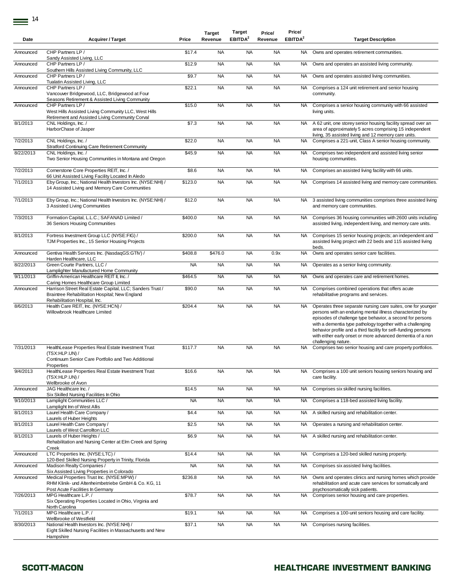| Date      | <b>Acquirer / Target</b>                                                                                                                                                            | Price     | <b>Target</b><br>Revenue | Target<br>EBITDA <sup>2</sup> | Price/<br>Revenue | Price/<br>EBITDA <sup>2</sup> | <b>Target Description</b>                                                                                                                                                                                                                                                                                                                                                                                  |
|-----------|-------------------------------------------------------------------------------------------------------------------------------------------------------------------------------------|-----------|--------------------------|-------------------------------|-------------------|-------------------------------|------------------------------------------------------------------------------------------------------------------------------------------------------------------------------------------------------------------------------------------------------------------------------------------------------------------------------------------------------------------------------------------------------------|
| Announced | CHP Partners LP /<br>Sandy Assisted Living, LLC                                                                                                                                     | \$17.4    | <b>NA</b>                | <b>NA</b>                     | <b>NA</b>         | NA.                           | Owns and operates retirement communities.                                                                                                                                                                                                                                                                                                                                                                  |
| Announced | CHP Partners LP /<br>Southern Hills Assisted Living Community, LLC                                                                                                                  | \$12.9    | <b>NA</b>                | <b>NA</b>                     | <b>NA</b>         | <b>NA</b>                     | Owns and operates an assisted living community.                                                                                                                                                                                                                                                                                                                                                            |
| Announced | CHP Partners LP /<br>Tualatin Assisted Living, LLC                                                                                                                                  | \$9.7     | <b>NA</b>                | <b>NA</b>                     | <b>NA</b>         | <b>NA</b>                     | Owns and operates assisted living communities.                                                                                                                                                                                                                                                                                                                                                             |
| Announced | CHP Partners LP /<br>Vancouver Bridgewood, LLC, Bridgewood at Four<br>Seasons Retirement & Assisted Living Community                                                                | \$22.1    | <b>NA</b>                | <b>NA</b>                     | <b>NA</b>         | <b>NA</b>                     | Comprises a 124 unit retirement and senior housing<br>community.                                                                                                                                                                                                                                                                                                                                           |
| Announced | CHP Partners LP /<br>West Hills Assisted Living Community LLC, West Hills<br>Retirement and Assisted Living Community Corval                                                        | \$15.0    | <b>NA</b>                | <b>NA</b>                     | <b>NA</b>         | <b>NA</b>                     | Comprises a senior housing community with 66 assisted<br>living units.                                                                                                                                                                                                                                                                                                                                     |
| 8/1/2013  | CNL Holdings, Inc. /<br>HarborChase of Jasper                                                                                                                                       | \$7.3     | <b>NA</b>                | <b>NA</b>                     | <b>NA</b>         | NA                            | A 62 unit, one storey senior housing facility spread over an<br>area of approximately 5 acres comprising 15 independent<br>living, 35 assisted living and 12 memory care units.                                                                                                                                                                                                                            |
| 7/2/2013  | CNL Holdings, Inc. /<br><b>Stratford Continuing Care Retirement Community</b>                                                                                                       | \$22.0    | <b>NA</b>                | <b>NA</b>                     | <b>NA</b>         | <b>NA</b>                     | Comprises a 221-unit, Class A senior housing community.                                                                                                                                                                                                                                                                                                                                                    |
| 8/22/2013 | CNL Holdings, Inc. /<br>Two Senior Housing Communities in Montana and Oregon                                                                                                        | \$45.9    | <b>NA</b>                | <b>NA</b>                     | <b>NA</b>         | NA                            | Comprises two independent and assisted living senior<br>housing communities.                                                                                                                                                                                                                                                                                                                               |
| 7/2/2013  | Cornerstone Core Properties REIT, Inc. /<br>66 Unit Assisted Living Facility Located In Aledo                                                                                       | \$8.6     | <b>NA</b>                | <b>NA</b>                     | <b>NA</b>         | NA                            | Comprises an assisted living facility with 66 units.                                                                                                                                                                                                                                                                                                                                                       |
| 7/1/2013  | Eby Group, Inc.; National Health Investors Inc. (NYSE:NHI) /<br>14 Assisted Living and Memory Care Communities                                                                      | \$123.0   | <b>NA</b>                | <b>NA</b>                     | <b>NA</b>         | NA                            | Comprises 14 assisted living and memory care communities.                                                                                                                                                                                                                                                                                                                                                  |
| 7/1/2013  | Eby Group, Inc.; National Health Investors Inc. (NYSE:NHI) /<br>3 Assisted Living Communities                                                                                       | \$12.0    | <b>NA</b>                | <b>NA</b>                     | <b>NA</b>         | NA                            | 3 assisted living communities comprises three assisted living<br>and memory care communities.                                                                                                                                                                                                                                                                                                              |
| 7/3/2013  | Formation Capital, L.L.C.; SAFANAD Limited /<br>36 Seniors Housing Communities                                                                                                      | \$400.0   | <b>NA</b>                | <b>NA</b>                     | <b>NA</b>         | <b>NA</b>                     | Comprises 36 housing communities with 2600 units including<br>assisted living, independent living, and memory care units.                                                                                                                                                                                                                                                                                  |
| 8/1/2013  | Fortress Investment Group LLC (NYSE:FIG) /<br>TJM Properties Inc., 15 Senior Housing Projects                                                                                       | \$200.0   | <b>NA</b>                | <b>NA</b>                     | <b>NA</b>         | NA                            | Comprises 15 senior housing projects; an independent and<br>assisted living project with 22 beds and 115 assisted living<br>beds.                                                                                                                                                                                                                                                                          |
| Announced | Gentiva Health Services Inc. (NasdaqGS:GTIV) /<br>Harden Healthcare, LLC                                                                                                            | \$408.8   | \$476.0                  | <b>NA</b>                     | 0.9x              | <b>NA</b>                     | Owns and operates senior care facilities.                                                                                                                                                                                                                                                                                                                                                                  |
| 8/22/2013 | Green Courte Partners, LLC /<br>Lamplighter Manufactured Home Community                                                                                                             | <b>NA</b> | <b>NA</b>                | <b>NA</b>                     | <b>NA</b>         | NA                            | Operates as a senior living community.                                                                                                                                                                                                                                                                                                                                                                     |
| 9/11/2013 | Griffin-American Healthcare REIT II, Inc. /<br>Caring Homes Healthcare Group Limited                                                                                                | \$464.5   | <b>NA</b>                | <b>NA</b>                     | <b>NA</b>         | NA                            | Owns and operates care and retirement homes.                                                                                                                                                                                                                                                                                                                                                               |
| Announced | Harrison Street Real Estate Capital, LLC; Sanders Trust /<br>Braintree Rehabilitation Hospital; New England<br>Rehabilitation Hospital, Inc.                                        | \$90.0    | <b>NA</b>                | <b>NA</b>                     | <b>NA</b>         | NA                            | Comprises combined operations that offers acute<br>rehabilitative programs and services.                                                                                                                                                                                                                                                                                                                   |
| 8/6/2013  | Health Care REIT, Inc. (NYSE:HCN) /<br>Willowbrook Healthcare Limited                                                                                                               | \$204.4   | <b>NA</b>                | <b>NA</b>                     | <b>NA</b>         | NA                            | Operates three separate nursing care suites, one for younger<br>persons with an enduring mental illness characterized by<br>episodes of challenge type behavior, a second for persons<br>with a dementia type pathology together with a challenging<br>behavior profile and a third facility for self-funding persons<br>with either early onset or more advanced dementia of a non<br>challenging nature. |
| 7/31/2013 | HealthLease Properties Real Estate Investment Trust<br>(TSX:HLP.UN) /<br>Continuum Senior Care Portfolio and Two Additional                                                         | \$117.7   | <b>NA</b>                | <b>NA</b>                     | <b>NA</b>         | NA                            | Comprises two senior housing and care property portfolios.                                                                                                                                                                                                                                                                                                                                                 |
| 9/4/2013  | Properties<br>HealthLease Properties Real Estate Investment Trust<br>(TSX:HLP.UN) /<br>Wellbrooke of Avon                                                                           | \$16.6    | <b>NA</b>                | <b>NA</b>                     | <b>NA</b>         | NA                            | Comprises a 100 unit seniors housing seniors housing and<br>care facility.                                                                                                                                                                                                                                                                                                                                 |
| Announced | JAG Healthcare Inc. /                                                                                                                                                               | \$14.5    | <b>NA</b>                | <b>NA</b>                     | <b>NA</b>         | NA                            | Comprises six skilled nursing facilities.                                                                                                                                                                                                                                                                                                                                                                  |
| 9/10/2013 | Six Skilled Nursing Facilities In Ohio<br>Lamplight Communities LLC /                                                                                                               | <b>NA</b> | <b>NA</b>                | <b>NA</b>                     | <b>NA</b>         | NA                            | Comprises a 118-bed assisted living facility.                                                                                                                                                                                                                                                                                                                                                              |
| 8/1/2013  | Lamplight Inn of West Allis<br>Laurel Health Care Company /                                                                                                                         | \$4.4     | <b>NA</b>                | <b>NA</b>                     | <b>NA</b>         | NA                            | A skilled nursing and rehabilitation center.                                                                                                                                                                                                                                                                                                                                                               |
| 8/1/2013  | Laurels of Huber Heights<br>Laurel Health Care Company /                                                                                                                            | \$2.5     | <b>NA</b>                | <b>NA</b>                     | <b>NA</b>         | NA                            | Operates a nursing and rehabilitation center.                                                                                                                                                                                                                                                                                                                                                              |
| 8/1/2013  | Laurels of West Carrollton LLC<br>Laurels of Huber Heights /<br>Rehabilitation and Nursing Center at Elm Creek and Spring                                                           | \$6.9     | <b>NA</b>                | <b>NA</b>                     | <b>NA</b>         | NA                            | A skilled nursing and rehabilitation center.                                                                                                                                                                                                                                                                                                                                                               |
| Announced | Creek<br>LTC Properties Inc. (NYSE:LTC) /                                                                                                                                           | \$14.4    | <b>NA</b>                | <b>NA</b>                     | <b>NA</b>         | NA                            | Comprises a 120-bed skilled nursing property.                                                                                                                                                                                                                                                                                                                                                              |
| Announced | 120-Bed Skilled Nursing Property in Trinity, Florida<br>Madison Realty Companies /                                                                                                  | <b>NA</b> | <b>NA</b>                | <b>NA</b>                     | <b>NA</b>         | NA                            | Comprises six assisted living facilities.                                                                                                                                                                                                                                                                                                                                                                  |
| Announced | Six Assisted Living Properties in Colorado<br>Medical Properties Trust Inc. (NYSE:MPW) /<br>RHM Klinik- und Altenheimbetriebe GmbH & Co. KG, 11<br>Post Acute Facilities In Germany | \$236.8   | <b>NA</b>                | <b>NA</b>                     | <b>NA</b>         | NA                            | Owns and operates clinics and nursing homes which provide<br>rehabilitation and acute care services for somatically and<br>psychosomatically sick patients.                                                                                                                                                                                                                                                |
| 7/26/2013 | MPG Healthcare L.P. /<br>Six Operating Properties Located in Ohio, Virginia and<br>North Carolina                                                                                   | \$78.7    | <b>NA</b>                | <b>NA</b>                     | <b>NA</b>         | NA                            | Comprises senior housing and care properties.                                                                                                                                                                                                                                                                                                                                                              |
| 7/1/2013  | MPG Healthcare L.P. /<br>Wellbrooke of Westfield                                                                                                                                    | \$19.1    | <b>NA</b>                | <b>NA</b>                     | <b>NA</b>         | NA                            | Comprises a 100-unit seniors housing and care facility.                                                                                                                                                                                                                                                                                                                                                    |
| 8/30/2013 | National Health Investors Inc. (NYSE:NHI) /<br>Eight Skilled Nursing Facilities in Massachusetts and New<br>Hampshire                                                               | \$37.1    | <b>NA</b>                | <b>NA</b>                     | <b>NA</b>         | NA                            | Comprises nursing facilities.                                                                                                                                                                                                                                                                                                                                                                              |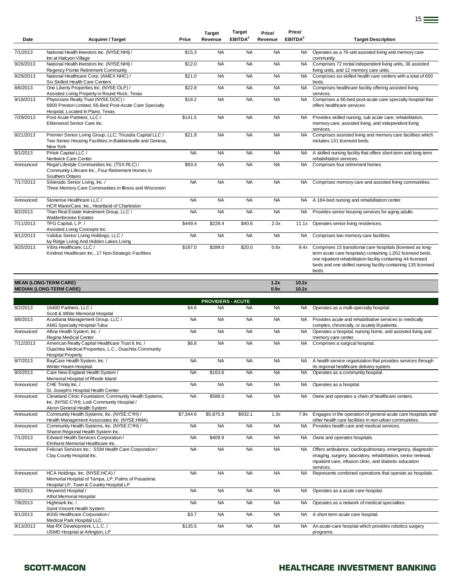| Date      | <b>Acquirer / Target</b>                                                                                                                                                   | Price     | <b>Target</b><br>Revenue              | <b>Target</b><br>EBITDA <sup>2</sup> | Price/<br>Revenue | Price/<br>EBITDA <sup>2</sup> | <b>Target Description</b>                                                                                                                                                                                                                                                |
|-----------|----------------------------------------------------------------------------------------------------------------------------------------------------------------------------|-----------|---------------------------------------|--------------------------------------|-------------------|-------------------------------|--------------------------------------------------------------------------------------------------------------------------------------------------------------------------------------------------------------------------------------------------------------------------|
| 7/1/2013  | National Health Investors Inc. (NYSE:NHI) /<br>Inn at Halcyon Village                                                                                                      | \$15.3    | <b>NA</b>                             | <b>NA</b>                            | <b>NA</b>         | NA.                           | Operates as a 76-unit assisted living and memory care<br>community.                                                                                                                                                                                                      |
| 9/26/2013 | National Health Investors Inc. (NYSE:NHI) /<br>Regency Pointe Retirement Community                                                                                         | \$12.0    | <b>NA</b>                             | <b>NA</b>                            | <b>NA</b>         | <b>NA</b>                     | Comprises 72 rental independent living units, 36 assisted<br>living units, and 12 memory care units.                                                                                                                                                                     |
| 8/29/2013 | National Healthcare Corp. (AMEX:NHC) /<br>Six Skilled Health Care Centers                                                                                                  | \$21.0    | <b>NA</b>                             | <b>NA</b>                            | <b>NA</b>         | NA.                           | Comprises six skilled health care centers with a total of 650<br>beds.                                                                                                                                                                                                   |
| 8/6/2013  | One Liberty Properties Inc. (NYSE:OLP) /<br>Assisted Living Property in Round Rock, Texas                                                                                  | \$22.8    | <b>NA</b>                             | <b>NA</b>                            | <b>NA</b>         | <b>NA</b>                     | Comprises healthcare facility offering assisted living<br>services.                                                                                                                                                                                                      |
| 9/18/2013 | Physicians Realty Trust (NYSE:DOC) /<br>6800 Preston Limited, 66-Bed Post-Acute Care Specialty                                                                             | \$18.2    | <b>NA</b>                             | <b>NA</b>                            | <b>NA</b>         | <b>NA</b>                     | Comprises a 66-bed post-acute care specialty hospital that<br>offers healthcare services.                                                                                                                                                                                |
| 7/29/2013 | Hospital, Located In Plano, Texas<br>Post Acute Partners, LLC /<br>Elderwood Senior Care Inc.                                                                              | \$141.5   | <b>NA</b>                             | <b>NA</b>                            | <b>NA</b>         | <b>NA</b>                     | Provides skilled nursing, sub acute care, rehabilitation,<br>memory care, assisted living, and independent living<br>services.                                                                                                                                           |
| 8/21/2013 | Premier Senior Living Group, LLC; Tricadia Capital LLC /<br>Two Senior Housing Facilities in Baldwinsville and Geneva,<br>New York                                         | \$21.9    | <b>NA</b>                             | <b>NA</b>                            | <b>NA</b>         | NA                            | Comprises assisted living and memory care facilities which<br>includes 131 licensed beds.                                                                                                                                                                                |
| 8/1/2013  | Pritok Capital LLC /                                                                                                                                                       | <b>NA</b> | <b>NA</b>                             | <b>NA</b>                            | <b>NA</b>         | NA                            | A skilled nursing facility that offers short-term and long-term                                                                                                                                                                                                          |
| Announced | Nentwick Care Center<br>Regal Lifestyle Communities Inc. (TSX:RLC) /<br>Community Lifecare Inc., Four Retirement Homes in<br>Southern Ontario                              | \$93.4    | <b>NA</b>                             | <b>NA</b>                            | <b>NA</b>         | <b>NA</b>                     | rehabilitation services.<br>Comprises four retirement homes.                                                                                                                                                                                                             |
| 7/17/2013 | Silverado Senior Living, Inc. /<br>Three Memory Care Communities in Illinois and Wisconsin                                                                                 | <b>NA</b> | <b>NA</b>                             | <b>NA</b>                            | <b>NA</b>         | NA                            | Comprises memory care and assisted living communities.                                                                                                                                                                                                                   |
| Announced | Stonerise Healthcare LLC /<br>HCR ManorCare, Inc., Heartland of Charleston                                                                                                 | <b>NA</b> | <b>NA</b>                             | <b>NA</b>                            | <b>NA</b>         | NA                            | A 184-bed nursing and rehabilitation center.                                                                                                                                                                                                                             |
| 8/2/2013  | Titan Real Estate Investment Group, LLC /<br>Waldenbrooke Estates                                                                                                          | <b>NA</b> | <b>NA</b>                             | <b>NA</b>                            | <b>NA</b>         | NA                            | Provides senior housing services for aging adults.                                                                                                                                                                                                                       |
| 7/11/2013 | TPG Capital, L.P./<br>Assisted Living Concepts Inc.                                                                                                                        | \$449.4   | \$228.4                               | \$40.6                               | 2.0x              | 11.1x                         | Operates senior living residences.                                                                                                                                                                                                                                       |
| 9/12/2013 | Validus Senior Living Holdings, LLC /                                                                                                                                      | <b>NA</b> | <b>NA</b>                             | <b>NA</b>                            | <b>NA</b>         | <b>NA</b>                     | Comprises two memory care facilities.                                                                                                                                                                                                                                    |
| 9/25/2013 | lvy Ridge Living And Hidden Lakes Living<br>Vibra Healthcare, LLC /<br>Kindred Healthcare Inc., 17 Non-Strategic Facilities                                                | \$187.0   | \$289.0                               | \$20.0                               | 0.6x              |                               | 9.4x Comprises 15 transitional care hospitals (licensed as long-<br>term acute care hospitals) containing 1,052 licensed beds,<br>one inpatient rehabilitation facility containing 44 licensed<br>beds and one skilled nursing facility containing 135 licensed<br>beds. |
|           | <b>MEAN (LONG-TERM CARE)</b>                                                                                                                                               |           |                                       |                                      | 1.2x              | 10.2x                         |                                                                                                                                                                                                                                                                          |
|           | <b>MEDIAN (LONG-TERM CARE)</b>                                                                                                                                             |           |                                       |                                      | 0.9x              | 10.2x                         |                                                                                                                                                                                                                                                                          |
| 8/2/2013  | 16400 Partners, LLC /                                                                                                                                                      | \$4.6     | <b>PROVIDERS - ACUTE</b><br><b>NA</b> | <b>NA</b>                            | <b>NA</b>         | NA.                           | Operates as a multi-specialty hospital.                                                                                                                                                                                                                                  |
| 8/6/2013  | Scott & White Memorial Hospital<br>Acadiana Management Group, LLC /                                                                                                        | <b>NA</b> | <b>NA</b>                             | <b>NA</b>                            | <b>NA</b>         | <b>NA</b>                     | Provides acute and rehabilitative services to medically                                                                                                                                                                                                                  |
| Announced | AMG Specialty Hospital-Tulsa<br>Allina Health System, Inc. /                                                                                                               | <b>NA</b> | <b>NA</b>                             | <b>NA</b>                            | <b>NA</b>         | <b>NA</b>                     | complex, chronically, or acutely ill patients.<br>Operates a hospital, nursing home, and assisted living and                                                                                                                                                             |
| 7/12/2013 | Regina Medical Center<br>American Realty Capital Healthcare Trust II, Inc. /                                                                                               | \$6.8     | <b>NA</b>                             | <b>NA</b>                            | <b>NA</b>         | NA                            | memory care center.<br>Comprises a surgical hospital.                                                                                                                                                                                                                    |
|           | Ouachita Medical Properties, L.C., Ouachita Community<br><b>Hospital Property</b>                                                                                          |           |                                       |                                      |                   |                               |                                                                                                                                                                                                                                                                          |
| 8/7/2013  | BayCare Health System, Inc. /<br>Winter Haven Hospital                                                                                                                     | <b>NA</b> | <b>NA</b>                             | <b>NA</b>                            | <b>NA</b>         | <b>NA</b>                     | A health service organization that provides services through<br>its regional healthcare delivery system.                                                                                                                                                                 |
| 9/3/2013  | Care New England Health System /<br>Memorial Hospital of Rhode Island                                                                                                      | <b>NA</b> | \$163.6                               | <b>NA</b>                            | <b>NA</b>         | NA                            | Operates as a community hospital.                                                                                                                                                                                                                                        |
| Announced | CHE Trinity Inc. /                                                                                                                                                         | <b>NA</b> | <b>NA</b>                             | <b>NA</b>                            | <b>NA</b>         | NA.                           | Operates as a hospital.                                                                                                                                                                                                                                                  |
| Announced | St. Joseph's Hospital Health Center<br>Cleveland Clinic Foundation; Community Health Systems,<br>Inc. (NYSE:CYH); Lodi Community Hospital /<br>Akron General Health System | <b>NA</b> | \$588.0                               | <b>NA</b>                            | <b>NA</b>         | NA                            | Owns and operates a chain of healthcare centers.                                                                                                                                                                                                                         |
| Announced | Community Health Systems, Inc. (NYSE:CYH) /                                                                                                                                | \$7,344.6 | \$5,875.9                             | \$932.1                              | 1.3x              | 7.9x                          | Engages in the operation of general acute care hospitals and                                                                                                                                                                                                             |
| Announced | Health Management Associates Inc. (NYSE:HMA)<br>Community Health Systems, Inc. (NYSE:CYH) /                                                                                | <b>NA</b> | <b>NA</b>                             | <b>NA</b>                            | <b>NA</b>         | <b>NA</b>                     | other health care facilities in non-urban communities.<br>Provides health care and medical services.                                                                                                                                                                     |
| 7/1/2013  | Sharon Regional Health System Inc.<br>Edward Health Services Corporation /                                                                                                 | <b>NA</b> | \$409.9                               | <b>NA</b>                            | <b>NA</b>         | NA                            | Owns and operates hospitals.                                                                                                                                                                                                                                             |
| Announced | Elmhurst Memorial Healthcare Inc.<br>Felician Services Inc.; SSM Health Care Corporation /<br>Clay County Hospital Inc.                                                    | <b>NA</b> | <b>NA</b>                             | <b>NA</b>                            | <b>NA</b>         | <b>NA</b>                     | Offers ambulance, cardiopulmonary, emergency, diagnostic<br>imaging, surgery, laboratory, rehabilitation, senior renewal,<br>inpatient care, infusion clinic, and diabetic education<br>services.                                                                        |
| Announced | HCA Holdings, Inc. (NYSE:HCA) /<br>Memorial Hospital of Tampa, LP; Palms of Pasadena<br>Hospital LP; Town & Country Hospital LP                                            | <b>NA</b> | <b>NA</b>                             | <b>NA</b>                            | <b>NA</b>         | NA.                           | Represents combined operations that operate as hospitals.                                                                                                                                                                                                                |
| 8/9/2013  | Heywood Hospital /<br>Athol Memorial Hospital                                                                                                                              | <b>NA</b> | <b>NA</b>                             | <b>NA</b>                            | <b>NA</b>         | NA                            | Operates as a acute care hospital.                                                                                                                                                                                                                                       |
| 7/8/2013  | Highmark Inc. /<br>Saint Vincent Health System                                                                                                                             | <b>NA</b> | <b>NA</b>                             | <b>NA</b>                            | <b>NA</b>         | NA                            | Operates as a network of medical specialties.                                                                                                                                                                                                                            |
| 8/1/2013  | IASIS Healthcare Corporation /                                                                                                                                             | \$3.7     | <b>NA</b>                             | <b>NA</b>                            | <b>NA</b>         | NA.                           | A short term acute care hospital.                                                                                                                                                                                                                                        |
| 9/13/2013 | Medical Park Hospital LLC<br>Mat-RX Development, L.L.C. /<br>USMD Hospital at Arlington, LP                                                                                | \$135.5   | <b>NA</b>                             | <b>NA</b>                            | <b>NA</b>         | NA                            | An acute-care hospital which provides robotics surgery<br>programs.                                                                                                                                                                                                      |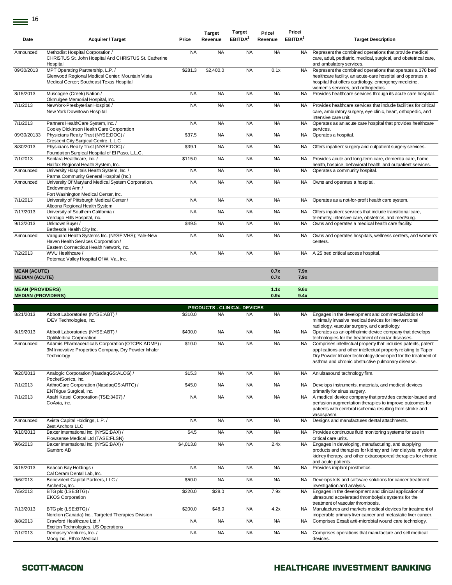| Date                                                 | <b>Acquirer / Target</b>                                                                                                                    | Price                  | <b>Target</b><br>Revenue | rarget<br>EBITDA <sup>2</sup> | Price/<br>Revenue      | <b>Price/</b><br>EBITDA <sup>2</sup> | <b>Target Description</b>                                                                                                                                                                                                                            |
|------------------------------------------------------|---------------------------------------------------------------------------------------------------------------------------------------------|------------------------|--------------------------|-------------------------------|------------------------|--------------------------------------|------------------------------------------------------------------------------------------------------------------------------------------------------------------------------------------------------------------------------------------------------|
| Announced                                            | Methodist Hospital Corporation /<br>CHRISTUS St. John Hospital And CHRISTUS St. Catherine<br>Hospital                                       | <b>NA</b>              | <b>NA</b>                | <b>NA</b>                     | <b>NA</b>              | <b>NA</b>                            | Represent the combined operations that provide medical<br>care, adult, pediatric, medical, surgical, and obstetrical care,<br>and ambulatory services.                                                                                               |
| 09/30/2013                                           | MPT Operating Partnership, L.P./<br>Glenwood Regional Medical Center; Mountain Vista<br>Medical Center; Southeast Texas Hospital            | \$281.3                | \$2,400.0                | <b>NA</b>                     | 0.1x                   | NA.                                  | Represent the combined operations that operates a 178 bed<br>healthcare facility, an acute-care hospital and operates a<br>hospital that offers cardiology, emergency medicine,<br>women's services, and orthopedics.                                |
| 8/15/2013                                            | Muscogee (Creek) Nation /<br>Okmulgee Memorial Hospital, Inc.                                                                               | <b>NA</b>              | <b>NA</b>                | <b>NA</b>                     | <b>NA</b>              | <b>NA</b>                            | Provides healthcare services through its acute care hospital.                                                                                                                                                                                        |
| 7/1/2013                                             | NewYork-Presbyterian Hospital /<br>New York Downtown Hospital                                                                               | <b>NA</b>              | <b>NA</b>                | <b>NA</b>                     | <b>NA</b>              | <b>NA</b>                            | Provides healthcare services that include facilities for critical<br>care, ambulatory surgery, eye clinic, heart, orthopedic, and<br>intensive care unit.                                                                                            |
| 7/1/2013                                             | Partners HealthCare System, Inc. /<br>Cooley Dickinson Health Care Corporation                                                              | <b>NA</b>              | <b>NA</b>                | <b>NA</b>                     | <b>NA</b>              | <b>NA</b>                            | Operates as an acute care hospital that provides healthcare<br>services.                                                                                                                                                                             |
| 09/30/20133                                          | Physicians Realty Trust (NYSE:DOC) /<br>Crescent City Surgical Centre, L.L.C                                                                | \$37.5                 | <b>NA</b>                | <b>NA</b>                     | <b>NA</b>              | <b>NA</b>                            | Operates a hospital.                                                                                                                                                                                                                                 |
| 8/30/2013                                            | Physicians Realty Trust (NYSE:DOC) /<br>Foundation Surgical Hospital of El Paso, L.L.C.                                                     | \$39.1                 | <b>NA</b>                | <b>NA</b>                     | <b>NA</b>              | NA.                                  | Offers inpatient surgery and outpatient surgery services.                                                                                                                                                                                            |
| 7/1/2013                                             | Sentara Healthcare, Inc. /<br>Halifax Regional Health System, Inc.                                                                          | \$115.0                | <b>NA</b>                | <b>NA</b>                     | <b>NA</b>              | NA                                   | Provides acute and long-term care, dementia care, home<br>health, hospice, behavioral health, and outpatient services.                                                                                                                               |
| Announced<br>Announced                               | University Hospitals Health System, Inc. /<br>Parma Community General Hospital (Inc.)<br>University Of Maryland Medical System Corporation, | <b>NA</b><br><b>NA</b> | <b>NA</b><br><b>NA</b>   | <b>NA</b><br><b>NA</b>        | <b>NA</b><br><b>NA</b> | NA.<br>NA.                           | Operates a community hospital.<br>Owns and operates a hospital.                                                                                                                                                                                      |
|                                                      | Endowment Arm /<br>Fort Washington Medical Center, Inc.                                                                                     |                        |                          |                               |                        |                                      |                                                                                                                                                                                                                                                      |
| 7/1/2013                                             | University of Pittsburgh Medical Center /<br>Altoona Regional Health System                                                                 | <b>NA</b>              | <b>NA</b>                | <b>NA</b>                     | <b>NA</b>              | NA.                                  | Operates as a not-for-profit health care system.                                                                                                                                                                                                     |
| 7/17/2013                                            | University of Southern California /<br>Verdugo Hills Hospital, Inc.                                                                         | <b>NA</b>              | <b>NA</b>                | <b>NA</b>                     | <b>NA</b>              | NA                                   | Offers inpatient services that include transitional care,<br>telemetry, intensive care, obstetrics, and med/surg.                                                                                                                                    |
| 9/13/2013                                            | Unknown Buyer /<br>Bethesda Health City Inc.                                                                                                | \$49.5                 | <b>NA</b>                | <b>NA</b>                     | <b>NA</b>              | NA                                   | Owns and operates a medical health care facility.                                                                                                                                                                                                    |
| Announced                                            | Vanquard Health Systems Inc. (NYSE:VHS); Yale-New<br>Haven Health Services Corporation /<br>Eastern Connecticut Health Network, Inc.        | <b>NA</b>              | <b>NA</b>                | <b>NA</b>                     | <b>NA</b>              | <b>NA</b>                            | Owns and operates hospitals, wellness centers, and women's<br>centers.                                                                                                                                                                               |
| 7/2/2013                                             | WVU Healthcare /<br>Potomac Valley Hospital Of W. Va., Inc.                                                                                 | <b>NA</b>              | <b>NA</b>                | <b>NA</b>                     | <b>NA</b>              |                                      | NA A 25 bed critical access hospital.                                                                                                                                                                                                                |
| <b>MEAN (ACUTE)</b>                                  |                                                                                                                                             |                        |                          |                               | 0.7x                   | 7.9x                                 |                                                                                                                                                                                                                                                      |
| <b>MEDIAN (ACUTE)</b>                                |                                                                                                                                             |                        |                          |                               | 0.7x                   | 7.9x                                 |                                                                                                                                                                                                                                                      |
| <b>MEAN (PROVIDERS)</b><br><b>MEDIAN (PROVIDERS)</b> |                                                                                                                                             |                        |                          |                               | 1.1x<br>0.9x           | 9.6x<br>9.4x                         |                                                                                                                                                                                                                                                      |
|                                                      |                                                                                                                                             |                        |                          | PRODUCTS - CLINICAL DEVICES   |                        |                                      |                                                                                                                                                                                                                                                      |
| 8/21/2013                                            | Abbott Laboratories (NYSE:ABT) /<br>IDEV Technologies, Inc.                                                                                 | \$310.0                | <b>NA</b>                | <b>NA</b>                     | <b>NA</b>              | NA.                                  | Engages in the development and commercialization of<br>minimally invasive medical devices for interventional<br>radiology, vascular surgery, and cardiology.                                                                                         |
| 8/19/2013                                            | Abbott Laboratories (NYSE:ABT) /<br>OptiMedica Corporation                                                                                  | \$400.0                | <b>NA</b>                | <b>NA</b>                     | <b>NA</b>              | NA.                                  | Operates as an ophthalmic device company that develops<br>technologies for the treatment of ocular diseases.                                                                                                                                         |
| Announced                                            | Adamis Pharmaceuticals Corporation (OTCPK:ADMP) /<br>3M Innovative Properties Company, Dry Powder Inhaler<br>Technology                     | \$10.0                 | <b>NA</b>                | <b>NA</b>                     | <b>NA</b>              | NA.                                  | Comprises intellectual property that includes patents, patent<br>applications and other intellectual property relating to Taper<br>Dry Powder Inhaler technology developed for the treatment of<br>asthma and chronic obstructive pulmonary disease. |
| 9/20/2013                                            | Analogic Corporation (NasdaqGS:ALOG) /<br>PocketSonics, Inc.                                                                                | \$15.3                 | <b>NA</b>                | <b>NA</b>                     | <b>NA</b>              | NA                                   | An ultrasound technology firm.                                                                                                                                                                                                                       |
| 7/1/2013                                             | ArthroCare Corporation (NasdaqGS:ARTC) /<br>ENTrigue Surgical, Inc.                                                                         | \$45.0                 | <b>NA</b>                | <b>NA</b>                     | <b>NA</b>              | <b>NA</b>                            | Develops instruments, materials, and medical devices<br>primarily for sinus surgery.                                                                                                                                                                 |
| 7/1/2013                                             | Asahi Kasei Corporation (TSE:3407) /<br>CoAxia, Inc.                                                                                        | <b>NA</b>              | <b>NA</b>                | <b>NA</b>                     | <b>NA</b>              | <b>NA</b>                            | A medical device company that provides catheter-based and<br>perfusion augmentation therapies to improve outcomes for<br>patients with cerebral ischemia resulting from stroke and<br>vasospasm.                                                     |
| Announced                                            | Avista Capital Holdings, L.P./<br>Zest Anchors LLC                                                                                          | <b>NA</b>              | <b>NA</b>                | <b>NA</b>                     | <b>NA</b>              | NA.                                  | Designs and manufactures dental attachments.                                                                                                                                                                                                         |
| 9/10/2013                                            | Baxter International Inc. (NYSE:BAX) /<br>Flowsense Medical Ltd (TASE:FLSN)                                                                 | \$4.5                  | <b>NA</b>                | <b>NA</b>                     | <b>NA</b>              | <b>NA</b>                            | Provides continuous fluid monitoring systems for use in<br>critical care units.                                                                                                                                                                      |
| 9/6/2013                                             | Baxter International Inc. (NYSE:BAX) /<br>Gambro AB                                                                                         | \$4,013.8              | <b>NA</b>                | <b>NA</b>                     | 2.4x                   | <b>NA</b>                            | Engages in developing, manufacturing, and supplying<br>products and therapies for kidney and liver dialysis, myeloma<br>kidney therapy, and other extracorporeal therapies for chronic<br>and acute patients.                                        |
| 8/15/2013                                            | Beacon Bay Holdings /<br>Cal Ceram Dental Lab, Inc.                                                                                         | <b>NA</b>              | <b>NA</b>                | <b>NA</b>                     | <b>NA</b>              | <b>NA</b>                            | Provides implant prosthetics.                                                                                                                                                                                                                        |
| 9/6/2013                                             | Benevolent Capital Partners, LLC /<br>ArcherDx, Inc.                                                                                        | \$50.0                 | <b>NA</b>                | <b>NA</b>                     | <b>NA</b>              | NA.                                  | Develops kits and software solutions for cancer treatment<br>investigation and analysis.                                                                                                                                                             |
| 7/5/2013                                             | BTG plc (LSE:BTG) /<br><b>EKOS Corporation</b>                                                                                              | \$220.0                | $\overline{$}28.0$       | <b>NA</b>                     | 7.9x                   | <b>NA</b>                            | Engages in the development and clinical application of<br>ultrasound accelerated thrombolysis systems for the<br>treatment of vascular thrombosis.                                                                                                   |
| 7/13/2013                                            | BTG plc (LSE:BTG) /<br>Nordion (Canada) Inc., Targeted Therapies Division                                                                   | \$200.0                | \$48.0                   | <b>NA</b>                     | 4.2x                   | <b>NA</b>                            | Manufactures and markets medical devices for treatment of<br>inoperable primary liver cancer and metastatic liver cancer.                                                                                                                            |
| 8/8/2013                                             | Crawford Healthcare Ltd. /<br>Exciton Technologies, US Operations                                                                           | <b>NA</b>              | <b>NA</b>                | <b>NA</b>                     | <b>NA</b>              | <b>NA</b>                            | Comprises Exsalt anti-microbial wound care technology.                                                                                                                                                                                               |
| 7/1/2013                                             | Dempsey Ventures, Inc./<br>Moog Inc., Ethox Medical                                                                                         | <b>NA</b>              | <b>NA</b>                | <b>NA</b>                     | <b>NA</b>              | NA                                   | Comprises operations that manufacture and sell medical<br>devices.                                                                                                                                                                                   |

**Target** 

**Price/**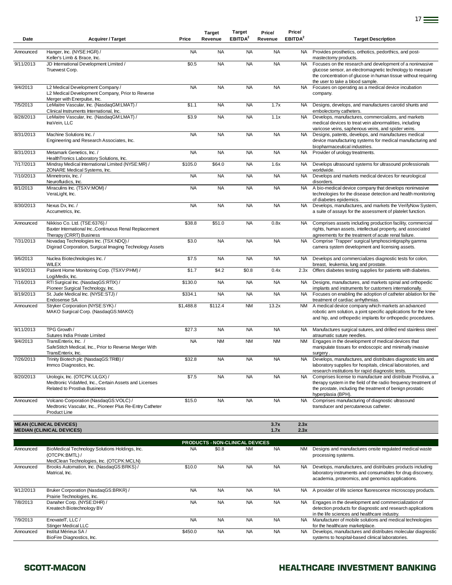| Date      | <b>Acquirer / Target</b>                                                                                              | Price     | <b>Target</b><br>Revenue        | Target<br>EBITDA <sup>2</sup> | Price/<br>Revenue | Price/<br>EBITDA <sup>2</sup> | <b>Target Description</b>                                                                                                                                                                                                                          |
|-----------|-----------------------------------------------------------------------------------------------------------------------|-----------|---------------------------------|-------------------------------|-------------------|-------------------------------|----------------------------------------------------------------------------------------------------------------------------------------------------------------------------------------------------------------------------------------------------|
| Announced | Hanger, Inc. (NYSE:HGR) /                                                                                             | <b>NA</b> | <b>NA</b>                       | <b>NA</b>                     | <b>NA</b>         | NA.                           | Provides prosthetics, orthotics, pedorthics, and post-                                                                                                                                                                                             |
| 9/11/2013 | Keller's Limb & Brace, Inc.<br>JD International Development Limited /<br>Truewest Corp.                               | \$0.5     | <b>NA</b>                       | <b>NA</b>                     | <b>NA</b>         | <b>NA</b>                     | mastectomy products.<br>Focuses on the research and development of a noninvasive<br>glucose sensor, an electromagnetic technology to measure<br>the concentration of glucose in human tissue without requiring<br>the user to take a blood sample. |
| 9/4/2013  | L2 Medical Development Company /<br>L2 Medical Development Company, Prior to Reverse<br>Merger with Enerpulse, Inc.   | <b>NA</b> | <b>NA</b>                       | <b>NA</b>                     | <b>NA</b>         | <b>NA</b>                     | Focuses on operating as a medical device incubation<br>company.                                                                                                                                                                                    |
| 7/5/2013  | LeMaitre Vascular, Inc. (NasdaqGM:LMAT) /<br>Clinical Instruments International, Inc.                                 | \$1.1     | <b>NA</b>                       | <b>NA</b>                     | 1.7x              | <b>NA</b>                     | Designs, develops, and manufactures carotid shunts and<br>embolectomy catheters.                                                                                                                                                                   |
| 8/28/2013 | LeMaitre Vascular, Inc. (NasdaqGM:LMAT) /<br>InaVein, LLC                                                             | \$3.9     | <b>NA</b>                       | <b>NA</b>                     | 1.1x              | <b>NA</b>                     | Develops, manufactures, commercializes, and markets<br>medical devices to treat vein abnormalities, including<br>varicose veins, saphenous veins, and spider veins.                                                                                |
| 8/31/2013 | Machine Solutions Inc. /<br>Engineering and Research Associates, Inc.                                                 | <b>NA</b> | <b>NA</b>                       | <b>NA</b>                     | <b>NA</b>         | <b>NA</b>                     | Designs, patents, develops, and manufactures medical<br>device manufacturing systems for medical manufacturing and<br>biopharmaceutical industries.                                                                                                |
| 8/31/2013 | Metamark Genetics, Inc. /                                                                                             | <b>NA</b> | <b>NA</b>                       | <b>NA</b>                     | <b>NA</b>         | <b>NA</b>                     | Provider of urology treatments.                                                                                                                                                                                                                    |
| 7/17/2013 | HealthTronics Laboratory Solutions, Inc.<br>Mindray Medical International Limited (NYSE:MR) /                         | \$105.0   | \$64.0                          | <b>NA</b>                     | 1.6x              | <b>NA</b>                     | Develops ultrasound systems for ultrasound professionals                                                                                                                                                                                           |
| 7/10/2013 | ZONARE Medical Systems, Inc.<br>Minnetronix, Inc. /                                                                   | <b>NA</b> | <b>NA</b>                       | <b>NA</b>                     | <b>NA</b>         | <b>NA</b>                     | worldwide.<br>Develops and markets medical devices for neurological                                                                                                                                                                                |
|           | Neurofluidics, Inc.                                                                                                   |           |                                 |                               |                   |                               | disorders.                                                                                                                                                                                                                                         |
| 8/1/2013  | Miraculins Inc. (TSXV:MOM) /<br>VeraLight, Inc.                                                                       | <b>NA</b> | <b>NA</b>                       | <b>NA</b>                     | <b>NA</b>         | <b>NA</b>                     | A bio-medical device company that develops noninvasive<br>technologies for the disease detection and health monitoring<br>of diabetes epidemics.                                                                                                   |
| 8/30/2013 | Nexus Dx, Inc. /<br>Accumetrics, Inc.                                                                                 | <b>NA</b> | <b>NA</b>                       | <b>NA</b>                     | <b>NA</b>         | <b>NA</b>                     | Develops, manufactures, and markets the VerifyNow System,<br>a suite of assays for the assessment of platelet function.                                                                                                                            |
| Announced | Nikkiso Co. Ltd. (TSE:6376) /<br>Baxter International Inc., Continuous Renal Replacement<br>Therapy (CRRT) Business   | \$38.8    | \$51.0                          | <b>NA</b>                     | 0.8x              | <b>NA</b>                     | Comprises assets including production facility, commercial<br>rights, human assets, intellectual property, and associated<br>agreements for the treatment of acute renal failure.                                                                  |
| 7/31/2013 | Novadaq Technologies Inc. (TSX:NDQ) /<br>Digirad Corporation, Surgical Imaging Technology Assets                      | \$3.0     | <b>NA</b>                       | <b>NA</b>                     | <b>NA</b>         | <b>NA</b>                     | Comprise 'Trapper' surgical lymphoscintigraphy gamma<br>camera system development and licensing assets.                                                                                                                                            |
| 9/6/2013  | Nuclea Biotechnologies Inc. /<br>WILEX                                                                                | \$7.5     | <b>NA</b>                       | <b>NA</b>                     | <b>NA</b>         | <b>NA</b>                     | Develops and commercializes diagnostic tests for colon,<br>breast, leukemia, lung and prostate.                                                                                                                                                    |
| 9/19/2013 | Patient Home Monitoring Corp. (TSXV:PHM) /<br>LogiMedix, Inc.                                                         | \$1.7     | \$4.2                           | \$0.8                         | 0.4x              | 2.3x                          | Offers diabetes testing supplies for patients with diabetes.                                                                                                                                                                                       |
| 7/16/2013 | RTI Surgical Inc. (NasdaqGS:RTIX) /<br>Pioneer Surgical Technology, Inc.                                              | \$130.0   | <b>NA</b>                       | <b>NA</b>                     | <b>NA</b>         | <b>NA</b>                     | Designs, manufactures, and markets spinal and orthopedic<br>implants and instruments for customers internationally.                                                                                                                                |
| 8/19/2013 | St. Jude Medical Inc. (NYSE:STJ) /<br>Endosense SA                                                                    | \$334.1   | <b>NA</b>                       | <b>NA</b>                     | <b>NA</b>         | <b>NA</b>                     | Focuses on enabling the adoption of catheter ablation for the<br>treatment of cardiac arrhythmias.                                                                                                                                                 |
| Announced | Stryker Corporation (NYSE:SYK) /<br>MAKO Surgical Corp. (NasdaqGS:MAKO)                                               | \$1,488.8 | \$112.4                         | <b>NM</b>                     | 13.2x             | <b>NM</b>                     | A medical device company which markets an advanced<br>robotic arm solution, a joint specific applications for the knee<br>and hip, and orthopedic implants for orthopedic procedures.                                                              |
| 9/11/2013 | TPG Growth /<br>Sutures India Private Limited                                                                         | \$27.3    | <b>NA</b>                       | <b>NA</b>                     | <b>NA</b>         | <b>NA</b>                     | Manufactures surgical sutures, and drilled end stainless steel<br>atraumatic suture needles.                                                                                                                                                       |
| 9/4/2013  | TransEnterix, Inc. /<br>SafeStitch Medical, Inc., Prior to Reverse Merger With<br>TransEnterix, Inc.                  | <b>NA</b> | <b>NM</b>                       | <b>NM</b>                     | <b>NM</b>         | <b>NM</b>                     | Engages in the development of medical devices that<br>manipulate tissues for endoscopic and minimally invasive<br>surgery.                                                                                                                         |
| 7/26/2013 | Trinity Biotech plc (NasdaqGS:TRIB) /<br>Immco Diagnostics, Inc.                                                      | \$32.8    | <b>NA</b>                       | <b>NA</b>                     | <b>NA</b>         | NA.                           | Develops, manufactures, and distributes diagnostic kits and<br>laboratory supplies for hospitals, clinical laboratories, and<br>research institutions for rapid diagnostic tests.                                                                  |
| 8/20/2013 | Urologix, Inc. (OTCPK:ULGX) /<br>Medtronic VidaMed, Inc., Certain Assets and Licenses<br>Related to Prostiva Business | \$7.5     | <b>NA</b>                       | <b>NA</b>                     | <b>NA</b>         | <b>NA</b>                     | Comprises license to manufacture and distribute Prostiva, a<br>therapy system in the field of the radio frequency treatment of<br>the prostate, including the treatment of benign prostatic<br>hyperplasia (BPH).                                  |
| Announced | Volcano Corporation (NasdaqGS:VOLC) /<br>Medtronic Vascular, Inc., Pioneer Plus Re-Entry Catheter<br>Product Line     | \$15.0    | <b>NA</b>                       | <b>NA</b>                     | <b>NA</b>         | <b>NA</b>                     | Comprises manufacturing of diagnostic ultrasound<br>transducer and percutaneous catheter.                                                                                                                                                          |
|           | <b>MEAN (CLINICAL DEVICES)</b><br><b>MEDIAN (CLINICAL DEVICES)</b>                                                    |           |                                 |                               | 3.7x<br>1.7x      | 2.3x<br>2.3x                  |                                                                                                                                                                                                                                                    |
|           |                                                                                                                       |           | PRODUCTS - NON-CLINICAL DEVICES |                               |                   |                               |                                                                                                                                                                                                                                                    |
| Announced | BioMedical Technology Solutions Holdings, Inc.<br>(OTCPK:BMTL) /<br>MedClean Technologies, Inc. (OTCPK:MCLN)          | <b>NA</b> | \$0.8                           | <b>NM</b>                     | <b>NA</b>         | NM                            | Designs and manufactures onsite regulated medical waste<br>processing systems.                                                                                                                                                                     |
| Announced | Brooks Automation, Inc. (NasdaqGS:BRKS) /<br>Matrical, Inc.                                                           | \$10.0    | <b>NA</b>                       | <b>NA</b>                     | <b>NA</b>         | <b>NA</b>                     | Develops, manufactures, and distributes products including<br>laboratory instruments and consumables for drug discovery,<br>academia, proteomics, and genomics applications.                                                                       |
| 9/12/2013 | Bruker Corporation (NasdaqGS:BRKR) /<br>Prairie Technologies, Inc.                                                    | <b>NA</b> | <b>NA</b>                       | <b>NA</b>                     | <b>NA</b>         | <b>NA</b>                     | A provider of life science fluorescence microscopy products.                                                                                                                                                                                       |
| 7/8/2013  | Danaher Corp. (NYSE:DHR) /<br>Kreatech Biotechnology BV                                                               | <b>NA</b> | <b>NA</b>                       | <b>NA</b>                     | <b>NA</b>         | NA.                           | Engages in the development and commercialization of<br>detection products for diagnostic and research applications<br>in the life sciences and healthcare industry.                                                                                |
| 7/9/2013  | EnovateIT, LLC /<br><b>Stinger Medical LLC</b>                                                                        | <b>NA</b> | <b>NA</b>                       | <b>NA</b>                     | <b>NA</b>         | <b>NA</b>                     | Manufacturer of mobile solutions and medical technologies<br>for the healthcare marketplace.                                                                                                                                                       |
| Announced | Institut Mérieux SA /<br>BioFire Diagnostics, Inc.                                                                    | \$450.0   | <b>NA</b>                       | <b>NA</b>                     | <b>NA</b>         | <b>NA</b>                     | Develops, manufactures and distributes molecular diagnostic<br>systems to hospital-based clinical laboratories.                                                                                                                                    |

## SCOTT-MACON **SCOTT-MACON HEALTHCARE INVESTMENT BANKING**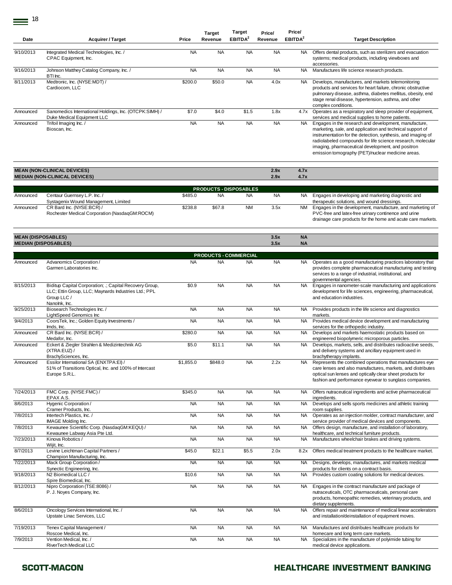| Date                        | <b>Acquirer / Target</b>                                                                                                                        | Price     | <b>Target</b><br>Revenue | rarget<br>EBITDA <sup>2</sup>              | Price/<br>Revenue | <b>Price</b><br>EBITDA <sup>2</sup> | <b>Target Description</b>                                                                                                                                                                                                                                                                                                                                   |
|-----------------------------|-------------------------------------------------------------------------------------------------------------------------------------------------|-----------|--------------------------|--------------------------------------------|-------------------|-------------------------------------|-------------------------------------------------------------------------------------------------------------------------------------------------------------------------------------------------------------------------------------------------------------------------------------------------------------------------------------------------------------|
| 9/10/2013                   | Integrated Medical Technologies, Inc. /<br>CPAC Equipment, Inc.                                                                                 | <b>NA</b> | <b>NA</b>                | <b>NA</b>                                  | <b>NA</b>         | NA                                  | Offers dental products, such as sterilizers and evacuation<br>systems; medical products, including viewboxes and<br>accessories.                                                                                                                                                                                                                            |
| 9/16/2013                   | Johnson Matthey Catalog Company, Inc. /<br>BTI Inc.                                                                                             | <b>NA</b> | <b>NA</b>                | <b>NA</b>                                  | <b>NA</b>         | NA                                  | Manufactures life science research products.                                                                                                                                                                                                                                                                                                                |
| 8/11/2013                   | Medtronic, Inc. (NYSE:MDT) /<br>Cardiocom, LLC                                                                                                  | \$200.0   | \$50.0                   | <b>NA</b>                                  | 4.0x              | NA                                  | Develops, manufactures, and markets telemonitoring<br>products and services for heart failure, chronic obstructive<br>pulmonary disease, asthma, diabetes mellitus, obesity, end<br>stage renal disease, hypertension, asthma, and other<br>complex conditions.                                                                                             |
| Announced                   | Sanomedics International Holdings, Inc. (OTCPK:SIMH) /<br>Duke Medical Equipment LLC                                                            | \$7.0     | \$4.0                    | \$1.5                                      | 1.8x              | 4.7x                                | Operates as a respiratory and sleep provider of equipment,<br>services and medical supplies to home patients.                                                                                                                                                                                                                                               |
| Announced                   | Trifoil Imaging Inc. /<br>Bioscan, Inc.                                                                                                         | <b>NA</b> | <b>NA</b>                | <b>NA</b>                                  | <b>NA</b>         | NA                                  | Engages in the research and development, manufacture,<br>marketing, sale, and application and technical support of<br>instrumentation for the detection, synthesis, and imaging of<br>radiolabeled compounds for life science research, molecular<br>imaging, pharmaceutical development, and positron<br>emission tomography (PET)/nuclear medicine areas. |
|                             | <b>MEAN (NON-CLINICAL DEVICES)</b><br><b>MEDIAN (NON-CLINICAL DEVICES)</b>                                                                      |           |                          |                                            | 2.9x<br>2.9x      | 4.7x<br>4.7x                        |                                                                                                                                                                                                                                                                                                                                                             |
|                             |                                                                                                                                                 |           |                          |                                            |                   |                                     |                                                                                                                                                                                                                                                                                                                                                             |
| Announced                   | Centaur Guernsey L.P. Inc. /                                                                                                                    | \$485.0   | <b>NA</b>                | <b>PRODUCTS - DISPOSABLES</b><br><b>NA</b> | <b>NA</b>         | NA.                                 | Engages in developing and marketing diagnostic and                                                                                                                                                                                                                                                                                                          |
| Announced                   | Systagenix Wound Management, Limited<br>CR Bard Inc. (NYSE:BCR) /<br>Rochester Medical Corporation (NasdaqGM:ROCM)                              | \$238.8   | \$67.8                   | <b>NM</b>                                  | 3.5x              | <b>NM</b>                           | therapeutic solutions, and wound dressings.<br>Engages in the development, manufacture, and marketing of<br>PVC-free and latex-free urinary continence and urine<br>drainage care products for the home and acute care markets.                                                                                                                             |
| <b>MEAN (DISPOSABLES)</b>   |                                                                                                                                                 |           |                          |                                            | 3.5x              | <b>NA</b>                           |                                                                                                                                                                                                                                                                                                                                                             |
| <b>MEDIAN (DISPOSABLES)</b> |                                                                                                                                                 |           |                          |                                            | 3.5x              | <b>NA</b>                           |                                                                                                                                                                                                                                                                                                                                                             |
|                             |                                                                                                                                                 |           |                          | <b>PRODUCTS - COMMERCIAL</b>               |                   |                                     |                                                                                                                                                                                                                                                                                                                                                             |
| Announced                   | Advanomics Corporation /<br>Garmen Laboratories Inc.                                                                                            | <b>NA</b> | <b>NA</b>                | <b>NA</b>                                  | <b>NA</b>         | NA                                  | Operates as a good manufacturing practices laboratory that<br>provides complete pharmaceutical manufacturing and testing<br>services to a range of industrial, institutional, and<br>governmental agencies.                                                                                                                                                 |
| 8/15/2013                   | Biditup Capital Corporation; .; Capital Recovery Group,<br>LLC; Ettin Group, LLC; Maynards Industries Ltd.; PPL<br>Group LLC /<br>Nanolnk, Inc. | \$0.9     | <b>NA</b>                | <b>NA</b>                                  | <b>NA</b>         | NA                                  | Engages in nanometer-scale manufacturing and applications<br>development for life sciences, engineering, pharmaceutical,<br>and education industries.                                                                                                                                                                                                       |
| 9/25/2013                   | Biosearch Technologies Inc. /<br>LightSpeed Genomics Inc                                                                                        | <b>NA</b> | <b>NA</b>                | <b>NA</b>                                  | <b>NA</b>         | NA.                                 | Provides products in the life science and diagnostics<br>markets.                                                                                                                                                                                                                                                                                           |
| 9/4/2013                    | CoorsTek, Inc.; Golden Equity Investments /<br>Imds, Inc.                                                                                       | <b>NA</b> | <b>NA</b>                | <b>NA</b>                                  | <b>NA</b>         | NA                                  | Provides medical device development and manufacturing<br>services for the orthopedic industry.                                                                                                                                                                                                                                                              |
| Announced                   | CR Bard Inc. (NYSE:BCR) /<br>Medafor, Inc.                                                                                                      | \$280.0   | <b>NA</b>                | <b>NA</b>                                  | <b>NA</b>         | NA                                  | Develops and markets haemostatic products based on<br>engineered biopolymeric microporous particles.                                                                                                                                                                                                                                                        |
| Announced                   | Eckert & Ziegler Strahlen & Medizintechnik AG<br>(XTRA:EUZ) /<br>BrachySciences, Inc.                                                           | \$5.0     | \$11.1                   | <b>NA</b>                                  | <b>NA</b>         | NA                                  | Develops, markets, sells, and distributes radioactive seeds,<br>and delivery systems and ancillary equipment used in<br>brachytherapy implants.                                                                                                                                                                                                             |
| Announced                   | Essilor International SA (ENXTPA:EI) /<br>51% of Transitions Optical, Inc. and 100% of Intercast<br>Europe S.R.L.                               | \$1,855.0 | \$848.0                  | <b>NA</b>                                  | 2.2x              | NA                                  | Represents the combined operations that manufactures eye<br>care lenses and also manufactures, markets, and distributes<br>optical sun lenses and optically clear sheet products for<br>fashion and performance eyewear to sunglass companies.                                                                                                              |
| 7/24/2013                   | FMC Corp. (NYSE:FMC) /<br>EPAX A.S.                                                                                                             | \$345.0   | <b>NA</b>                | <b>NA</b>                                  | <b>NA</b>         | NA.                                 | Offers nutraceutical ingredients and active pharmaceutical<br>ingredients.                                                                                                                                                                                                                                                                                  |
| 8/6/2013                    | Hygenic Corporation /<br>Cramer Products, Inc.                                                                                                  | <b>NA</b> | NA                       | <b>NA</b>                                  | <b>NA</b>         | NA                                  | Develops and sells sports medicines and athletic training<br>room supplies.                                                                                                                                                                                                                                                                                 |
| 7/8/2013                    | Intertech Plastics, Inc. /<br>IMAGE Molding Inc.                                                                                                | <b>NA</b> | <b>NA</b>                | <b>NA</b>                                  | <b>NA</b>         | NA                                  | Operates as an injection molder, contract manufacturer, and<br>service provider of medical devices and components.                                                                                                                                                                                                                                          |
| 7/8/2013                    | Kewaunee Scientific Corp. (NasdaqGM:KEQU) /<br>Kewaunee Labway Asia Pte Ltd.                                                                    | <b>NA</b> | <b>NA</b>                | <b>NA</b>                                  | <b>NA</b>         | NA .                                | Offers design, manufacture, and installation of laboratory,<br>healthcare, and technical furniture products.                                                                                                                                                                                                                                                |
| 7/23/2013                   | Kinova Robotics /<br>Wijit, Inc.                                                                                                                | <b>NA</b> | <b>NA</b>                | <b>NA</b>                                  | <b>NA</b>         | NA.                                 | Manufactures wheelchair brakes and driving systems.                                                                                                                                                                                                                                                                                                         |
| 8/7/2013                    | Levine Leichtman Capital Partners /<br>Champion Manufacturing, Inc.                                                                             | \$45.0    | \$22.1                   | \$5.5                                      | 2.0x              | 8.2x                                | Offers medical treatment products to the healthcare market.                                                                                                                                                                                                                                                                                                 |
| 7/22/2013                   | Mack Group Corporation /<br>Synectic Engineering, Inc.                                                                                          | <b>NA</b> | <b>NA</b>                | <b>NA</b>                                  | <b>NA</b>         | NA.                                 | Designs, develops, manufactures, and markets medical<br>products for clients on a contract basis.                                                                                                                                                                                                                                                           |
| 9/18/2013                   | N2 Biomedical LLC /<br>Spire Biomedical, Inc.                                                                                                   | \$10.6    | <b>NA</b>                | <b>NA</b>                                  | <b>NA</b>         |                                     | NA Provides custom coating solutions for medical devices.                                                                                                                                                                                                                                                                                                   |
| 8/12/2013                   | Nipro Corporation (TSE:8086) /<br>P. J. Noyes Company, Inc.                                                                                     | <b>NA</b> | <b>NA</b>                | <b>NA</b>                                  | <b>NA</b>         | NA                                  | Engages in the contract manufacture and package of<br>nutraceuticals, OTC pharmaceuticals, personal care<br>products, homeopathic remedies, veterinary products, and<br>dietary supplements.                                                                                                                                                                |
| 8/6/2013                    | Oncology Services International, Inc. /<br>Upstate Linac Services, LLC                                                                          | <b>NA</b> | <b>NA</b>                | <b>NA</b>                                  | <b>NA</b>         | NA                                  | Offers repair and maintenance of medical linear accelerators<br>and installation/deinstallation of equipment moves.                                                                                                                                                                                                                                         |
| 7/19/2013                   | Tenex Capital Management /<br>Roscoe Medical, Inc.                                                                                              | <b>NA</b> | <b>NA</b>                | <b>NA</b>                                  | <b>NA</b>         | NA                                  | Manufactures and distributes healthcare products for<br>homecare and long term care markets.                                                                                                                                                                                                                                                                |
| 7/9/2013                    | Vention Medical, Inc. /<br>RiverTech Medical LLC                                                                                                | <b>NA</b> | <b>NA</b>                | <b>NA</b>                                  | <b>NA</b>         | NA                                  | Specializes in the manufacture of polyimide tubing for<br>medical device applications.                                                                                                                                                                                                                                                                      |

**Target** 

**Price/**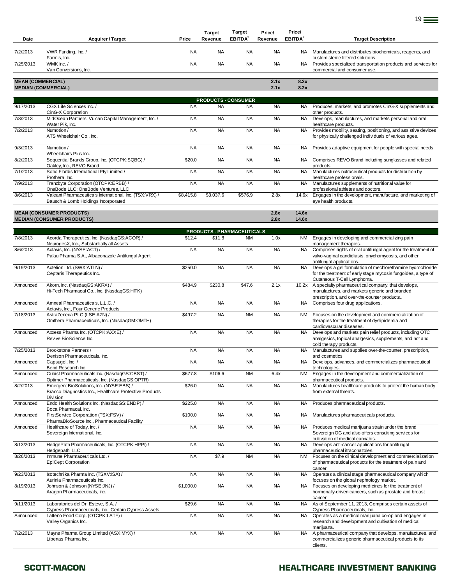| Date                     | <b>Acquirer / Target</b>                                                                                           | Price     | <b>Target</b><br>Revenue | Target<br>EBITDA <sup>2</sup> | Price/<br>Revenue | Price/<br>EBITDA <sup>2</sup> | <b>Target Description</b>                                                                                                                                  |
|--------------------------|--------------------------------------------------------------------------------------------------------------------|-----------|--------------------------|-------------------------------|-------------------|-------------------------------|------------------------------------------------------------------------------------------------------------------------------------------------------------|
| 7/2/2013                 | VWR Funding, Inc. /<br>Farmis, Inc.                                                                                | <b>NA</b> | <b>NA</b>                | <b>NA</b>                     | <b>NA</b>         | NA.                           | Manufactures and distributes biochemicals, reagents, and<br>custom sterile filtered solutions.                                                             |
| 7/25/2013                | WMK Inc./<br>Van Conversions, Inc.                                                                                 | <b>NA</b> | <b>NA</b>                | <b>NA</b>                     | <b>NA</b>         | <b>NA</b>                     | Provides specialized transportation products and services for<br>commercial and consumer use.                                                              |
| <b>MEAN (COMMERCIAL)</b> | <b>MEDIAN (COMMERCIAL)</b>                                                                                         |           |                          |                               | 2.1x<br>2.1x      | 8.2x<br>8.2x                  |                                                                                                                                                            |
|                          |                                                                                                                    |           |                          | <b>PRODUCTS - CONSUMER</b>    |                   |                               |                                                                                                                                                            |
| 9/17/2013                | CGX Life Sciences Inc. /<br>CinG-X Corporation                                                                     | <b>NA</b> | <b>NA</b>                | <b>NA</b>                     | <b>NA</b>         |                               | NA Produces, markets, and promotes CinG-X supplements and<br>other products.                                                                               |
| 7/8/2013                 | MidOcean Partners; Vulcan Capital Management, Inc. /<br>Water Pik, Inc.                                            | <b>NA</b> | <b>NA</b>                | <b>NA</b>                     | <b>NA</b>         | <b>NA</b>                     | Develops, manufactures, and markets personal and oral<br>healthcare products.                                                                              |
| 7/2/2013                 | Numotion /<br>ATS Wheelchair Co., Inc.                                                                             | <b>NA</b> | <b>NA</b>                | <b>NA</b>                     | <b>NA</b>         | <b>NA</b>                     | Provides mobility, seating, positioning, and assistive devices<br>for physically challenged individuals of various ages.                                   |
| 9/3/2013                 | Numotion /<br>Wheelchairs Plus Inc.                                                                                | <b>NA</b> | <b>NA</b>                | <b>NA</b>                     | <b>NA</b>         | <b>NA</b>                     | Provides adaptive equipment for people with special needs.                                                                                                 |
| 8/2/2013                 | Sequential Brands Group, Inc. (OTCPK:SQBG) /<br>Oakley, Inc., REVO Brand                                           | \$20.0    | <b>NA</b>                | <b>NA</b>                     | <b>NA</b>         | NA                            | Comprises REVO Brand including sunglasses and related<br>products.                                                                                         |
| 7/1/2013                 | Soho Flordis International Pty Limited /<br>Prothera, Inc.                                                         | <b>NA</b> | <b>NA</b>                | <b>NA</b>                     | <b>NA</b>         | <b>NA</b>                     | Manufactures nutraceutical products for distribution by<br>healthcare professionals.                                                                       |
| 7/9/2013                 | Tranzbyte Corporation (OTCPK:ERBB) /<br>OneBode LLC; OneBode Ventures, LLC                                         | <b>NA</b> | <b>NA</b>                | <b>NA</b>                     | <b>NA</b>         | <b>NA</b>                     | Manufactures supplements of nutritional value for<br>professional athletes and doctors.                                                                    |
| 8/6/2013                 | Valeant Pharmaceuticals International, Inc. (TSX:VRX) /<br>Bausch & Lomb Holdings Incorporated                     | \$8,415.8 | \$3,037.6                | \$576.9                       | 2.8x              | 14.6x                         | Engages in the development, manufacture, and marketing of<br>eye health products.                                                                          |
|                          | <b>MEAN (CONSUMER PRODUCTS)</b><br><b>MEDIAN (CONSUMER PRODUCTS)</b>                                               |           |                          |                               | 2.8x<br>2.8x      | 14.6x<br>14.6x                |                                                                                                                                                            |
|                          |                                                                                                                    |           |                          | PRODUCTS - PHARMACEUTICALS    |                   |                               |                                                                                                                                                            |
| 7/8/2013                 | Acorda Therapeutics, Inc. (NasdaqGS:ACOR) /<br>NeurogesX, Inc., Substantially all Assets                           | \$12.4    | \$11.8                   | <b>NM</b>                     | 1.0x              | NM.                           | Engages in developing and commercializing pain<br>management therapies.                                                                                    |
| 8/6/2013                 | Actavis, Inc. (NYSE:ACT) /<br>Palau Pharma S.A., Albaconazole Antifungal Agent                                     | <b>NA</b> | <b>NA</b>                | <b>NA</b>                     | <b>NA</b>         | <b>NA</b>                     | Comprises rights of oral antifungal agent for the treatment of<br>vulvo-vaginal candidiasis, onychomycosis, and other<br>antifungal applications.          |
| 9/19/2013                | Actelion Ltd. (SWX:ATLN) /<br>Ceptaris Therapeutics Inc.                                                           | \$250.0   | <b>NA</b>                | <b>NA</b>                     | <b>NA</b>         | <b>NA</b>                     | Develops a gel formulation of mechlorethamine hydrochloride<br>for the treatment of early stage mycosis fungoides, a type of<br>Cutaneous T-Cell Lymphoma. |
| Announced                | Akorn, Inc. (NasdaqGS:AKRX) /<br>Hi-Tech Pharmacal Co., Inc. (NasdaqGS:HITK)                                       | \$484.9   | \$230.8                  | \$47.6                        | 2.1x              | 10.2x                         | A specialty pharmaceutical company, that develops,<br>manufactures, and markets generic and branded                                                        |
| Announced                | Amneal Pharmaceuticals, L.L.C. /<br>Actavis, Inc., Four Generic Products                                           | <b>NA</b> | <b>NA</b>                | <b>NA</b>                     | <b>NA</b>         | <b>NA</b>                     | prescription, and over-the-counter products<br>Comprises four drug applications.                                                                           |
| 7/18/2013                | AstraZeneca PLC (LSE:AZN) /<br>Omthera Pharmaceuticals, Inc. (NasdaqGM:OMTH)                                       | \$497.2   | <b>NA</b>                | <b>NM</b>                     | <b>NA</b>         | NM                            | Focuses on the development and commercialization of<br>therapies for the treatment of dyslipidemia and<br>cardiovascular diseases.                         |
| Announced                | Axxess Pharma Inc. (OTCPK:AXXE) /<br>Revive BioScience Inc.                                                        | <b>NA</b> | <b>NA</b>                | <b>NA</b>                     | <b>NA</b>         | NA                            | Develops and markets pain relief products, including OTC<br>analgesics, topical analgesics, supplements, and hot and<br>cold therapy products.             |
| 7/25/2013                | Brookstone Partners /<br>Denison Pharmaceuticals, Inc.                                                             | <b>NA</b> | <b>NA</b>                | <b>NA</b>                     | <b>NA</b>         | NA                            | Manufactures and supplies over-the-counter, prescription,<br>and cosmetics.                                                                                |
| Announced                | Capsugel, Inc. /<br>Bend Research Inc.                                                                             | <b>NA</b> | <b>NA</b>                | <b>NA</b>                     | <b>NA</b>         | <b>NA</b>                     | Develops, advances, and commercializes pharmaceutical<br>technologies.                                                                                     |
| Announced                | Cubist Pharmaceuticals Inc. (NasdaqGS:CBST) /<br>Optimer Pharmaceuticals, Inc. (NasdaqGS:OPTR)                     | \$677.8   | \$106.6                  | <b>NM</b>                     | 6.4x              | <b>NM</b>                     | Engages in the development and commercialization of<br>pharmaceutical products.                                                                            |
| 8/2/2013                 | Emergent BioSolutions, Inc. (NYSE:EBS) /<br>Bracco Diagnostics Inc., Healthcare Protective Products<br>Division    | \$26.0    | <b>NA</b>                | <b>NA</b>                     | <b>NA</b>         | NA.                           | Manufactures healthcare products to protect the human body<br>from external threats.                                                                       |
| Announced                | Endo Health Solutions Inc. (NasdaqGS:ENDP) /<br>Boca Pharmacal, Inc.                                               | \$225.0   | <b>NA</b>                | <b>NA</b>                     | <b>NA</b>         | NA                            | Produces pharmaceutical products.                                                                                                                          |
| Announced                | FirstService Corporation (TSX:FSV) /<br>PharmaBioSource Inc., Pharmaceutical Facility                              | \$100.0   | <b>NA</b>                | <b>NA</b>                     | <b>NA</b>         | NA.                           | Manufactures pharmaceuticals products.                                                                                                                     |
| Announced                | Healthcare of Today, Inc. /<br>Sovereign International, Inc.                                                       | <b>NA</b> | <b>NA</b>                | <b>NA</b>                     | <b>NA</b>         | <b>NA</b>                     | Produces medical marijuana strain under the brand<br>Sovereign OG and also offers consulting services for<br>cultivation of medical cannabis.              |
| 8/13/2013                | HedgePath Pharmaceuticals, Inc. (OTCPK:HPPI) /<br>Hedgepath, LLC                                                   | <b>NA</b> | <b>NA</b>                | <b>NA</b>                     | <b>NA</b>         | <b>NA</b>                     | Develops anti-cancer applications for antifungal<br>pharmaceutical itraconazoles.                                                                          |
| 8/26/2013                | Immune Pharmaceuticals Ltd. /<br><b>EpiCept Corporation</b>                                                        | <b>NA</b> | \$7.9                    | <b>NM</b>                     | <b>NA</b>         | NM                            | Focuses on the clinical development and commercialization<br>of pharmaceutical products for the treatment of pain and<br>cancer.                           |
| 9/23/2013                | Isotechnika Pharma Inc. (TSXV:ISA) /<br>Aurinia Pharmaceuticals Inc.                                               | <b>NA</b> | <b>NA</b>                | <b>NA</b>                     | <b>NA</b>         | <b>NA</b>                     | Operates a clinical stage pharmaceutical company which<br>focuses on the global nephrology market.                                                         |
| 8/19/2013                | Johnson & Johnson (NYSE:JNJ) /<br>Aragon Pharmaceuticals, Inc.                                                     | \$1,000.0 | <b>NA</b>                | <b>NA</b>                     | <b>NA</b>         | <b>NA</b>                     | Focuses on developing medicines for the treatment of<br>hormonally-driven cancers, such as prostate and breast                                             |
| 9/11/2013                | Laboratorios del Dr. Esteve, S.A. /                                                                                | \$29.6    | <b>NA</b>                | <b>NA</b>                     | <b>NA</b>         | NA                            | cancer.<br>As of September 11, 2013, Comprises certain assets of                                                                                           |
| Announced                | Cypress Pharmaceuticals, Inc., Certain Cypress Assets<br>Latteno Food Corp. (OTCPK:LATF) /<br>Valley Organics Inc. | <b>NA</b> | <b>NA</b>                | <b>NA</b>                     | <b>NA</b>         | NA.                           | Cypress Pharmaceuticals, Inc.<br>Operates as a medical marijuana co-op and engages in<br>research and development and cultivation of medical               |
| 7/2/2013                 | Mayne Pharma Group Limited (ASX:MYX) /<br>Libertas Pharma Inc.                                                     | <b>NA</b> | <b>NA</b>                | <b>NA</b>                     | <b>NA</b>         | NA                            | marijuana.<br>A pharmaceutical company that develops, manufactures, and<br>commercializes generic pharmaceutical products to its<br>clients.               |

19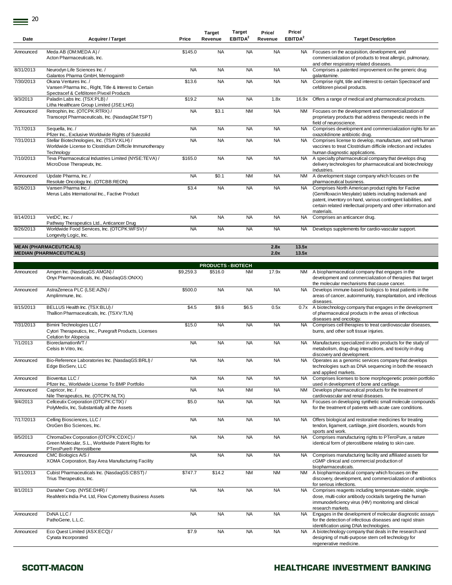$\equiv$ <sup>20</sup>

|           |                                                                                                                             |           | <b>Target</b> | <b>Target</b>       | Price/       | Price/              |                                                                                                                                                                                                                                                                   |
|-----------|-----------------------------------------------------------------------------------------------------------------------------|-----------|---------------|---------------------|--------------|---------------------|-------------------------------------------------------------------------------------------------------------------------------------------------------------------------------------------------------------------------------------------------------------------|
| Date      | <b>Acquirer / Target</b>                                                                                                    | Price     | Revenue       | EBITDA <sup>2</sup> | Revenue      | EBITDA <sup>2</sup> | <b>Target Description</b>                                                                                                                                                                                                                                         |
|           |                                                                                                                             |           |               |                     |              |                     |                                                                                                                                                                                                                                                                   |
| Announced | Meda AB (OM:MEDA A) /<br>Acton Pharmaceuticals, Inc.                                                                        | \$145.0   | <b>NA</b>     | <b>NA</b>           | <b>NA</b>    | NA.                 | Focuses on the acquisition, development, and<br>commercialization of products to treat allergic, pulmonary,<br>and other respiratory related diseases.                                                                                                            |
| 8/31/2013 | Neurodyn Life Sciences Inc. /<br>Galantos Pharma GmbH, Memogain®                                                            | <b>NA</b> | <b>NA</b>     | <b>NA</b>           | <b>NA</b>    | <b>NA</b>           | Comprises a patented improvement on the generic drug<br>galantamine.                                                                                                                                                                                              |
| 7/30/2013 | Okana Ventures Inc. /<br>Vansen Pharma Inc., Right, Title & Interest to Certain<br>Spectracef & Cefditoren Pivoxil Products | \$13.6    | <b>NA</b>     | <b>NA</b>           | <b>NA</b>    | <b>NA</b>           | Comprise right, title and interest to certain Spectracef and<br>cefditoren pivoxil products.                                                                                                                                                                      |
| 9/3/2013  | Paladin Labs Inc. (TSX:PLB) /<br>Litha Healthcare Group Limited (JSE:LHG)                                                   | \$19.2    | <b>NA</b>     | <b>NA</b>           | 1.8x         | 16.9x               | Offers a range of medical and pharmaceutical products.                                                                                                                                                                                                            |
| Announced | Retrophin, Inc. (OTCPK:RTRX) /<br>Transcept Pharmaceuticals, Inc. (NasdaqGM:TSPT)                                           | <b>NA</b> | \$3.1         | <b>NM</b>           | <b>NA</b>    | <b>NM</b>           | Focuses on the development and commercialization of<br>proprietary products that address therapeutic needs in the<br>field of neuroscience.                                                                                                                       |
| 7/17/2013 | Sequella, Inc. /<br>Pfizer Inc., Exclusive Worldwide Rights of Sutezolid                                                    | <b>NA</b> | <b>NA</b>     | <b>NA</b>           | <b>NA</b>    | <b>NA</b>           | Comprises development and commercialization rights for an<br>oxazolidinone antibiotic drug.                                                                                                                                                                       |
| 7/31/2013 | Stellar Biotechnologies, Inc. (TSXV:KLH) /<br>Worldwide License to Clostridium Difficile Immunotherapy<br>Technology        | <b>NA</b> | <b>NA</b>     | <b>NA</b>           | <b>NA</b>    | <b>NA</b>           | Comprises license to develop, manufacture, and sell human<br>vaccines to treat Clostridium difficile infection and includes<br>human diagnostic applications.                                                                                                     |
| 7/10/2013 | Teva Pharmaceutical Industries Limited (NYSE:TEVA) /<br>MicroDose Therapeutx, Inc.                                          | \$165.0   | <b>NA</b>     | <b>NA</b>           | <b>NA</b>    | <b>NA</b>           | A specialty pharmaceutical company that develops drug<br>delivery technologies for pharmaceutical and biotechnology<br>industries.                                                                                                                                |
| Announced | Update Pharma, Inc. /<br>Resolute Oncology Inc. (OTCBB:REON)                                                                | <b>NA</b> | \$0.1         | <b>NM</b>           | <b>NA</b>    | <b>NM</b>           | A development stage company which focuses on the<br>pharmaceutical business.                                                                                                                                                                                      |
| 8/26/2013 | Vansen Pharma Inc. /<br>Merus Labs International Inc., Factive Product                                                      | \$3.4     | <b>NA</b>     | <b>NA</b>           | <b>NA</b>    | <b>NA</b>           | Comprises North American product rights for Factive<br>(Gemifloxacin Mesylate) tablets including trademark and<br>patent, inventory on hand, various contingent liabilities, and<br>certain related intellectual property and other information and<br>materials. |
| 8/14/2013 | VetDC, Inc./<br>Pathway Therapeutics Ltd., Anticancer Drug                                                                  | <b>NA</b> | <b>NA</b>     | <b>NA</b>           | <b>NA</b>    | <b>NA</b>           | Comprises an anticancer drug.                                                                                                                                                                                                                                     |
| 8/26/2013 | Worldwide Food Services, Inc. (OTCPK:WFSV) /<br>Longevity Logic, Inc.                                                       | <b>NA</b> | <b>NA</b>     | <b>NA</b>           | <b>NA</b>    | <b>NA</b>           | Develops supplements for cardio-vascular support.                                                                                                                                                                                                                 |
|           |                                                                                                                             |           |               |                     |              |                     |                                                                                                                                                                                                                                                                   |
|           | <b>MEAN (PHARMACEUTICALS)</b><br><b>MEDIAN (PHARMACEUTICALS)</b>                                                            |           |               |                     | 2.8x<br>2.0x | 13.5x<br>13.5x      |                                                                                                                                                                                                                                                                   |

|           |                                                                                                                        |           | <b>PRODUCTS - BIOTECH</b> |           |           |           |                                                                                                                                                                                                   |
|-----------|------------------------------------------------------------------------------------------------------------------------|-----------|---------------------------|-----------|-----------|-----------|---------------------------------------------------------------------------------------------------------------------------------------------------------------------------------------------------|
| Announced | Amgen Inc. (NasdaqGS:AMGN) /<br>Onyx Pharmaceuticals, Inc. (NasdaqGS:ONXX)                                             | \$9,259.3 | \$516.0                   | <b>NM</b> | 17.9x     | NM        | A biopharmaceutical company that engages in the<br>development and commercialization of therapies that target<br>the molecular mechanisms that cause cancer.                                      |
| Announced | AstraZeneca PLC (LSE:AZN) /<br>Amplimmune, Inc.                                                                        | \$500.0   | <b>NA</b>                 | <b>NA</b> | <b>NA</b> | <b>NA</b> | Develops immune-based biologics to treat patients in the<br>areas of cancer, autoimmunity, transplantation, and infectious<br>diseases.                                                           |
| 8/15/2013 | BELLUS Health Inc. (TSX:BLU) /<br>Thallion Pharmaceuticals, Inc. (TSXV:TLN)                                            | \$4.5     | \$9.6                     | \$6.5     | 0.5x      | 0.7x      | A biotechnology company that engages in the development<br>of pharmaceutical products in the areas of infectious<br>diseases and oncology.                                                        |
| 7/31/2013 | Bimini Technologies LLC /<br>Cytori Therapeutics, Inc., Puregraft Products, Licenses<br>Celution for Alopecia          | \$15.0    | <b>NA</b>                 | <b>NA</b> | <b>NA</b> | <b>NA</b> | Comprises cell therapies to treat cardiovascular diseases,<br>burns, and other soft tissue injuries.                                                                                              |
| 7/1/2013  | BioreclamationNT/<br>Celsis In Vitro, Inc.                                                                             | <b>NA</b> | <b>NA</b>                 | <b>NA</b> | <b>NA</b> | <b>NA</b> | Manufactures specialized in vitro products for the study of<br>metabolism, drug-drug interactions, and toxicity in drug<br>discovery and development.                                             |
| Announced | Bio-Reference Laboratories Inc. (NasdaqGS:BRLI) /<br>Edge BioServ, LLC                                                 | <b>NA</b> | <b>NA</b>                 | <b>NA</b> | <b>NA</b> | <b>NA</b> | Operates as a genomic services company that develops<br>technologies such as DNA sequencing in both the research<br>and applied markets.                                                          |
| Announced | Bioventus LLC /<br>Pfizer Inc., Worldwide License To BMP Portfolio                                                     | <b>NA</b> | <b>NA</b>                 | <b>NA</b> | <b>NA</b> | <b>NA</b> | Comprises licenses to bone morphogenetic protein portfolio<br>used in development of bone and cartilage.                                                                                          |
| Announced | Capricor, Inc. /<br>Nile Therapeutics, Inc. (OTCPK:NLTX)                                                               | <b>NA</b> | <b>NA</b>                 | <b>NM</b> | <b>NA</b> | <b>NM</b> | Develops pharmaceutical products for the treatment of<br>cardiovascular and renal diseases.                                                                                                       |
| 9/4/2013  | Cellceutix Corporation (OTCPK:CTIX) /<br>PolyMedix, Inc, Substantially all the Assets                                  | \$5.0     | <b>NA</b>                 | <b>NA</b> | <b>NA</b> | <b>NA</b> | Focuses on developing synthetic small molecule compounds<br>for the treatment of patients with acute care conditions.                                                                             |
| 7/17/2013 | Celling Biosciences, LLC /<br>OroGen Bio Sciences, Inc.                                                                | <b>NA</b> | <b>NA</b>                 | <b>NA</b> | <b>NA</b> | <b>NA</b> | Offers biological and restorative medicines for treating<br>tendon, ligament, cartilage, joint disorders, wounds from<br>sports and work.                                                         |
| 8/5/2013  | ChromaDex Corporation (OTCPK:CDXC) /<br>Green Molecular, S.L., Worldwide Patent Rights for<br>PTeroPure® Pterostilbene | <b>NA</b> | <b>NA</b>                 | <b>NA</b> | <b>NA</b> | <b>NA</b> | Comprises manufacturing rights to PTeroPure, a nature<br>identical form of pterostilbene relating to skin care.                                                                                   |
| Announced | CMC Biologics A/S /<br>XOMA Corporation, Bay Area Manufacturing Facility                                               | <b>NA</b> | <b>NA</b>                 | <b>NA</b> | <b>NA</b> | NA.       | Comprises manufacturing facility and affiliated assets for<br>cGMP clinical and commercial production of<br>biopharmaceuticals.                                                                   |
| 9/11/2013 | Cubist Pharmaceuticals Inc. (NasdaqGS:CBST) /<br>Trius Therapeutics, Inc.                                              | \$747.7   | \$14.2                    | <b>NM</b> | <b>NM</b> | <b>NM</b> | A biopharmaceutical company which focuses on the<br>discovery, development, and commercialization of antibiotics<br>for serious infections.                                                       |
| 8/1/2013  | Danaher Corp. (NYSE:DHR) /<br>ReaMetrix India Pvt. Ltd, Flow Cytometry Business Assets                                 | <b>NA</b> | <b>NA</b>                 | <b>NA</b> | <b>NA</b> | <b>NA</b> | Comprises reagents including temperature-stable, single-<br>dose, multi-color antibody cocktails targeting the human<br>immunodeficiency virus (HIV) monitoring and clinical<br>research markets. |
| Announced | DxNA LLC /<br>PathoGene, L.L.C.                                                                                        | <b>NA</b> | <b>NA</b>                 | <b>NA</b> | <b>NA</b> | <b>NA</b> | Engages in the development of molecular diagnostic assays<br>for the detection of infectious diseases and rapid strain<br>identification using DNA technologies.                                  |
| Announced | Eco Quest Limited (ASX:ECQ) /<br>Cynata Incorporated                                                                   | \$7.9     | <b>NA</b>                 | <b>NA</b> | <b>NA</b> | <b>NA</b> | A biotechnology company that deals in the research and<br>designing of multi-purpose stem cell technology for<br>regenerative medicine.                                                           |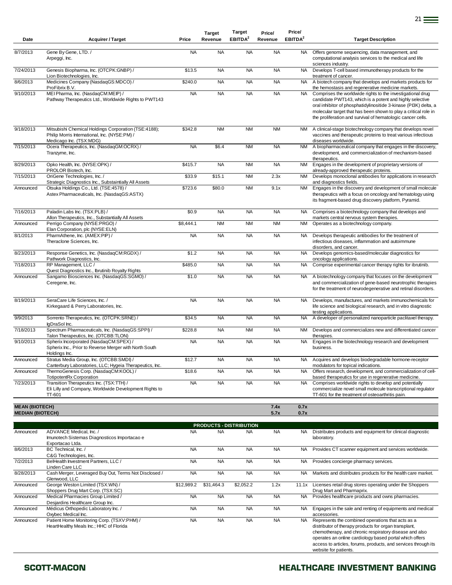|                         |                                                                                                                                  |           | <b>Target</b> | <b>Target</b>       | Price/    | Price/              |                                                                                                                                                                                                                                                                                                                              |
|-------------------------|----------------------------------------------------------------------------------------------------------------------------------|-----------|---------------|---------------------|-----------|---------------------|------------------------------------------------------------------------------------------------------------------------------------------------------------------------------------------------------------------------------------------------------------------------------------------------------------------------------|
| Date                    | <b>Acquirer / Target</b>                                                                                                         | Price     | Revenue       | EBITDA <sup>2</sup> | Revenue   | EBITDA <sup>2</sup> | <b>Target Description</b>                                                                                                                                                                                                                                                                                                    |
| 8/7/2013                | Gene By Gene, LTD./                                                                                                              | <b>NA</b> | <b>NA</b>     | <b>NA</b>           | <b>NA</b> | <b>NA</b>           | Offers genome sequencing, data management, and                                                                                                                                                                                                                                                                               |
|                         | Arpeggi, Inc.                                                                                                                    |           |               |                     |           |                     | computational analysis services to the medical and life<br>sciences industry.                                                                                                                                                                                                                                                |
| 7/24/2013               | Genesis Biopharma, Inc. (OTCPK:GNBP) /<br>Lion Biotechnologies, Inc.                                                             | \$13.5    | <b>NA</b>     | <b>NA</b>           | <b>NA</b> | <b>NA</b>           | Develops T-cell based immunotherapy products for the<br>treatment of cancer.                                                                                                                                                                                                                                                 |
| 8/6/2013                | Medicines Company (NasdaqGS:MDCO) /<br>ProFibrix B.V.                                                                            | \$240.0   | <b>NA</b>     | <b>NA</b>           | <b>NA</b> | <b>NA</b>           | A biotech company that develops and markets products for<br>the hemostasis and regenerative medicine markets.                                                                                                                                                                                                                |
| 9/10/2013               | MEI Pharma, Inc. (NasdaqCM:MEIP) /<br>Pathway Therapeutics Ltd., Worldwide Rights to PWT143                                      | <b>NA</b> | <b>NA</b>     | <b>NA</b>           | <b>NA</b> | <b>NA</b>           | Comprises the worldwide rights to the investigational drug<br>candidate PWT143, which is a potent and highly selective<br>oral inhibitor of phosphatidylinositide 3-kinase (PI3K) delta, a<br>molecular target that has been shown to play a critical role in<br>the proliferation and survival of hematologic cancer cells. |
| 9/18/2013               | Mitsubishi Chemical Holdings Corporation (TSE:4188);<br>Philip Morris International, Inc. (NYSE:PM) /<br>Medicago Inc. (TSX:MDG) | \$342.8   | <b>NM</b>     | <b>NM</b>           | <b>NM</b> | <b>NM</b>           | A clinical-stage biotechnology company that develops novel<br>vaccines and therapeutic proteins to treat various infectious<br>diseases worldwide.                                                                                                                                                                           |
| 7/15/2013               | Ocera Therapeutics, Inc. (NasdaqGM:OCRX) /<br>Tranzyme, Inc.                                                                     | <b>NA</b> | \$6.4         | <b>NM</b>           | <b>NA</b> | <b>NM</b>           | A biopharmaceutical company that engages in the discovery,<br>development, and commercialization of mechanism-based<br>therapeutics.                                                                                                                                                                                         |
| 8/29/2013               | Opko Health, Inc. (NYSE:OPK) /<br>PROLOR Biotech, Inc.                                                                           | \$415.7   | <b>NA</b>     | <b>NM</b>           | <b>NA</b> | <b>NM</b>           | Engages in the development of proprietary versions of<br>already-approved therapeutic proteins.                                                                                                                                                                                                                              |
| 7/15/2013               | OriGene Technologies, Inc. /<br>Strategic Diagnostics Inc., Substaintially All Assets                                            | \$33.9    | \$15.1        | <b>NM</b>           | 2.3x      | <b>NM</b>           | Develops monoclonal antibodies for applications in research<br>and diagnostics fields.                                                                                                                                                                                                                                       |
| Announced               | Otsuka Holdings Co., Ltd. (TSE:4578) /<br>Astex Pharmaceuticals, Inc. (NasdaqGS:ASTX)                                            | \$723.6   | \$80.0        | <b>NM</b>           | 9.1x      | <b>NM</b>           | Engages in the discovery and development of small molecule<br>therapeutics with a focus on oncology and hematology using<br>its fragment-based drug discovery platform, Pyramid.                                                                                                                                             |
| 7/16/2013               | Paladin Labs Inc. (TSX:PLB) /<br>Allon Therapeutics, Inc., Substantially All Assets                                              | \$0.9     | <b>NA</b>     | <b>NA</b>           | <b>NA</b> | <b>NA</b>           | Comprises a biotechnology company that develops and<br>markets central nervous system therapies.                                                                                                                                                                                                                             |
| Announced               | Perrigo Company (NYSE:PRGO) /<br>Elan Corporation, plc (NYSE:ELN)                                                                | \$8,444.1 | <b>NM</b>     | <b>NM</b>           | <b>NM</b> | <b>NM</b>           | Operates as a biotechnology company.                                                                                                                                                                                                                                                                                         |
| 8/1/2013                | PharmAthene, Inc. (AMEX:PIP) /<br>Theraclone Sciences, Inc.                                                                      | <b>NA</b> | <b>NA</b>     | <b>NA</b>           | <b>NA</b> | <b>NA</b>           | Develops therapeutic antibodies for the treatment of<br>infectious diseases, inflammation and autoimmune<br>disorders, and cancer.                                                                                                                                                                                           |
| 8/23/2013               | Response Genetics, Inc. (NasdaqCM:RGDX) /<br>Pathwork Diagnostics, Inc.                                                          | \$1.2     | <b>NA</b>     | <b>NA</b>           | <b>NA</b> | <b>NA</b>           | Develops genomics-based/molecular diagnostics for<br>oncology applications.                                                                                                                                                                                                                                                  |
| 7/18/2013               | RP Management, LLC /<br>Quest Diagnostics Inc., Ibrutinib Royalty Rights                                                         | \$485.0   | <b>NA</b>     | <b>NA</b>           | <b>NA</b> | <b>NA</b>           | Comprise experimental cancer therapy rights for ibrutinib.                                                                                                                                                                                                                                                                   |
| Announced               | Sangamo Biosciences Inc. (NasdaqGS:SGMO) /<br>Ceregene, Inc.                                                                     | \$1.0     | <b>NA</b>     | <b>NA</b>           | <b>NA</b> | <b>NA</b>           | A biotechnology company that focuses on the development<br>and commercialization of gene-based neurotrophic therapies<br>for the treatment of neurodegenerative and retinal disorders.                                                                                                                                       |
| 8/19/2013               | SeraCare Life Sciences, Inc. /<br>Kirkegaard & Perry Laboratories, Inc.                                                          | <b>NA</b> | <b>NA</b>     | <b>NA</b>           | <b>NA</b> | <b>NA</b>           | Develops, manufactures, and markets immunochemicals for<br>life science and biological research, and in vitro diagnostic<br>testing applications.                                                                                                                                                                            |
| 9/9/2013                | Sorrento Therapeutics, Inc. (OTCPK:SRNE) /<br>IqDraSol Inc.                                                                      | \$34.5    | <b>NA</b>     | <b>NA</b>           | <b>NA</b> | <b>NA</b>           | A developer of personalized nanoparticle paclitaxel therapy.                                                                                                                                                                                                                                                                 |
| 7/18/2013               | Spectrum Pharmaceuticals, Inc. (NasdaqGS:SPPI) /<br>Talon Therapeutics, Inc. (OTCBB:TLON)                                        | \$228.8   | <b>NA</b>     | <b>NM</b>           | <b>NA</b> | <b>NM</b>           | Develops and commercializes new and differentiated cancer<br>therapies.                                                                                                                                                                                                                                                      |
| 9/10/2013               | Spherix Incorporated (NasdaqCM:SPEX) /<br>Spherix Inc., Prior to Reverse Merger with North South<br>Holdings Inc.                | <b>NA</b> | <b>NA</b>     | <b>NA</b>           | <b>NA</b> | <b>NA</b>           | Engages in the biotechnology research and development<br>business.                                                                                                                                                                                                                                                           |
| Announced               | Stratus Media Group, Inc. (OTCBB:SMDI) /<br>Canterbury Laboratories, LLC; Hygeia Therapeutics, Inc.                              | \$12.7    | <b>NA</b>     | <b>NA</b>           | <b>NA</b> | <b>NA</b>           | Acquires and develops biodegradable hormone-receptor<br>modulators for topical indications.                                                                                                                                                                                                                                  |
| Announced               | ThermoGenesis Corp. (NasdaqCM:KOOL) /<br><b>TotipotentRx Corporation</b>                                                         | \$18.6    | <b>NA</b>     | <b>NA</b>           | <b>NA</b> | <b>NA</b>           | Offers research, development, and commercialization of cell-<br>based therapeutics for use in regenerative medicine.                                                                                                                                                                                                         |
| 7/23/2013               | Transition Therapeutics Inc. (TSX:TTH) /<br>Eli Lilly and Company, Worldwide Development Rights to<br>TT-601                     | <b>NA</b> | <b>NA</b>     | <b>NA</b>           | <b>NA</b> | <b>NA</b>           | Comprises worldwide rights to develop and potentially<br>commercialize novel small molecule transcriptional regulator<br>TT-601 for the treatment of osteoarthritis pain.                                                                                                                                                    |
| <b>MEAN (BIOTECH)</b>   |                                                                                                                                  |           |               |                     | 7.4x      | 0.7x                |                                                                                                                                                                                                                                                                                                                              |
| <b>MEDIAN (BIOTECH)</b> |                                                                                                                                  |           |               |                     | 5.7x      | 0.7x                |                                                                                                                                                                                                                                                                                                                              |

|           | <b>PRODUCTS - DISTRIBUTION</b>                                                              |            |            |           |           |           |                                                                                                                                                                                                                                                                                                                            |  |  |  |  |  |  |  |
|-----------|---------------------------------------------------------------------------------------------|------------|------------|-----------|-----------|-----------|----------------------------------------------------------------------------------------------------------------------------------------------------------------------------------------------------------------------------------------------------------------------------------------------------------------------------|--|--|--|--|--|--|--|
| Announced | ADVANCE Medical, Inc. /<br>Imunotech Sistemas Diagnosticos Importacao e<br>Exportacao Ltda. | <b>NA</b>  | <b>NA</b>  | <b>NA</b> | <b>NA</b> | NA.       | Distributes products and equipment for clinical diagnostic<br>laboratory.                                                                                                                                                                                                                                                  |  |  |  |  |  |  |  |
| 8/6/2013  | BC Technical, Inc. /<br>C&G Technologies, Inc.                                              | <b>NA</b>  | <b>NA</b>  | <b>NA</b> | <b>NA</b> | NA.       | Provides CT scanner equipment and services worldwide.                                                                                                                                                                                                                                                                      |  |  |  |  |  |  |  |
| 7/2/2013  | BelHealth Investment Partners, LLC /<br>Linden Care LLC                                     | <b>NA</b>  | <b>NA</b>  | <b>NA</b> | <b>NA</b> | NA.       | Provides concierge pharmacy services.                                                                                                                                                                                                                                                                                      |  |  |  |  |  |  |  |
| 8/28/2013 | Cash Merger, Leveraged Buy Out, Terms Not Disclosed /<br>Glenwood, LLC                      | <b>NA</b>  | <b>NA</b>  | <b>NA</b> | <b>NA</b> | NA.       | Markets and distributes products for the health care market.                                                                                                                                                                                                                                                               |  |  |  |  |  |  |  |
| Announced | George Weston Limited (TSX:WN) /<br>Shoppers Drug Mart Corp. (TSX:SC)                       | \$12,989.2 | \$31.464.3 | \$2,052.2 | 1.2x      | 11.1x     | Licenses retail drug stores operating under the Shoppers<br>Drug Mart and Pharmaprix.                                                                                                                                                                                                                                      |  |  |  |  |  |  |  |
| Announced | Medical Pharmacies Group Limited /<br>Desjardins Healthcare Group Inc.                      | <b>NA</b>  | <b>NA</b>  | <b>NA</b> | <b>NA</b> | NA.       | Provides healthcare products and owns pharmacies.                                                                                                                                                                                                                                                                          |  |  |  |  |  |  |  |
| Announced | Médicus Orthopedic Laboratory Inc. /<br>Oxybec Medical Inc.                                 | <b>NA</b>  | <b>NA</b>  | <b>NA</b> | <b>NA</b> | <b>NA</b> | Engages in the sale and renting of equipments and medical<br>accessories.                                                                                                                                                                                                                                                  |  |  |  |  |  |  |  |
| Announced | Patient Home Monitoring Corp. (TSXV:PHM) /<br>HeartHealthy Meals Inc.; HHC of Florida       | <b>NA</b>  | <b>NA</b>  | <b>NA</b> | <b>NA</b> | NA.       | Represents the combined operations that acts as a<br>distributor of therapy products for organ transplant,<br>chemotherapy, and chronic respiratory disease and also<br>operates an online cardiology based portal which offers<br>access to articles, forums, products, and services through its<br>website for patients. |  |  |  |  |  |  |  |

## SCOTT-MACON **SCOTT-MACON HEALTHCARE INVESTMENT BANKING**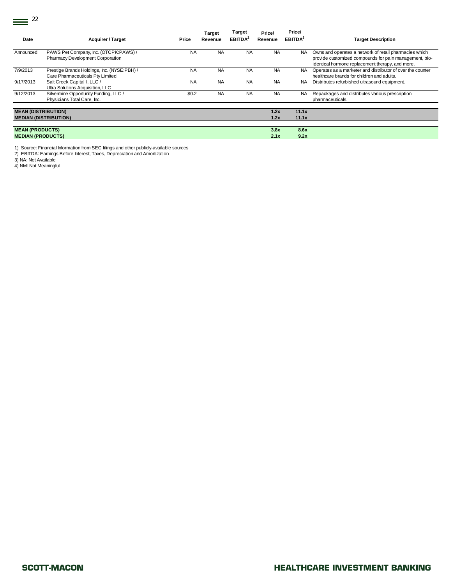$\equiv$ <sup>22</sup>

|                                                         |                                       |           | <b>Target</b> | <b>Target</b>       | Price/    | Price/              |                                                            |
|---------------------------------------------------------|---------------------------------------|-----------|---------------|---------------------|-----------|---------------------|------------------------------------------------------------|
| Date                                                    | <b>Acquirer / Target</b>              | Price     | Revenue       | EBITDA <sup>2</sup> | Revenue   | EBITDA <sup>2</sup> | <b>Target Description</b>                                  |
|                                                         |                                       |           |               |                     |           |                     |                                                            |
| Announced                                               | PAWS Pet Company, Inc. (OTCPK:PAWS) / | <b>NA</b> | <b>NA</b>     | <b>NA</b>           | <b>NA</b> | <b>NA</b>           | Owns and operates a network of retail pharmacies which     |
|                                                         | Pharmacy Development Corporation      |           |               |                     |           |                     | provide customized compounds for pain management, bio-     |
|                                                         |                                       |           |               |                     |           |                     | identical hormone replacement therapy, and more.           |
| 7/9/2013<br>Prestige Brands Holdings, Inc. (NYSE:PBH) / |                                       | <b>NA</b> | <b>NA</b>     | <b>NA</b>           | <b>NA</b> | NA.                 | Operates as a marketer and distributor of over the counter |
|                                                         | Care Pharmaceuticals Pty Limited      |           |               |                     |           |                     | healthcare brands for children and adults.                 |
| 9/17/2013                                               | Salt Creek Capital II, LLC /          | <b>NA</b> | <b>NA</b>     | <b>NA</b>           | <b>NA</b> | NA.                 | Distributes refurbished ultrasound equipment.              |
|                                                         | Ultra Solutions Acquisition, LLC      |           |               |                     |           |                     |                                                            |
| 9/12/2013                                               | Silvermine Opportunity Funding, LLC / | \$0.2     | <b>NA</b>     | <b>NA</b>           | <b>NA</b> | NA.                 | Repackages and distributes various prescription            |
|                                                         | Physicians Total Care, Inc.           |           |               |                     |           |                     | pharmaceuticals.                                           |
|                                                         |                                       |           |               |                     |           |                     |                                                            |
| <b>MEAN (DISTRIBUTION)</b>                              |                                       |           |               |                     | 1.2x      | 11.1x               |                                                            |
|                                                         | <b>MEDIAN (DISTRIBUTION)</b>          |           |               |                     | 1.2x      | 11.1x               |                                                            |
|                                                         |                                       |           |               |                     |           |                     |                                                            |
| <b>MEAN (PRODUCTS)</b>                                  |                                       |           |               |                     | 3.8x      | 8.6x                |                                                            |
|                                                         | <b>MEDIAN (PRODUCTS)</b>              |           |               |                     | 2.1x      | 9.2x                |                                                            |

1) Source: Financial Information from SEC filings and other publicly-available sources 2) EBITDA: Earnings Before Interest, Taxes, Depreciation and Amortization

3) NA: Not Available

4) NM: Not Meaningful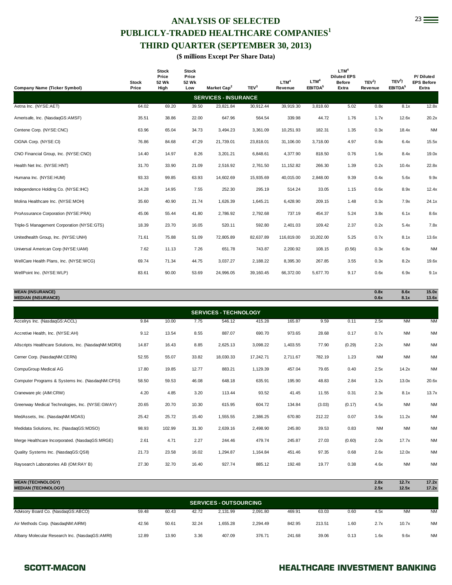# ANALYSIS OF SELECTED 23 **PUBLICLY-TRADED HEALTHCARE COMPANIES<sup>1</sup> THIRD QUARTER (SEPTEMBER 30, 2013)**

**(\$ millions Except Per Share Data)** 

| <b>Company Name (Ticker Symbol)</b>        | <b>Stock</b><br>Price | <b>Stock</b><br>Price<br>52 Wk<br>High | <b>Stock</b><br>Price<br>52 Wk<br>Low | Market Cap <sup>2</sup>     | TEV <sup>3</sup> | LTM <sup>4</sup><br>Revenue | LTM <sup>4</sup><br>EBITDA <sup>5</sup> | LTM <sup>4</sup><br><b>Diluted EPS</b><br><b>Before</b><br>Extra | TEV <sup>3</sup> /<br>Revenue | TEV <sup>3</sup> /<br>EBITDA <sup>5</sup> | P/Diluted<br><b>EPS Before</b><br>Extra |
|--------------------------------------------|-----------------------|----------------------------------------|---------------------------------------|-----------------------------|------------------|-----------------------------|-----------------------------------------|------------------------------------------------------------------|-------------------------------|-------------------------------------------|-----------------------------------------|
|                                            |                       |                                        |                                       | <b>SERVICES - INSURANCE</b> |                  |                             |                                         |                                                                  |                               |                                           |                                         |
| Aetna Inc. (NYSE:AET)                      | 64.02                 | 69.20                                  | 39.50                                 | 23,821.84                   | 30,912.44        | 39,919.30                   | 3,818.60                                | 5.02                                                             | 0.8x                          | 8.1x                                      | 12.8x                                   |
| Amerisafe, Inc. (NasdaqGS:AMSF)            | 35.51                 | 38.86                                  | 22.00                                 | 647.96                      | 564.54           | 339.98                      | 44.72                                   | 1.76                                                             | 1.7x                          | 12.6x                                     | 20.2x                                   |
| Centene Corp. (NYSE:CNC)                   | 63.96                 | 65.04                                  | 34.73                                 | 3,494.23                    | 3,361.09         | 10,251.93                   | 182.31                                  | 1.35                                                             | 0.3x                          | 18.4x                                     | <b>NM</b>                               |
| CIGNA Corp. (NYSE:CI)                      | 76.86                 | 84.68                                  | 47.29                                 | 21,739.01                   | 23,818.01        | 31,106.00                   | 3,718.00                                | 4.97                                                             | 0.8x                          | 6.4x                                      | 15.5x                                   |
| CNO Financial Group, Inc. (NYSE:CNO)       | 14.40                 | 14.97                                  | 8.26                                  | 3,201.21                    | 6,848.61         | 4,377.90                    | 818.50                                  | 0.76                                                             | 1.6x                          | 8.4x                                      | 19.0x                                   |
| Health Net Inc. (NYSE:HNT)                 | 31.70                 | 33.90                                  | 21.09                                 | 2,516.92                    | 2,761.50         | 11,152.82                   | 266.30                                  | 1.39                                                             | 0.2x                          | 10.4x                                     | 22.8x                                   |
| Humana Inc. (NYSE:HUM)                     | 93.33                 | 99.85                                  | 63.93                                 | 14,602.69                   | 15,935.69        | 40,015.00                   | 2,848.00                                | 9.39                                                             | 0.4x                          | 5.6x                                      | 9.9x                                    |
| Independence Holding Co. (NYSE: IHC)       | 14.28                 | 14.95                                  | 7.55                                  | 252.30                      | 295.19           | 514.24                      | 33.05                                   | 1.15                                                             | 0.6x                          | 8.9x                                      | 12.4x                                   |
| Molina Healthcare Inc. (NYSE:MOH)          | 35.60                 | 40.90                                  | 21.74                                 | 1,626.39                    | 1,645.21         | 6,428.90                    | 209.15                                  | 1.48                                                             | 0.3x                          | 7.9x                                      | 24.1x                                   |
| ProAssurance Corporation (NYSE:PRA)        | 45.06                 | 55.44                                  | 41.80                                 | 2,786.92                    | 2,792.68         | 737.19                      | 454.37                                  | 5.24                                                             | 3.8x                          | 6.1x                                      | 8.6x                                    |
| Triple-S Management Corporation (NYSE:GTS) | 18.39                 | 23.70                                  | 16.05                                 | 520.11                      | 592.80           | 2,401.03                    | 109.42                                  | 2.37                                                             | 0.2x                          | 5.4x                                      | 7.8x                                    |
| Unitedhealth Group, Inc. (NYSE:UNH)        | 71.61                 | 75.88                                  | 51.09                                 | 72,805.89                   | 82,637.89        | 116,819.00                  | 10,202.00                               | 5.25                                                             | 0.7x                          | 8.1x                                      | 13.6x                                   |
| Universal American Corp (NYSE:UAM)         | 7.62                  | 11.13                                  | 7.26                                  | 651.78                      | 743.87           | 2,200.92                    | 108.15                                  | (0.56)                                                           | 0.3x                          | 6.9x                                      | <b>NM</b>                               |
| WellCare Health Plans, Inc. (NYSE:WCG)     | 69.74                 | 71.34                                  | 44.75                                 | 3,037.27                    | 2,188.22         | 8,395.30                    | 267.85                                  | 3.55                                                             | 0.3x                          | 8.2x                                      | 19.6x                                   |
| WellPoint Inc. (NYSE:WLP)                  | 83.61                 | 90.00                                  | 53.69                                 | 24,996.05                   | 39,160.45        | 66,372.00                   | 5,677.70                                | 9.17                                                             | 0.6x                          | 6.9x                                      | 9.1x                                    |
|                                            |                       |                                        |                                       |                             |                  |                             |                                         |                                                                  |                               |                                           |                                         |
| <b>MEAN (INSURANCE)</b>                    |                       |                                        |                                       |                             |                  |                             |                                         |                                                                  | 0.8x                          | 8.6x                                      | 15.0x                                   |

**MEDIAN (INSURANCE) 0.6x 8.1x 13.6x** Accelrys Inc. (NasdaqGS:ACCL) 9.84 10.00 7.75 546.12 415.28 165.87 9.59 0.11 2.5x NM NM Accretive Health, Inc. (NYSE:AH) 9.12 13.54 8.55 887.07 690.70 973.65 28.68 0.17 0.7x NM NM Allscripts Healthcare Solutions, Inc. (NasdaqNM:MDRX) 14.87 16.43 8.85 2,625.13 3,098.22 1,403.55 77.90 (0.29) 2.2x NM NM Cerner Corp. (NasdaqNM:CERN) 52.55 55.07 33.82 18,030.33 17,242.71 2,711.67 782.19 1.23 NM NM NM CompuGroup Medical AG 17.80 19.85 12.77 883.21 1,129.39 457.04 79.65 0.40 2.5x 14.2x NM Computer Programs & Systems Inc. (NasdaqNM:CPSI) 58.50 59.53 46.08 648.18 635.91 195.90 48.83 2.84 3.2x 13.0x 20.6x Craneware plc (AIM:CRW) 4.20 4.85 3.20 113.44 93.52 41.45 11.55 0.31 2.3x 8.1x 13.7x Greenway Medical Technologies, Inc. (NYSE:GWAY) 20.65 20.70 10.30 615.95 604.72 134.84 (3.03) (0.17) 4.5x NM NM MedAssets, Inc. (NasdaqNM:MDAS) 25.42 25.72 15.40 1,555.55 2,386.25 670.80 212.22 0.07 3.6x 11.2x NM Medidata Solutions, Inc. (NasdaqGS:MDSO) 98.93 102.99 31.30 2,639.16 2,498.90 245.80 39.53 0.83 NM NM NM Merge Healthcare Incorporated. (NasdaqGS:MRGE) 2.61 4.71 2.27 244.46 479.74 245.87 27.03 (0.60) 2.0x 17.7x NM Quality Systems Inc. (NasdaqGS:QSII) 21.73 23.58 16.02 1,294.87 1,164.84 451.46 97.35 0.68 2.6x 12.0x NM Raysearch Laboratories AB (OM:RAY B) 27.30 32.70 16.40 927.74 885.12 192.48 19.77 0.38 4.6x NM NM **SERVICES - TECHNOLOGY**

| <b>MEAN (TECHNOLOGY)</b>                       |       |       |       |                               |          |        |        |      | 2.8x | 12.7x     | 17.2x     |
|------------------------------------------------|-------|-------|-------|-------------------------------|----------|--------|--------|------|------|-----------|-----------|
| <b>MEDIAN (TECHNOLOGY)</b>                     |       |       |       |                               |          |        |        |      | 2.5x | 12.5x     | 17.2x     |
|                                                |       |       |       | <b>SERVICES - OUTSOURCING</b> |          |        |        |      |      |           |           |
|                                                |       |       |       |                               |          |        |        |      |      |           |           |
| Advisory Board Co. (NasdaqGS:ABCO)             | 59.48 | 60.43 | 42.72 | 2.131.99                      | 2.091.80 | 469.91 | 63.03  | 0.60 | 4.5x | <b>NM</b> | <b>NM</b> |
| Air Methods Corp. (NasdaqNM:AIRM)              | 42.56 | 50.61 | 32.24 | 1.655.28                      | 2.294.49 | 842.95 | 213.51 | 1.60 | 2.7x | 10.7x     | <b>NM</b> |
| Albany Molecular Research Inc. (NasdaqGS:AMRI) | 12.89 | 13.90 | 3.36  | 407.09                        | 376.71   | 241.68 | 39.06  | 0.13 | 1.6x | 9.6x      | <b>NM</b> |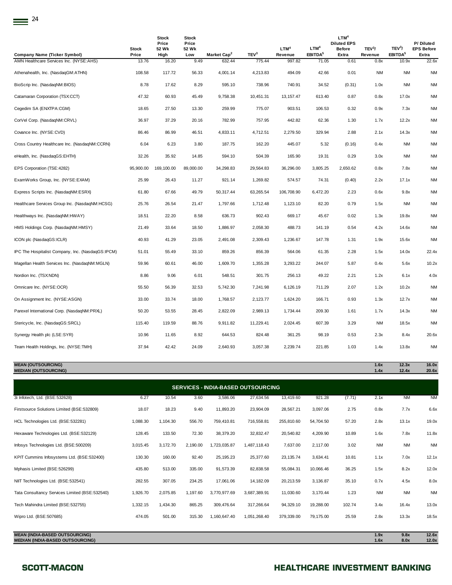|                                                                                | <b>Stock</b>   | <b>Stock</b><br>Price<br>52 Wk | Stock<br>Price<br>52 Wk |                                           |                            | LTM <sup>4</sup>  | LTM <sup>4</sup>             | LTM <sup>4</sup><br><b>Diluted EPS</b><br><b>Before</b> | TEV <sup>3</sup> / | TEV <sup>3</sup> /           | P/Diluted<br><b>EPS Before</b> |
|--------------------------------------------------------------------------------|----------------|--------------------------------|-------------------------|-------------------------------------------|----------------------------|-------------------|------------------------------|---------------------------------------------------------|--------------------|------------------------------|--------------------------------|
| <b>Company Name (Ticker Symbol)</b><br>AMN Healthcare Services Inc. (NYSE:AHS) | Price<br>13.76 | High<br>16.20                  | Low<br>9.49             | Market Cap <sup>2</sup><br>632.44         | TEV <sup>3</sup><br>775.44 | Revenue<br>997.82 | EBITDA <sup>5</sup><br>71.05 | Extra<br>0.61                                           | Revenue<br>0.8x    | EBITDA <sup>5</sup><br>10.9x | Extra<br>22.6x                 |
| Athenahealth, Inc. (NasdaqGM:ATHN)                                             | 108.58         | 117.72                         | 56.33                   | 4,001.14                                  | 4,213.83                   | 494.09            | 42.66                        | 0.01                                                    | <b>NM</b>          | <b>NM</b>                    | <b>NM</b>                      |
| BioScrip Inc. (NasdaqNM:BIOS)                                                  | 8.78           | 17.62                          | 8.29                    | 595.10                                    | 738.96                     | 740.91            | 34.52                        | (0.31)                                                  | 1.0x               | <b>NM</b>                    | <b>NM</b>                      |
| Catamaran Corporation (TSX:CCT)                                                | 47.32          | 60.93                          | 45.49                   | 9,758.38                                  | 10,451.31                  | 13, 157.47        | 613.40                       | 0.87                                                    | 0.8x               | 17.0x                        | <b>NM</b>                      |
| Cegedim SA (ENXTPA:CGM)                                                        | 18.65          | 27.50                          | 13.30                   | 259.99                                    | 775.07                     | 903.51            | 106.53                       | 0.32                                                    | 0.9x               | 7.3x                         | <b>NM</b>                      |
| CorVel Corp. (NasdaqNM:CRVL)                                                   | 36.97          | 37.29                          | 20.16                   | 782.99                                    | 757.95                     | 442.82            | 62.36                        | 1.30                                                    | 1.7x               | 12.2x                        | <b>NM</b>                      |
| Covance Inc. (NYSE:CVD)                                                        | 86.46          | 86.99                          | 46.51                   | 4,833.11                                  | 4,712.51                   | 2,279.50          | 329.94                       | 2.88                                                    | 2.1x               | 14.3x                        | <b>NM</b>                      |
| Cross Country Healthcare Inc. (NasdaqNM:CCRN)                                  | 6.04           | 6.23                           | 3.80                    | 187.75                                    | 162.20                     | 445.07            | 5.32                         | (0.16)                                                  | 0.4x               | <b>NM</b>                    | <b>NM</b>                      |
| eHealth, Inc. (NasdaqGS:EHTH)                                                  | 32.26          | 35.92                          | 14.85                   | 594.10                                    | 504.39                     | 165.90            | 19.31                        | 0.29                                                    | 3.0x               | <b>NM</b>                    | <b>NM</b>                      |
| EPS Corporation (TSE:4282)                                                     | 95,900.00      | 169,100.00                     | 89,000.00               | 34,298.83                                 | 29,564.83                  | 36,296.00         | 3,805.25                     | 2,650.62                                                | 0.8x               | 7.8x                         | <b>NM</b>                      |
| ExamWorks Group, Inc. (NYSE:EXAM)                                              | 25.99          | 26.43                          | 11.27                   | 921.14                                    | 1,269.82                   | 574.57            | 74.31                        | (0.40)                                                  | 2.2x               | 17.1x                        | <b>NM</b>                      |
| Express Scripts Inc. (NasdaqNM:ESRX)                                           | 61.80          | 67.66                          | 49.79                   | 50,317.44                                 | 63,265.54                  | 106,708.90        | 6,472.20                     | 2.23                                                    | 0.6x               | 9.8x                         | <b>NM</b>                      |
| Healthcare Services Group Inc. (NasdaqNM:HCSG)                                 | 25.76          | 26.54                          | 21.47                   | 1,797.66                                  | 1,712.48                   | 1,123.10          | 82.20                        | 0.79                                                    | 1.5x               | <b>NM</b>                    | <b>NM</b>                      |
| Healthways Inc. (NasdaqNM:HWAY)                                                | 18.51          | 22.20                          | 8.58                    | 636.73                                    | 902.43                     | 669.17            | 45.67                        | 0.02                                                    | 1.3x               | 19.8x                        | <b>NM</b>                      |
| HMS Holdings Corp. (NasdaqNM:HMSY)                                             | 21.49          | 33.64                          | 18.50                   | 1,886.97                                  | 2,058.30                   | 488.73            | 141.19                       | 0.54                                                    | 4.2x               | 14.6x                        | <b>NM</b>                      |
| ICON plc (NasdaqGS:ICLR)                                                       | 40.93          | 41.29                          | 23.05                   | 2,491.08                                  | 2,309.43                   | 1,236.67          | 147.78                       | 1.31                                                    | 1.9x               | 15.6x                        | <b>NM</b>                      |
| IPC The Hospitalist Company, Inc. (NasdaqGS:IPCM)                              | 51.01          | 55.49                          | 33.10                   | 859.26                                    | 856.39                     | 564.06            | 61.35                        | 2.28                                                    | 1.5x               | 14.0x                        | 22.4x                          |
| Magellan Health Services Inc. (NasdaqNM:MGLN)                                  | 59.96          | 60.61                          | 46.00                   | 1,609.70                                  | 1,355.28                   | 3,293.22          | 244.07                       | 5.87                                                    | 0.4x               | 5.6x                         | 10.2x                          |
| Nordion Inc. (TSX:NDN)                                                         | 8.86           | 9.06                           | 6.01                    | 548.51                                    | 301.75                     | 256.13            | 49.22                        | 2.21                                                    | 1.2x               | 6.1x                         | 4.0x                           |
| Omnicare Inc. (NYSE:OCR)                                                       | 55.50          | 56.39                          | 32.53                   | 5,742.30                                  | 7,241.98                   | 6,126.19          | 711.29                       | 2.07                                                    | 1.2x               | 10.2x                        | <b>NM</b>                      |
| On Assignment Inc. (NYSE:ASGN)                                                 | 33.00          | 33.74                          | 18.00                   | 1,768.57                                  | 2,123.77                   | 1,624.20          | 166.71                       | 0.93                                                    | 1.3x               | 12.7x                        | <b>NM</b>                      |
| Parexel International Corp. (NasdaqNM:PRXL)                                    | 50.20          | 53.55                          | 28.45                   | 2,822.09                                  | 2,989.13                   | 1,734.44          | 209.30                       | 1.61                                                    | 1.7x               | 14.3x                        | <b>NM</b>                      |
| Stericycle, Inc. (NasdaqGS:SRCL)                                               | 115.40         | 119.59                         | 88.76                   | 9,911.82                                  | 11,229.41                  | 2,024.45          | 607.39                       | 3.29                                                    | <b>NM</b>          | 18.5x                        | <b>NM</b>                      |
| Synergy Health plc (LSE:SYR)                                                   | 10.96          | 11.65                          | 8.92                    | 644.53                                    | 824.48                     | 361.25            | 98.19                        | 0.53                                                    | 2.3x               | 8.4x                         | 20.6x                          |
| Team Health Holdings, Inc. (NYSE:TMH)                                          | 37.94          | 42.42                          | 24.09                   | 2,640.93                                  | 3,057.38                   | 2,239.74          | 221.85                       | 1.03                                                    | 1.4x               | 13.8x                        | <b>NM</b>                      |
| <b>MEAN (OUTSOURCING)</b><br><b>MEDIAN (OUTSOURCING)</b>                       |                |                                |                         |                                           |                            |                   |                              |                                                         | 1.6x<br>1.4x       | 12.3x<br>12.4x               | 16.0x<br>20.6x                 |
|                                                                                |                |                                |                         | <b>SERVICES - INDIA-BASED OUTSOURCING</b> |                            |                   |                              |                                                         |                    |                              |                                |
| 3i Infotech, Ltd. (BSE:532628)                                                 | 6.27           | 10.54                          | 3.60                    | 3,586.06                                  | 27,634.56                  | 13,419.60         | 921.28                       | (7.71)                                                  | 2.1x               | <b>NM</b>                    | <b>NM</b>                      |
| Firstsource Solutions Limited (BSE:532809)                                     | 18.07          | 18.23                          | 9.40                    | 11,893.20                                 | 23,904.09                  | 28,567.21         | 3,097.06                     | 2.75                                                    | 0.8x               | 7.7x                         | 6.6x                           |
| HCL Technologies Ltd. (BSE:532281)                                             | 1,088.30       | 1,104.30                       | 556.70                  | 759,410.81                                | 716,558.81                 | 255,810.60        | 54,704.50                    | 57.20                                                   | 2.8x               | 13.1x                        | 19.0x                          |
| Hexaware Technologies Ltd. (BSE:532129)                                        | 128.45         | 133.50                         | 72.30                   | 38,379.20                                 | 32,832.47                  | 20,540.82         | 4,209.90                     | 10.89                                                   | 1.6x               | 7.8x                         | 11.8x                          |
| Infosys Technologies Ltd. (BSE:500209)                                         | 3,015.45       | 3,172.70                       | 2,190.00                | 1,723,035.87                              | 1,487,118.43               | 7,637.00          | 2,117.00                     | 3.02                                                    | <b>NM</b>          | NM                           | <b>NM</b>                      |

| <b>MEDIAN (INDIA-BASED OUTSOURCING)</b>        |          |          |          |              |              |            |           |        | 1.6x      | 8.0x      | 12.0x     |
|------------------------------------------------|----------|----------|----------|--------------|--------------|------------|-----------|--------|-----------|-----------|-----------|
| <b>MEAN (INDIA-BASED OUTSOURCING)</b>          |          |          |          |              |              |            |           |        | 1.9x      | 9.8x      | 12.6x     |
| Wipro Ltd. (BSE:507685)                        | 474.05   | 501.00   | 315.30   | 1,160,647.40 | 1,051,268.40 | 379,339.00 | 79.175.00 | 25.59  | 2.8x      | 13.3x     | 18.5x     |
| Tech Mahindra Limited (BSE:532755)             | 1.332.15 | 1,434.30 | 865.25   | 309.476.64   | 317.266.64   | 94.329.10  | 19.288.00 | 102.74 | 3.4x      | 16.4x     | 13.0x     |
| Tata Consultancy Services Limited (BSE:532540) | 1,926.70 | 2,075.85 | 1.197.60 | 3.770.977.69 | 3.687.389.91 | 11.030.60  | 3.170.44  | 1.23   | <b>NM</b> | <b>NM</b> | <b>NM</b> |
| NIIT Technologies Ltd. (BSE:532541)            | 282.55   | 307.05   | 234.25   | 17,061.06    | 14,182.09    | 20,213.59  | 3,136.87  | 35.10  | 0.7x      | 4.5x      | 8.0x      |
| Mphasis Limited (BSE:526299)                   | 435.80   | 513.00   | 335.00   | 91,573.39    | 82,838.58    | 55,084.31  | 10,066.46 | 36.25  | 1.5x      | 8.2x      | 12.0x     |
| KPIT Cummins Infosystems Ltd. (BSE:532400)     | 130.30   | 160.00   | 92.40    | 25, 195. 23  | 25,377.60    | 23,135.74  | 3,634.41  | 10.81  | 1.1x      | 7.0x      | 12.1x     |
| Infosys Technologies Ltd. (BSE:500209)         | 3,015.45 | 3,172.70 | 2,190.00 | 1,723,035.87 | 1.487.118.43 | 7,637.00   | 2.117.00  | 3.02   | <b>NM</b> | <b>NM</b> | <b>NM</b> |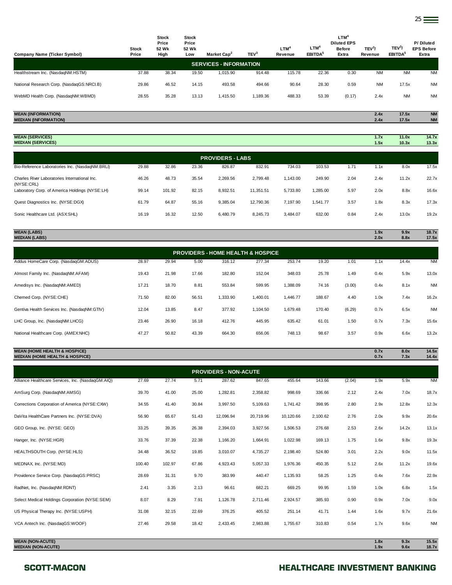| <b>Company Name (Ticker Symbol)</b>                      | <b>Stock</b><br>Price | <b>Stock</b><br>Price<br>52 Wk<br>High | <b>Stock</b><br>Price<br>52 Wk<br>Low | Market Cap <sup>2</sup>       | TEV <sup>3</sup> | $LTM^4$<br>Revenue | LTM <sup>4</sup><br>EBITDA <sup>5</sup> | LTM <sup>4</sup><br><b>Diluted EPS</b><br><b>Before</b><br>Extra | TEV <sup>3</sup> /<br>Revenue | TEV <sup>3</sup> /<br>EBITDA <sup>5</sup> | P/Diluted<br><b>EPS Before</b><br>Extra |
|----------------------------------------------------------|-----------------------|----------------------------------------|---------------------------------------|-------------------------------|------------------|--------------------|-----------------------------------------|------------------------------------------------------------------|-------------------------------|-------------------------------------------|-----------------------------------------|
|                                                          |                       |                                        |                                       | <b>SERVICES - INFORMATION</b> |                  |                    |                                         |                                                                  |                               |                                           |                                         |
| Healthstream Inc. (NasdaqNM:HSTM)                        | 37.88                 | 38.34                                  | 19.50                                 | 1.015.90                      | 914.48           | 115.78             | 22.36                                   | 0.30                                                             | <b>NM</b>                     | <b>NM</b>                                 | <b>NM</b>                               |
| National Research Corp. (NasdaqGS:NRCI.B)                | 29.86                 | 46.52                                  | 14.15                                 | 493.58                        | 494.66           | 90.64              | 28.30                                   | 0.59                                                             | <b>NM</b>                     | 17.5x                                     | <b>NM</b>                               |
| WebMD Health Corp. (NasdaqNM:WBMD)                       | 28.55                 | 35.28                                  | 13.13                                 | 1,415.50                      | 1,189.36         | 488.33             | 53.39                                   | (0.17)                                                           | 2.4x                          | <b>NM</b>                                 | <b>NM</b>                               |
|                                                          |                       |                                        |                                       |                               |                  |                    |                                         |                                                                  |                               |                                           |                                         |
| <b>MEAN (INFORMATION)</b><br><b>MEDIAN (INFORMATION)</b> |                       |                                        |                                       |                               |                  |                    |                                         |                                                                  | 2.4x<br>2.4x                  | 17.5x<br>17.5x                            | <b>NM</b><br><b>NM</b>                  |

| <b>MEAN (SERVICES)</b><br><b>MEDIAN (SERVICES)</b>          |       |        |       |                         |           |          |          |      | 1.7x<br>1.5x | 11.0x<br>10.3x | 14.7x<br>13.3x |
|-------------------------------------------------------------|-------|--------|-------|-------------------------|-----------|----------|----------|------|--------------|----------------|----------------|
|                                                             |       |        |       | <b>PROVIDERS - LABS</b> |           |          |          |      |              |                |                |
| Bio-Reference Laboratories Inc. (NasdaqNM:BRLI)             | 29.88 | 32.86  | 23.36 | 826.87                  | 832.91    | 734.03   | 103.53   | 1.71 | 1.1x         | 8.0x           | 17.5x          |
| Charles River Laboratories International Inc.<br>(NYSE:CRL) | 46.26 | 48.73  | 35.54 | 2,269.56                | 2.799.48  | 1,143.00 | 249.90   | 2.04 | 2.4x         | 11.2x          | 22.7x          |
| Laboratory Corp. of America Holdings (NYSE:LH)              | 99.14 | 101.92 | 82.15 | 8,932.51                | 11,351.51 | 5,733.80 | 1,285.00 | 5.97 | 2.0x         | 8.8x           | 16.6x          |
| Quest Diagnostics Inc. (NYSE:DGX)                           | 61.79 | 64.87  | 55.16 | 9,385.04                | 12,790.36 | 7,197.90 | 1,541.77 | 3.57 | 1.8x         | 8.3x           | 17.3x          |
| Sonic Healthcare Ltd. (ASX:SHL)                             | 16.19 | 16.32  | 12.50 | 6,480.79                | 8,245.73  | 3,484.07 | 632.00   | 0.84 | 2.4x         | 13.0x          | 19.2x          |

| <b>MEDIAN (LABS)</b>                         |       |       |       |          |                                              |          |        |        | 2.0x | 8.8x  | 17.5x     |
|----------------------------------------------|-------|-------|-------|----------|----------------------------------------------|----------|--------|--------|------|-------|-----------|
|                                              |       |       |       |          | <b>PROVIDERS - HOME HEALTH &amp; HOSPICE</b> |          |        |        |      |       |           |
| Addus HomeCare Corp. (NasdaqGM:ADUS)         | 28.97 | 29.94 | 5.00  | 316.12   | 277.34                                       | 253.74   | 19.20  | 1.01   | 1.1x | 14.4x | <b>NM</b> |
| Almost Family Inc. (NasdaqNM:AFAM)           | 19.43 | 21.98 | 17.66 | 182.80   | 152.04                                       | 348.03   | 25.78  | 1.49   | 0.4x | 5.9x  | 13.0x     |
| Amedisys Inc. (NasdaqNM:AMED)                | 17.21 | 18.70 | 8.81  | 553.84   | 599.95                                       | 1,388.09 | 74.16  | (3.00) | 0.4x | 8.1x  | <b>NM</b> |
| Chemed Corp. (NYSE:CHE)                      | 71.50 | 82.00 | 56.51 | 1,333.90 | 1,400.01                                     | 1,446.77 | 188.67 | 4.40   | 1.0x | 7.4x  | 16.2x     |
| Gentiva Health Services Inc. (NasdaqNM:GTIV) | 12.04 | 13.85 | 8.47  | 377.92   | 1,104.50                                     | 1,679.48 | 170.40 | (6.29) | 0.7x | 6.5x  | <b>NM</b> |
| LHC Group, Inc. (NasdaqNM:LHCG)              | 23.46 | 26.90 | 16.18 | 412.76   | 445.95                                       | 635.42   | 61.01  | 1.50   | 0.7x | 7.3x  | 15.6x     |
| National Healthcare Corp. (AMEX:NHC)         | 47.27 | 50.82 | 43.39 | 664.30   | 656.06                                       | 748.13   | 98.67  | 3.57   | 0.9x | 6.6x  | 13.2x     |
|                                              |       |       |       |          |                                              |          |        |        |      |       |           |

**MEAN (LABS) 1.9x 9.9x 18.7x**

### **MEAN (HOME HEALTH & HOSPICE) 0.7x 8.0x 14.5x MEDIAN (HOME HEALTH & HOSPICE) 0.7x 7.3x 14.4x**

|                                                      |        |        |       | <b>PROVIDERS - NON-ACUTE</b> |           |           |          |        |              |              |                |
|------------------------------------------------------|--------|--------|-------|------------------------------|-----------|-----------|----------|--------|--------------|--------------|----------------|
| Alliance Healthcare Services, Inc. (NasdaqGM:AIQ)    | 27.69  | 27.74  | 5.71  | 287.62                       | 847.65    | 455.64    | 143.66   | (2.04) | 1.9x         | 5.9x         | <b>NM</b>      |
| AmSurg Corp. (NasdagNM:AMSG)                         | 39.70  | 41.00  | 25.00 | 1,282.81                     | 2,358.82  | 998.69    | 336.66   | 2.12   | 2.4x         | 7.0x         | 18.7x          |
| Corrections Corporation of America (NYSE:CXW)        | 34.55  | 41.40  | 30.84 | 3,997.50                     | 5,109.63  | 1,741.42  | 398.95   | 2.80   | 2.9x         | 12.8x        | 12.3x          |
| DaVita HealthCare Partners Inc. (NYSE:DVA)           | 56.90  | 65.67  | 51.43 | 12,096.94                    | 20,719.96 | 10,120.66 | 2,100.62 | 2.76   | 2.0x         | 9.9x         | 20.6x          |
| GEO Group, Inc. (NYSE: GEO)                          | 33.25  | 39.35  | 26.38 | 2,394.03                     | 3,927.56  | 1,506.53  | 276.68   | 2.53   | 2.6x         | 14.2x        | 13.1x          |
| Hanger, Inc. (NYSE:HGR)                              | 33.76  | 37.39  | 22.38 | 1,166.20                     | 1,664.91  | 1,022.98  | 169.13   | 1.75   | 1.6x         | 9.8x         | 19.3x          |
| HEALTHSOUTH Corp. (NYSE:HLS)                         | 34.48  | 36.52  | 19.85 | 3,010.07                     | 4,735.27  | 2,198.40  | 524.80   | 3.01   | 2.2x         | 9.0x         | 11.5x          |
| MEDNAX, Inc. (NYSE:MD)                               | 100.40 | 102.97 | 67.86 | 4,923.43                     | 5,057.33  | 1,976.36  | 450.35   | 5.12   | 2.6x         | 11.2x        | 19.6x          |
| Providence Service Corp. (NasdaqGS:PRSC)             | 28.69  | 31.31  | 9.70  | 383.99                       | 440.47    | 1,135.93  | 58.25    | 1.25   | 0.4x         | 7.6x         | 22.9x          |
| RadNet, Inc. (NasdaqNM:RDNT)                         | 2.41   | 3.35   | 2.13  | 96.61                        | 682.21    | 669.25    | 99.95    | 1.59   | 1.0x         | 6.8x         | 1.5x           |
| Select Medical Holdings Corporation (NYSE:SEM)       | 8.07   | 8.29   | 7.91  | 1,126.78                     | 2,711.46  | 2,924.57  | 385.93   | 0.90   | 0.9x         | 7.0x         | 9.0x           |
| US Physical Therapy Inc. (NYSE:USPH)                 | 31.08  | 32.15  | 22.69 | 376.25                       | 405.52    | 251.14    | 41.71    | 1.44   | 1.6x         | 9.7x         | 21.6x          |
| VCA Antech Inc. (NasdaqGS:WOOF)                      | 27.46  | 29.58  | 18.42 | 2,433.45                     | 2,983.88  | 1,755.67  | 310.83   | 0.54   | 1.7x         | 9.6x         | <b>NM</b>      |
| <b>MEAN (NON-ACUTE)</b><br><b>MEDIAN (NON-ACUTE)</b> |        |        |       |                              |           |           |          |        | 1.8x<br>1.9x | 9.3x<br>9.6x | 15.5x<br>18.7x |

### SCOTT-MACON **SCOTT-MACON HEALTHCARE INVESTMENT BANKING**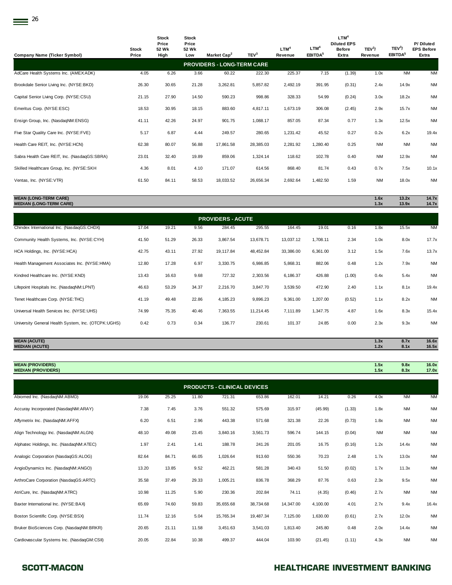| <b>Company Name (Ticker Symbol)</b>          | <b>Stock</b><br>Price | <b>Stock</b><br>Price<br>52 Wk<br>High | <b>Stock</b><br>Price<br>52 Wk<br>Low | Market Cap <sup>2</sup>           | TEV <sup>3</sup> | LTM <sup>4</sup><br>Revenue | LTM <sup>4</sup><br>EBITDA <sup>5</sup> | LTM <sup>4</sup><br><b>Diluted EPS</b><br><b>Before</b><br>Extra | TEV <sup>3</sup> /<br>Revenue | TEV <sup>3</sup> /<br>EBITDA <sup>5</sup> | P/ Diluted<br><b>EPS Before</b><br>Extra |
|----------------------------------------------|-----------------------|----------------------------------------|---------------------------------------|-----------------------------------|------------------|-----------------------------|-----------------------------------------|------------------------------------------------------------------|-------------------------------|-------------------------------------------|------------------------------------------|
|                                              |                       |                                        |                                       | <b>PROVIDERS - LONG-TERM CARE</b> |                  |                             |                                         |                                                                  |                               |                                           |                                          |
| AdCare Health Systems Inc. (AMEX:ADK)        | 4.05                  | 6.26                                   | 3.66                                  | 60.22                             | 222.30           | 225.37                      | 7.15                                    | (1.39)                                                           | 1.0x                          | <b>NM</b>                                 | <b>NM</b>                                |
| Brookdale Senior Living Inc. (NYSE:BKD)      | 26.30                 | 30.65                                  | 21.28                                 | 3,262.81                          | 5,857.82         | 2,492.19                    | 391.95                                  | (0.31)                                                           | 2.4x                          | 14.9x                                     | <b>NM</b>                                |
| Capital Senior Living Corp. (NYSE:CSU)       | 21.15                 | 27.90                                  | 14.50                                 | 590.23                            | 998.86           | 328.33                      | 54.99                                   | (0.24)                                                           | 3.0x                          | 18.2x                                     | <b>NM</b>                                |
| Emeritus Corp. (NYSE:ESC)                    | 18.53                 | 30.95                                  | 18.15                                 | 883.60                            | 4,817.11         | 1,673.19                    | 306.08                                  | (2.45)                                                           | 2.9x                          | 15.7x                                     | <b>NM</b>                                |
| Ensign Group, Inc. (NasdaqNM:ENSG)           | 41.11                 | 42.26                                  | 24.97                                 | 901.75                            | 1,088.17         | 857.05                      | 87.34                                   | 0.77                                                             | 1.3x                          | 12.5x                                     | <b>NM</b>                                |
| Five Star Quality Care Inc. (NYSE:FVE)       | 5.17                  | 6.87                                   | 4.44                                  | 249.57                            | 280.65           | 1,231.42                    | 45.52                                   | 0.27                                                             | 0.2x                          | 6.2x                                      | 19.4x                                    |
| Health Care REIT, Inc. (NYSE:HCN)            | 62.38                 | 80.07                                  | 56.88                                 | 17,861.58                         | 28,385.03        | 2,281.92                    | 1,280.40                                | 0.25                                                             | <b>NM</b>                     | <b>NM</b>                                 | <b>NM</b>                                |
| Sabra Health Care REIT, Inc. (NasdaqGS:SBRA) | 23.01                 | 32.40                                  | 19.89                                 | 859.06                            | 1,324.14         | 118.62                      | 102.78                                  | 0.40                                                             | <b>NM</b>                     | 12.9x                                     | <b>NM</b>                                |
| Skilled Healthcare Group, Inc. (NYSE:SKH     | 4.36                  | 8.01                                   | 4.10                                  | 171.07                            | 614.56           | 868.40                      | 81.74                                   | 0.43                                                             | 0.7x                          | 7.5x                                      | 10.1x                                    |
| Ventas, Inc. (NYSE: VTR)                     | 61.50                 | 84.11                                  | 58.53                                 | 18,033.52                         | 26,656.34        | 2,692.64                    | 1,482.50                                | 1.59                                                             | <b>NM</b>                     | 18.0x                                     | <b>NM</b>                                |
|                                              |                       |                                        |                                       |                                   |                  |                             |                                         |                                                                  |                               |                                           |                                          |

### **MEAN (LONG-TERM CARE) 1.6x 13.2x 14.7x MEDIAN (LONG-TERM CARE) 1.3x 13.9x 14.7x**

| <b>PROVIDERS - ACUTE</b>                            |       |       |       |           |           |           |          |        |      |       |           |  |  |
|-----------------------------------------------------|-------|-------|-------|-----------|-----------|-----------|----------|--------|------|-------|-----------|--|--|
| Chindex International Inc. (NasdaqGS:CHDX)          | 17.04 | 19.21 | 9.56  | 284.45    | 295.55    | 164.45    | 19.01    | 0.16   | 1.8x | 15.5x | <b>NM</b> |  |  |
| Community Health Systems, Inc. (NYSE:CYH)           | 41.50 | 51.29 | 26.33 | 3,867.54  | 13,678.71 | 13,037.12 | 1,708.11 | 2.34   | 1.0x | 8.0x  | 17.7x     |  |  |
| HCA Holdings, Inc. (NYSE:HCA)                       | 42.75 | 43.11 | 27.92 | 19,117.84 | 48,452.84 | 33,386.00 | 6,361.00 | 3.12   | 1.5x | 7.6x  | 13.7x     |  |  |
| Health Management Associates Inc. (NYSE:HMA)        | 12.80 | 17.28 | 6.97  | 3,330.75  | 6,986.85  | 5,868.31  | 882.06   | 0.48   | 1.2x | 7.9x  | <b>NM</b> |  |  |
| Kindred Healthcare Inc. (NYSE:KND)                  | 13.43 | 16.63 | 9.68  | 727.32    | 2,303.56  | 6,186.37  | 426.88   | (1.00) | 0.4x | 5.4x  | <b>NM</b> |  |  |
| Lifepoint Hospitals Inc. (NasdaqNM:LPNT)            | 46.63 | 53.29 | 34.37 | 2,216.70  | 3,847.70  | 3,539.50  | 472.90   | 2.40   | 1.1x | 8.1x  | 19.4x     |  |  |
| Tenet Healthcare Corp. (NYSE:THC)                   | 41.19 | 49.48 | 22.86 | 4,185.23  | 9,896.23  | 9,361.00  | 1,207.00 | (0.52) | 1.1x | 8.2x  | <b>NM</b> |  |  |
| Universal Health Services Inc. (NYSE:UHS)           | 74.99 | 75.35 | 40.46 | 7,363.55  | 11,214.45 | 7,111.89  | 1,347.75 | 4.87   | 1.6x | 8.3x  | 15.4x     |  |  |
| University General Health System, Inc. (OTCPK:UGHS) | 0.42  | 0.73  | 0.34  | 136.77    | 230.61    | 101.37    | 24.85    | 0.00   | 2.3x | 9.3x  | <b>NM</b> |  |  |
|                                                     |       |       |       |           |           |           |          |        |      |       |           |  |  |

| <b>MEAN (ACUTE)</b>   | . .<br>1.3 <sub>A</sub> | 8.7x | 16.6x |
|-----------------------|-------------------------|------|-------|
| <b>MEDIAN (ACUTE)</b> | LLA                     | 8.1x | 16.5x |

| <b>MEAN (PROVIDERS)</b><br><b>MEDIAN (PROVIDERS)</b> |       |       |       |                                    |        |        |         |        | 1.5x<br>1.5x | 9.8x<br>8.3x | 16.0x<br>17.0x |
|------------------------------------------------------|-------|-------|-------|------------------------------------|--------|--------|---------|--------|--------------|--------------|----------------|
|                                                      |       |       |       | <b>PRODUCTS - CLINICAL DEVICES</b> |        |        |         |        |              |              |                |
| Abiomed Inc. (NasdaqNM:ABMD)                         | 19.06 | 25.25 | 11.80 | 721.31                             | 653.86 | 162.01 | 14.21   | 0.26   | 4.0x         | <b>NM</b>    | <b>NM</b>      |
| Accuray Incorporated (NasdaqNM:ARAY)                 | 7.38  | 7.45  | 3.76  | 551.32                             | 575.69 | 315.97 | (45.99) | (1.33) | 1.8x         | <b>NM</b>    | <b>NM</b>      |
| Affymetrix Inc. (NasdaqNM:AFFX)                      | 6.20  | 6.51  | 2.96  | 443.38                             | 571.68 | 321.38 | 22.26   | (0.73) | 1.8x         | <b>NM</b>    | <b>NM</b>      |
|                                                      |       |       |       |                                    |        |        |         |        |              |              |                |

| Align Technology Inc. (NasdaqNM:ALGN)       | 48.10 | 49.08 | 23.45 | 3,840.16  | 3,561.73  | 596.74    | 144.15   | (0.04) | <b>NM</b> | <b>NM</b> | <b>NM</b> |
|---------------------------------------------|-------|-------|-------|-----------|-----------|-----------|----------|--------|-----------|-----------|-----------|
| Alphatec Holdings, Inc. (NasdaqNM:ATEC)     | 1.97  | 2.41  | 1.41  | 188.78    | 241.26    | 201.05    | 16.75    | (0.16) | 1.2x      | 14.4x     | <b>NM</b> |
| Analogic Corporation (NasdaqGS:ALOG)        | 82.64 | 84.71 | 66.05 | 1,026.64  | 913.60    | 550.36    | 70.23    | 2.48   | 1.7x      | 13.0x     | <b>NM</b> |
| AngioDynamics Inc. (NasdaqNM:ANGO)          | 13.20 | 13.85 | 9.52  | 462.21    | 581.28    | 340.43    | 51.50    | (0.02) | 1.7x      | 11.3x     | <b>NM</b> |
| ArthroCare Corporation (NasdaqGS:ARTC)      | 35.58 | 37.49 | 29.33 | 1,005.21  | 836.78    | 368.29    | 87.76    | 0.63   | 2.3x      | 9.5x      | <b>NM</b> |
| AtriCure, Inc. (NasdaqNM:ATRC)              | 10.98 | 11.25 | 5.90  | 230.36    | 202.84    | 74.11     | (4.35)   | (0.46) | 2.7x      | <b>NM</b> | <b>NM</b> |
| Baxter International Inc. (NYSE:BAX)        | 65.69 | 74.60 | 59.83 | 35,655.68 | 38,734.68 | 14,347.00 | 4,100.00 | 4.01   | 2.7x      | 9.4x      | 16.4x     |
| Boston Scientific Corp. (NYSE:BSX)          | 11.74 | 12.16 | 5.04  | 15,765.34 | 19,487.34 | 7,125.00  | 1,630.00 | (0.61) | 2.7x      | 12.0x     | <b>NM</b> |
| Bruker BioSciences Corp. (NasdaqNM:BRKR)    | 20.65 | 21.11 | 11.58 | 3,451.63  | 3,541.03  | 1,813.40  | 245.80   | 0.48   | 2.0x      | 14.4x     | <b>NM</b> |
| Cardiovascular Systems Inc. (NasdaqGM:CSII) | 20.05 | 22.84 | 10.38 | 499.37    | 444.04    | 103.90    | (21.45)  | (1.11) | 4.3x      | <b>NM</b> | <b>NM</b> |

### SCOTT-MACON **SCOTT-MACON HEALTHCARE INVESTMENT BANKING**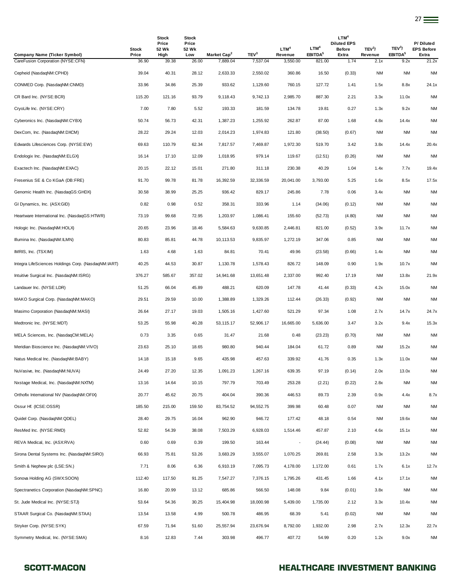| Company Name (Ticker Symbol)                        | <b>Stock</b><br>Price | <b>Stock</b><br>Price<br>52 Wk<br>High | <b>Stock</b><br>Price<br>52 Wk<br>Low | Market Cap <sup>2</sup> | TEV <sup>3</sup> | LTM <sup>4</sup><br>Revenue | LTM <sup>4</sup><br>EBITDA <sup>5</sup> | LTM <sup>4</sup><br><b>Diluted EPS</b><br><b>Before</b><br>Extra | TEV <sup>3</sup> /<br>Revenue | TEV <sup>3</sup> /<br>EBITDA <sup>5</sup> | P/Diluted<br><b>EPS Before</b><br><b>Extra</b> |
|-----------------------------------------------------|-----------------------|----------------------------------------|---------------------------------------|-------------------------|------------------|-----------------------------|-----------------------------------------|------------------------------------------------------------------|-------------------------------|-------------------------------------------|------------------------------------------------|
| CareFusion Corporation (NYSE:CFN)                   | 36.90                 | 39.38                                  | 26.00                                 | 7,889.04                | 7,537.04         | 3,550.00                    | 821.00                                  | 1.74                                                             | 2.1x                          | 9.2x                                      | 21.2x                                          |
| Cepheid (NasdaqNM:CPHD)                             | 39.04                 | 40.31                                  | 28.12                                 | 2,633.33                | 2,550.02         | 360.86                      | 16.50                                   | (0.33)                                                           | <b>NM</b>                     | <b>NM</b>                                 | <b>NM</b>                                      |
| CONMED Corp. (NasdaqNM:CNMD)                        | 33.96                 | 34.86                                  | 25.39                                 | 933.62                  | 1,129.60         | 760.15                      | 127.72                                  | 1.41                                                             | 1.5x                          | 8.8x                                      | 24.1x                                          |
| CR Bard Inc. (NYSE:BCR)                             | 115.20                | 121.16                                 | 93.79                                 | 9,118.43                | 9,742.13         | 2,985.70                    | 887.30                                  | 2.21                                                             | 3.3x                          | 11.0x                                     | <b>NM</b>                                      |
| CryoLife Inc. (NYSE:CRY)                            | 7.00                  | 7.80                                   | 5.52                                  | 193.33                  | 181.59           | 134.78                      | 19.81                                   | 0.27                                                             | 1.3x                          | 9.2x                                      | <b>NM</b>                                      |
| Cyberonics Inc. (NasdaqNM:CYBX)                     | 50.74                 | 56.73                                  | 42.31                                 | 1,387.23                | 1,255.92         | 262.87                      | 87.00                                   | 1.68                                                             | 4.8x                          | 14.4x                                     | <b>NM</b>                                      |
| DexCom, Inc. (NasdaqNM:DXCM)                        | 28.22                 | 29.24                                  | 12.03                                 | 2,014.23                | 1,974.83         | 121.80                      | (38.50)                                 | (0.67)                                                           | <b>NM</b>                     | NM                                        | <b>NM</b>                                      |
| Edwards Lifesciences Corp. (NYSE:EW)                | 69.63                 | 110.79                                 | 62.34                                 | 7,817.57                | 7,469.87         | 1,972.30                    | 519.70                                  | 3.42                                                             | 3.8x                          | 14.4x                                     | 20.4x                                          |
| Endologix Inc. (NasdaqNM:ELGX)                      | 16.14                 | 17.10                                  | 12.09                                 | 1,018.95                | 979.14           | 119.67                      | (12.51)                                 | (0.26)                                                           | <b>NM</b>                     | NM                                        | <b>NM</b>                                      |
| Exactech Inc. (NasdaqNM:EXAC)                       | 20.15                 | 22.12                                  | 15.01                                 | 271.80                  | 311.18           | 230.38                      | 40.29                                   | 1.04                                                             | 1.4x                          | 7.7x                                      | 19.4x                                          |
| Fresenius SE & Co KGaA (DB:FRE)                     | 91.70                 | 99.78                                  | 81.78                                 | 16,392.59               | 32,336.59        | 20,041.00                   | 3,793.00                                | 5.25                                                             | 1.6x                          | 8.5x                                      | 17.5x                                          |
| Genomic Health Inc. (NasdaqGS:GHDX)                 | 30.58                 | 38.99                                  | 25.25                                 | 936.42                  | 829.17           | 245.86                      | 7.78                                    | 0.06                                                             | 3.4x                          | NM                                        | <b>NM</b>                                      |
| GI Dynamics, Inc. (ASX:GID)                         | 0.82                  | 0.98                                   | 0.52                                  | 358.31                  | 333.96           | 1.14                        | (34.06)                                 | (0.12)                                                           | <b>NM</b>                     | <b>NM</b>                                 | <b>NM</b>                                      |
| Heartware International Inc. (NasdaqGS:HTWR)        | 73.19                 | 99.68                                  | 72.95                                 | 1,203.97                | 1,086.41         | 155.60                      | (52.73)                                 | (4.80)                                                           | <b>NM</b>                     | NM                                        | <b>NM</b>                                      |
| Hologic Inc. (NasdaqNM:HOLX)                        | 20.65                 | 23.96                                  | 18.46                                 | 5,584.63                | 9,630.85         | 2,446.81                    | 821.00                                  | (0.52)                                                           | 3.9x                          | 11.7x                                     | <b>NM</b>                                      |
| Illumina Inc. (NasdaqNM:ILMN)                       | 80.83                 | 85.81                                  | 44.78                                 | 10,113.53               | 9,835.97         | 1,272.19                    | 347.06                                  | 0.85                                                             | <b>NM</b>                     | <b>NM</b>                                 | <b>NM</b>                                      |
| IMRIS, Inc. (TSX:IM)                                | 1.63                  | 4.68                                   | 1.63                                  | 84.81                   | 70.41            | 49.96                       | (23.58)                                 | (0.66)                                                           | 1.4x                          | NM                                        | <b>NM</b>                                      |
| Integra LifeSciences Holdings Corp. (NasdaqNM:IART) | 40.25                 | 44.53                                  | 30.87                                 | 1,130.78                | 1,578.43         | 826.72                      | 148.09                                  | 0.90                                                             | 1.9x                          | 10.7x                                     | NM                                             |
| Intuitive Surgical Inc. (NasdaqNM: ISRG)            | 376.27                | 585.67                                 | 357.02                                | 14,941.68               | 13,651.48        | 2,337.00                    | 992.40                                  | 17.19                                                            | <b>NM</b>                     | 13.8x                                     | 21.9x                                          |
| Landauer Inc. (NYSE:LDR)                            | 51.25                 | 66.04                                  | 45.89                                 | 488.21                  | 620.09           | 147.78                      | 41.44                                   | (0.33)                                                           | 4.2x                          | 15.0x                                     | <b>NM</b>                                      |
| MAKO Surgical Corp. (NasdaqNM:MAKO)                 | 29.51                 | 29.59                                  | 10.00                                 | 1,388.89                | 1,329.26         | 112.44                      | (26.33)                                 | (0.92)                                                           | <b>NM</b>                     | <b>NM</b>                                 | <b>NM</b>                                      |
| Masimo Corporation (NasdaqNM:MASI)                  | 26.64                 | 27.17                                  | 19.03                                 | 1,505.16                | 1,427.60         | 521.29                      | 97.34                                   | 1.08                                                             | 2.7x                          | 14.7x                                     | 24.7x                                          |
| Medtronic Inc. (NYSE:MDT)                           | 53.25                 | 55.98                                  | 40.28                                 | 53, 115.17              | 52,906.17        | 16,665.00                   | 5,636.00                                | 3.47                                                             | 3.2x                          | 9.4x                                      | 15.3x                                          |
| MELA Sciences, Inc. (NasdaqCM:MELA)                 | 0.73                  | 3.35                                   | 0.65                                  | 31.47                   | 21.68            | 0.48                        | (23.23)                                 | (0.70)                                                           | <b>NM</b>                     | NM                                        | <b>NM</b>                                      |
| Meridian Bioscience Inc. (NasdaqNM:VIVO)            | 23.63                 | 25.10                                  | 18.65                                 | 980.80                  | 940.44           | 184.04                      | 61.72                                   | 0.89                                                             | NM                            | 15.2x                                     | <b>NM</b>                                      |
| Natus Medical Inc. (NasdaqNM:BABY)                  | 14.18                 | 15.18                                  | 9.65                                  | 435.98                  | 457.63           | 339.92                      | 41.76                                   | 0.35                                                             | 1.3x                          | 11.0x                                     | <b>NM</b>                                      |
| NuVasive, Inc. (NasdaqNM:NUVA)                      | 24.49                 | 27.20                                  | 12.35                                 | 1,091.23                | 1,267.16         | 639.35                      | 97.19                                   | (0.14)                                                           | 2.0x                          | 13.0x                                     | <b>NM</b>                                      |
| Nxstage Medical, Inc. (NasdaqNM:NXTM)               | 13.16                 | 14.64                                  | 10.15                                 | 797.79                  | 703.49           | 253.28                      | (2.21)                                  | (0.22)                                                           | 2.8x                          | NM                                        | <b>NM</b>                                      |
| Orthofix International NV (NasdaqNM:OFIX)           | 20.77                 | 45.62                                  | 20.75                                 | 404.04                  | 390.36           | 446.53                      | 89.73                                   | 2.39                                                             | 0.9x                          | 4.4x                                      | 8.7x                                           |
| Ossur Hf. (ICSE:OSSR)                               | 185.50                | 215.00                                 | 159.50                                | 83,754.52               | 94,552.75        | 399.98                      | 60.48                                   | 0.07                                                             | <b>NM</b>                     | NM                                        | <b>NM</b>                                      |
| Quidel Corp. (NasdaqNM:QDEL)                        | 28.40                 | 29.75                                  | 16.04                                 | 962.90                  | 946.72           | 177.42                      | 48.18                                   | 0.54                                                             | NM                            | 19.6x                                     | <b>NM</b>                                      |
| ResMed Inc. (NYSE:RMD)                              | 52.82                 | 54.39                                  | 38.08                                 | 7,503.29                | 6,928.03         | 1,514.46                    | 457.87                                  | 2.10                                                             | 4.6x                          | 15.1x                                     | <b>NM</b>                                      |
| REVA Medical, Inc. (ASX:RVA)                        | 0.60                  | 0.69                                   | 0.39                                  | 199.50                  | 163.44           | $\blacksquare$              | (24.44)                                 | (0.08)                                                           | <b>NM</b>                     | NM                                        | <b>NM</b>                                      |
| Sirona Dental Systems Inc. (NasdaqNM:SIRO)          | 66.93                 | 75.81                                  | 53.26                                 | 3,683.29                | 3,555.07         | 1,070.25                    | 269.81                                  | 2.58                                                             | 3.3x                          | 13.2x                                     | <b>NM</b>                                      |
| Smith & Nephew plc (LSE:SN.)                        | 7.71                  | 8.06                                   | 6.36                                  | 6,910.19                | 7,095.73         | 4,178.00                    | 1,172.00                                | 0.61                                                             | 1.7x                          | 6.1x                                      | 12.7x                                          |
| Sonova Holding AG (SWX:SOON)                        | 112.40                | 117.50                                 | 91.25                                 | 7,547.27                | 7,376.15         | 1,795.26                    | 431.45                                  | 1.66                                                             | 4.1x                          | 17.1x                                     | <b>NM</b>                                      |
| Spectranetics Corporation (NasdaqNM:SPNC)           | 16.80                 | 20.99                                  | 13.12                                 | 685.86                  | 566.50           | 148.08                      | 9.84                                    | (0.01)                                                           | 3.8x                          | NM                                        | <b>NM</b>                                      |
| St. Jude Medical Inc. (NYSE:STJ)                    | 53.64                 | 54.36                                  | 30.25                                 | 15,404.98               | 18,000.98        | 5,439.00                    | 1,735.00                                | 2.12                                                             | 3.3x                          | 10.4x                                     | <b>NM</b>                                      |
| STAAR Surgical Co. (NasdaqNM:STAA)                  | 13.54                 | 13.58                                  | 4.99                                  | 500.78                  | 486.95           | 68.39                       | 5.41                                    | (0.02)                                                           | <b>NM</b>                     | NM                                        | <b>NM</b>                                      |
| Stryker Corp. (NYSE:SYK)                            | 67.59                 | 71.94                                  | 51.60                                 | 25,557.94               | 23,676.94        | 8,792.00                    | 1,932.00                                | 2.98                                                             | 2.7x                          | 12.3x                                     | 22.7x                                          |
| Symmetry Medical, Inc. (NYSE:SMA)                   | 8.16                  | 12.83                                  | 7.44                                  | 303.98                  | 496.77           | 407.72                      | 54.99                                   | 0.20                                                             | 1.2x                          | 9.0x                                      | <b>NM</b>                                      |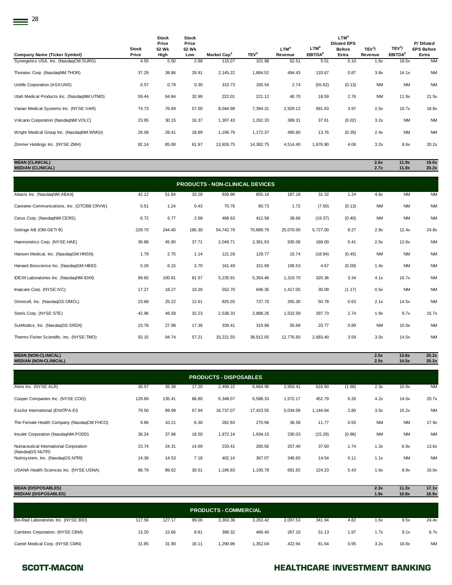| <b>Company Name (Ticker Symbol)</b>        | <b>Stock</b><br>Price | Stock<br>Price<br>52 Wk<br>High | <b>Stock</b><br>Price<br>52 Wk<br>Low | Market Cap <sup>2</sup> | TEV <sup>3</sup> | LTM <sup>4</sup><br>Revenue | LTM <sup>4</sup><br>EBITDA <sup>5</sup> | LTM <sup>4</sup><br><b>Diluted EPS</b><br><b>Before</b><br>Extra | TEV <sup>3</sup> /<br>Revenue | TEV <sup>3</sup> /<br>EBITDA <sup>5</sup> | P/Diluted<br><b>EPS Before</b><br>Extra |
|--------------------------------------------|-----------------------|---------------------------------|---------------------------------------|-------------------------|------------------|-----------------------------|-----------------------------------------|------------------------------------------------------------------|-------------------------------|-------------------------------------------|-----------------------------------------|
| Synergetics USA, Inc. (NasdaqCM:SURG)      | 4.55                  | 5.50                            | 2.88                                  | 115.07                  | 101.98           | 62.51                       | 5.51                                    | 0.10                                                             | 1.6x                          | 18.5x                                     | <b>NM</b>                               |
| Thoratec Corp. (NasdaqNM:THOR)             | 37.29                 | 39.86                           | 29.91                                 | 2,145.22                | 1,884.52         | 494.43                      | 133.67                                  | 0.87                                                             | 3.8x                          | 14.1x                                     | <b>NM</b>                               |
| Unilife Corporation (ASX:UNS)              | 0.57                  | 0.79                            | 0.30                                  | 315.73                  | 335.54           | 2.74                        | (55.62)                                 | (0.13)                                                           | <b>NM</b>                     | <b>NM</b>                                 | <b>NM</b>                               |
| Utah Medical Products Inc. (NasdaqNM:UTMD) | 59.44                 | 64.84                           | 32.99                                 | 222.01                  | 221.12           | 40.70                       | 18.59                                   | 2.76                                                             | <b>NM</b>                     | 11.9x                                     | 21.5x                                   |
| Varian Medical Systems Inc. (NYSE:VAR)     | 74.73                 | 76.69                           | 57.00                                 | 8,044.98                | 7,394.31         | 2,929.12                    | 691.63                                  | 3.97                                                             | 2.5x                          | 10.7x                                     | 18.8x                                   |
| Volcano Corporation (NasdaqNM:VOLC)        | 23.95                 | 30.15                           | 16.37                                 | 1,307.43                | 1,262.33         | 389.31                      | 37.61                                   | (0.02)                                                           | 3.2x                          | <b>NM</b>                                 | <b>NM</b>                               |
| Wright Medical Group Inc. (NasdaqNM:WMGI)  | 26.08                 | 28.41                           | 18.89                                 | 1,196.79                | 1,172.37         | 495.80                      | 13.76                                   | (0.35)                                                           | 2.4x                          | <b>NM</b>                                 | <b>NM</b>                               |
| Zimmer Holdings Inc. (NYSE:ZMH)            | 82.14                 | 85.08                           | 61.97                                 | 13,926.75               | 14,382.75        | 4,514.40                    | 1,676.90                                | 4.06                                                             | 3.2x                          | 8.6x                                      | 20.2x                                   |
|                                            |                       |                                 |                                       |                         |                  |                             |                                         |                                                                  |                               |                                           |                                         |

**MEDIAN (CLINICAL) 2.7x 11.8x 20.2x**

**MEAN (CLINICAL) 2.6x 11.9x 19.0x**

| <b>PRODUCTS - NON-CLINICAL DEVICES</b>     |        |        |        |           |           |           |          |        |           |           |           |  |  |
|--------------------------------------------|--------|--------|--------|-----------|-----------|-----------|----------|--------|-----------|-----------|-----------|--|--|
| Abaxis Inc. (NasdaqNM:ABAX)                | 42.12  | 51.84  | 33.28  | 939.96    | 855.18    | 187.18    | 31.32    | 1.24   | 4.6x      | <b>NM</b> | <b>NM</b> |  |  |
| Careview Communications, Inc. (OTCBB:CRVW) | 0.51   | 1.24   | 0.43   | 70.76     | 80.73     | 1.72      | (7.50)   | (0.13) | <b>NM</b> | <b>NM</b> | <b>NM</b> |  |  |
| Cerus Corp. (NasdaqNM:CERS)                | 6.72   | 6.77   | 2.68   | 468.63    | 412.58    | 38.66     | (19.37)  | (0.40) | <b>NM</b> | <b>NM</b> | <b>NM</b> |  |  |
| Getinge AB (OM:GETI B)                     | 229.70 | 244.40 | 185.30 | 54,742.79 | 70,889.79 | 25,070.00 | 5,727.00 | 9.27   | 2.8x      | 12.4x     | 24.8x     |  |  |
| Haemonetics Corp. (NYSE:HAE)               | 39.88  | 45.90  | 37.71  | 2,049.71  | 2,361.63  | 935.06    | 188.00   | 0.41   | 2.5x      | 12.6x     | <b>NM</b> |  |  |
| Hansen Medical, Inc. (NasdaqGM:HNSN)       | 1.79   | 2.75   | 1.14   | 121.28    | 129.77    | 15.74     | (18.84)  | (0.45) | <b>NM</b> | <b>NM</b> | <b>NM</b> |  |  |
| Harvard Bioscience Inc. (NasdaqGM:HBIO)    | 5.26   | 6.15   | 3.70   | 161.49    | 151.69    | 106.53    | 4.67     | (0.00) | 1.4x      | <b>NM</b> | <b>NM</b> |  |  |
| IDEXX Laboratories Inc. (NasdaqNM:IDXX)    | 99.65  | 100.81 | 81.57  | 5,235.91  | 5,354.46  | 1,319.70  | 320.36   | 3.34   | 4.1x      | 16.7x     | <b>NM</b> |  |  |
| Invacare Corp. (NYSE:IVC)                  | 17.27  | 18.27  | 10.26  | 552.70    | 646.35    | 1,417.05  | 30.09    | (1.17) | 0.5x      | <b>NM</b> | <b>NM</b> |  |  |
| Omnicell, Inc. (NasdaqGS:OMCL)             | 23.68  | 25.22  | 12.61  | 825.03    | 737.70    | 355.30    | 50.78    | 0.63   | 2.1x      | 14.5x     | <b>NM</b> |  |  |
| Steris Corp. (NYSE:STE)                    | 42.96  | 46.59  | 32.23  | 2,538.33  | 2,888.26  | 1,532.59  | 297.73   | 2.74   | 1.9x      | 9.7x      | 15.7x     |  |  |
| SurModics, Inc. (NasdaqGS:SRDX)            | 23.78  | 27.98  | 17.36  | 339.41    | 310.98    | 55.68     | 20.77    | 0.89   | <b>NM</b> | 15.0x     | <b>NM</b> |  |  |
| Thermo Fisher Scientific, Inc. (NYSE:TMO)  | 92.15  | 94.74  | 57.21  | 33,221.55 | 38,912.05 | 12,776.60 | 2,683.40 | 3.59   | 3.0x      | 14.5x     | <b>NM</b> |  |  |

**MEAN (NON-CLINICAL) 2.5x 13.6x 20.2x MEDIAN (NON-CLINICAL) 2.5x 14.5x 20.2x**

| <b>PRODUCTS - DISPOSABLES</b>                              |        |        |       |           |           |          |          |        |           |           |           |  |  |
|------------------------------------------------------------|--------|--------|-------|-----------|-----------|----------|----------|--------|-----------|-----------|-----------|--|--|
| Alere Inc. (NYSE:ALR)                                      | 30.57  | 35.38  | 17.20 | 2,499.22  | 6,664.96  | 2,950.41 | 616.60   | (1.68) | 2.3x      | 10.8x     | <b>NM</b> |  |  |
| Cooper Companies Inc. (NYSE:COO)                           | 129.69 | 135.41 | 88.80 | 6,348.07  | 6,588.33  | 1,572.17 | 452.79   | 6.26   | 4.2x      | 14.6x     | 20.7x     |  |  |
| Essilor International (ENXTPA:EI)                          | 79.50  | 89.99  | 67.94 | 16,737.07 | 17,423.55 | 5,034.09 | 1,144.64 | 2.80   | 3.5x      | 15.2x     | <b>NM</b> |  |  |
| The Female Health Company (NasdaqCM:FHCO)                  | 9.86   | 10.21  | 6.30  | 282.83    | 270.96    | 36.58    | 11.77    | 0.55   | <b>NM</b> | <b>NM</b> | 17.9x     |  |  |
| Insulet Corporation (NasdaqNM:PODD)                        | 36.24  | 37.96  | 18.50 | 1,972.14  | 1,934.15  | 230.03   | (15.29)  | (0.86) | <b>NM</b> | <b>NM</b> | <b>NM</b> |  |  |
| Nutraceutical International Corporation<br>(NasdaqGS:NUTR) | 23.74  | 24.31  | 14.69 | 233.41    | 260.56    | 207.40   | 37.60    | 1.74   | 1.3x      | 6.9x      | 13.6x     |  |  |
| Nutrisystem, Inc. (NasdaqGS:NTRI)                          | 14.38  | 14.53  | 7.18  | 402.14    | 367.07    | 346.65   | 14.54    | 0.11   | 1.1x      | <b>NM</b> | <b>NM</b> |  |  |
| USANA Health Sciences Inc. (NYSE:USNA)                     | 86.79  | 89.62  | 30.51 | 1,196.83  | 1,100.78  | 691.92   | 124.23   | 5.43   | 1.6x      | 8.9x      | 16.0x     |  |  |

| <b>MEAN (DISPOSABLES)</b><br><b>MEDIAN (DISPOSABLES)</b> |        |        |       |                              |          |          |        |      | 2.3x<br>1.9x | 11.3x<br>10.8x | 17.1x<br>16.9x |
|----------------------------------------------------------|--------|--------|-------|------------------------------|----------|----------|--------|------|--------------|----------------|----------------|
|                                                          |        |        |       | <b>PRODUCTS - COMMERCIAL</b> |          |          |        |      |              |                |                |
| Bio-Rad Laboratories Inc. (NYSE:BIO)                     | 117.56 | 127.17 | 99.00 | 3.363.36                     | 3,263.42 | 2.097.53 | 341.94 | 4.82 | 1.6x         | 9.5x           | 24.4x          |
| Cambrex Corporation. (NYSE:CBM)                          | 13.20  | 15.66  | 8.81  | 398.32                       | 466.40   | 267.10   | 51.13  | 1.97 | 1.7x         | 9.1x           | 6.7x           |
| Cantel Medical Corp. (NYSE:CMN)                          | 31.85  | 31.90  | 16.11 | 1.290.96                     | 1.352.04 | 422.94   | 81.64  | 0.95 | 3.2x         | 16.6x          | <b>NM</b>      |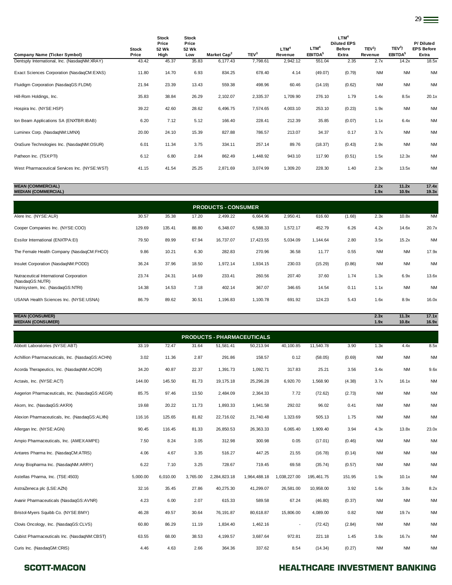| <b>Company Name (Ticker Symbol)</b>          | <b>Stock</b><br>Price | <b>Stock</b><br>Price<br>52 Wk<br>High | <b>Stock</b><br>Price<br>52 Wk<br>Low | Market Cap <sup>2</sup> | TEV <sup>3</sup> | LTM <sup>4</sup><br>Revenue | LTM <sup>4</sup><br>EBITDA <sup>5</sup> | LTM <sup>4</sup><br><b>Diluted EPS</b><br><b>Before</b><br>Extra | TEV <sup>3</sup> /<br>Revenue | TEV <sup>3</sup> /<br>EBITDA <sup>5</sup> | P/Diluted<br><b>EPS Before</b><br>Extra |
|----------------------------------------------|-----------------------|----------------------------------------|---------------------------------------|-------------------------|------------------|-----------------------------|-----------------------------------------|------------------------------------------------------------------|-------------------------------|-------------------------------------------|-----------------------------------------|
| Dentsply International, Inc. (NasdaqNM:XRAY) | 43.42                 | 45.37                                  | 35.83                                 | 6,177.43                | 7,798.61         | 2,942.12                    | 551.04                                  | 2.35                                                             | 2.7x                          | 14.2x                                     | 18.5x                                   |
| Exact Sciences Corporation (NasdaqCM:EXAS)   | 11.80                 | 14.70                                  | 6.93                                  | 834.25                  | 678.40           | 4.14                        | (49.07)                                 | (0.79)                                                           | <b>NM</b>                     | <b>NM</b>                                 | <b>NM</b>                               |
| Fluidigm Corporation (NasdagGS:FLDM)         | 21.94                 | 23.39                                  | 13.43                                 | 559.38                  | 498.96           | 60.46                       | (14.19)                                 | (0.62)                                                           | <b>NM</b>                     | <b>NM</b>                                 | <b>NM</b>                               |
| Hill-Rom Holdings, Inc.                      | 35.83                 | 38.84                                  | 26.29                                 | 2,102.07                | 2,335.37         | 1,709.90                    | 276.10                                  | 1.79                                                             | 1.4x                          | 8.5x                                      | 20.1x                                   |
| Hospira Inc. (NYSE:HSP)                      | 39.22                 | 42.60                                  | 28.62                                 | 6,496.75                | 7,574.65         | 4,003.10                    | 253.10                                  | (0.23)                                                           | 1.9x                          | <b>NM</b>                                 | <b>NM</b>                               |
| Ion Beam Applications SA (ENXTBR:IBAB)       | 6.20                  | 7.12                                   | 5.12                                  | 166.40                  | 228.41           | 212.39                      | 35.85                                   | (0.07)                                                           | 1.1x                          | 6.4x                                      | <b>NM</b>                               |
| Luminex Corp. (NasdaqNM:LMNX)                | 20.00                 | 24.10                                  | 15.39                                 | 827.88                  | 786.57           | 213.07                      | 34.37                                   | 0.17                                                             | 3.7x                          | <b>NM</b>                                 | <b>NM</b>                               |
| OraSure Technologies Inc. (NasdaqNM:OSUR)    | 6.01                  | 11.34                                  | 3.75                                  | 334.11                  | 257.14           | 89.76                       | (18.37)                                 | (0.43)                                                           | 2.9x                          | <b>NM</b>                                 | <b>NM</b>                               |
| Patheon Inc. (TSX:PTI)                       | 6.12                  | 6.80                                   | 2.84                                  | 862.49                  | 1,448.92         | 943.10                      | 117.90                                  | (0.51)                                                           | 1.5x                          | 12.3x                                     | <b>NM</b>                               |
| West Pharmaceutical Services Inc. (NYSE:WST) | 41.15                 | 41.54                                  | 25.25                                 | 2,871.69                | 3,074.99         | 1,309.20                    | 228.30                                  | 1.40                                                             | 2.3x                          | 13.5x                                     | <b>NM</b>                               |

| <b>MEAN (COMMERCIAL)</b>          | 2.2x | 11.2x | 17.4x |
|-----------------------------------|------|-------|-------|
| <b><i>MEDIAN (COMMERCIAL)</i></b> | 1.9x | 10.9x | 19.3x |
|                                   |      |       |       |

| <b>PRODUCTS - CONSUMER</b>                                 |        |        |       |           |           |          |          |        |           |           |           |  |  |
|------------------------------------------------------------|--------|--------|-------|-----------|-----------|----------|----------|--------|-----------|-----------|-----------|--|--|
| Alere Inc. (NYSE:ALR)                                      | 30.57  | 35.38  | 17.20 | 2,499.22  | 6,664.96  | 2,950.41 | 616.60   | (1.68) | 2.3x      | 10.8x     | <b>NM</b> |  |  |
| Cooper Companies Inc. (NYSE:COO)                           | 129.69 | 135.41 | 88.80 | 6,348.07  | 6,588.33  | 1,572.17 | 452.79   | 6.26   | 4.2x      | 14.6x     | 20.7x     |  |  |
| Essilor International (ENXTPA:EI)                          | 79.50  | 89.99  | 67.94 | 16,737.07 | 17,423.55 | 5,034.09 | 1.144.64 | 2.80   | 3.5x      | 15.2x     | <b>NM</b> |  |  |
| The Female Health Company (NasdaqCM:FHCO)                  | 9.86   | 10.21  | 6.30  | 282.83    | 270.96    | 36.58    | 11.77    | 0.55   | <b>NM</b> | <b>NM</b> | 17.9x     |  |  |
| Insulet Corporation (NasdaqNM:PODD)                        | 36.24  | 37.96  | 18.50 | 1,972.14  | 1,934.15  | 230.03   | (15.29)  | (0.86) | <b>NM</b> | <b>NM</b> | <b>NM</b> |  |  |
| Nutraceutical International Corporation<br>(NasdaqGS:NUTR) | 23.74  | 24.31  | 14.69 | 233.41    | 260.56    | 207.40   | 37.60    | 1.74   | 1.3x      | 6.9x      | 13.6x     |  |  |
| Nutrisystem, Inc. (NasdaqGS:NTRI)                          | 14.38  | 14.53  | 7.18  | 402.14    | 367.07    | 346.65   | 14.54    | 0.11   | 1.1x      | <b>NM</b> | <b>NM</b> |  |  |
| USANA Health Sciences Inc. (NYSE:USNA)                     | 86.79  | 89.62  | 30.51 | 1,196.83  | 1,100.78  | 691.92   | 124.23   | 5.43   | 1.6x      | 8.9x      | 16.0x     |  |  |

**MEAN (CONSUMER) 2.3x 11.3x 17.1x MEDIAN (CONSUMER) 1.9x 10.8x 16.9x**

| <b>PRODUCTS - PHARMACEUTICALS</b>               |          |          |          |              |              |                          |            |        |           |           |           |  |  |
|-------------------------------------------------|----------|----------|----------|--------------|--------------|--------------------------|------------|--------|-----------|-----------|-----------|--|--|
| Abbott Laboratories (NYSE:ABT)                  | 33.19    | 72.47    | 31.64    | 51,581.41    | 50,213.94    | 40,100.85                | 11,540.78  | 3.90   | 1.3x      | 4.4x      | 8.5x      |  |  |
| Achillion Pharmaceuticals, Inc. (NasdaqGS:ACHN) | 3.02     | 11.36    | 2.87     | 291.86       | 158.57       | 0.12                     | (58.05)    | (0.69) | <b>NM</b> | <b>NM</b> | <b>NM</b> |  |  |
| Acorda Therapeutics, Inc. (NasdaqNM:ACOR)       | 34.20    | 40.87    | 22.37    | 1,391.73     | 1,092.71     | 317.83                   | 25.21      | 3.56   | 3.4x      | <b>NM</b> | 9.6x      |  |  |
| Actavis, Inc. (NYSE:ACT)                        | 144.00   | 145.50   | 81.73    | 19, 175. 18  | 25,296.28    | 6,920.70                 | 1,568.90   | (4.38) | 3.7x      | 16.1x     | <b>NM</b> |  |  |
| Aegerion Pharmaceuticals, Inc. (NasdaqGS:AEGR)  | 85.75    | 97.46    | 13.50    | 2,484.09     | 2,364.33     | 7.72                     | (72.62)    | (2.73) | <b>NM</b> | <b>NM</b> | <b>NM</b> |  |  |
| Akorn, Inc. (NasdaqGS:AKRX)                     | 19.68    | 20.22    | 11.73    | 1,893.33     | 1,941.58     | 292.02                   | 96.02      | 0.41   | <b>NM</b> | <b>NM</b> | <b>NM</b> |  |  |
| Alexion Pharmaceuticals, Inc. (NasdaqGS:ALXN)   | 116.16   | 125.65   | 81.82    | 22,716.02    | 21,740.48    | 1,323.69                 | 505.13     | 1.75   | <b>NM</b> | <b>NM</b> | <b>NM</b> |  |  |
| Allergan Inc. (NYSE:AGN)                        | 90.45    | 116.45   | 81.33    | 26,850.53    | 26,363.33    | 6,065.40                 | 1,909.40   | 3.94   | 4.3x      | 13.8x     | 23.0x     |  |  |
| Ampio Pharmaceuticals, Inc. (AMEX:AMPE)         | 7.50     | 8.24     | 3.05     | 312.98       | 300.98       | 0.05                     | (17.01)    | (0.46) | <b>NM</b> | <b>NM</b> | <b>NM</b> |  |  |
| Antares Pharma Inc. (NasdaqCM:ATRS)             | 4.06     | 4.67     | 3.35     | 516.27       | 447.25       | 21.55                    | (16.78)    | (0.14) | <b>NM</b> | <b>NM</b> | <b>NM</b> |  |  |
| Array Biopharma Inc. (NasdaqNM:ARRY)            | 6.22     | 7.10     | 3.25     | 728.67       | 719.45       | 69.58                    | (35.74)    | (0.57) | <b>NM</b> | <b>NM</b> | <b>NM</b> |  |  |
| Astellas Pharma, Inc. (TSE:4503)                | 5,000.00 | 6,010.00 | 3,765.00 | 2,284,823.18 | 1,964,488.18 | 1,038,227.00             | 195,461.75 | 151.95 | 1.9x      | 10.1x     | <b>NM</b> |  |  |
| AstraZeneca plc (LSE:AZN)                       | 32.16    | 35.45    | 27.86    | 40,275.30    | 41,299.07    | 26,581.00                | 10,958.00  | 3.92   | 1.6x      | 3.8x      | 8.2x      |  |  |
| Avanir Pharmaceuticals (NasdaqGS:AVNR)          | 4.23     | 6.00     | 2.07     | 615.33       | 589.58       | 67.24                    | (46.80)    | (0.37) | <b>NM</b> | <b>NM</b> | <b>NM</b> |  |  |
| Bristol-Myers Squibb Co. (NYSE:BMY)             | 46.28    | 49.57    | 30.64    | 76,191.87    | 80,618.87    | 15,806.00                | 4,089.00   | 0.82   | <b>NM</b> | 19.7x     | <b>NM</b> |  |  |
| Clovis Oncology, Inc. (NasdaqGS:CLVS)           | 60.80    | 86.29    | 11.19    | 1,834.40     | 1,462.16     | $\overline{\phantom{a}}$ | (72.42)    | (2.84) | <b>NM</b> | <b>NM</b> | <b>NM</b> |  |  |
| Cubist Pharmaceuticals Inc. (NasdaqNM:CBST)     | 63.55    | 68.00    | 38.53    | 4,199.57     | 3,687.64     | 972.81                   | 221.18     | 1.45   | 3.8x      | 16.7x     | <b>NM</b> |  |  |
| Curis Inc. (NasdaqGM:CRIS)                      | 4.46     | 4.63     | 2.66     | 364.36       | 337.62       | 8.54                     | (14.34)    | (0.27) | <b>NM</b> | <b>NM</b> | <b>NM</b> |  |  |

### SCOTT-MACON **SCOTT-MACON HEALTHCARE INVESTMENT BANKING**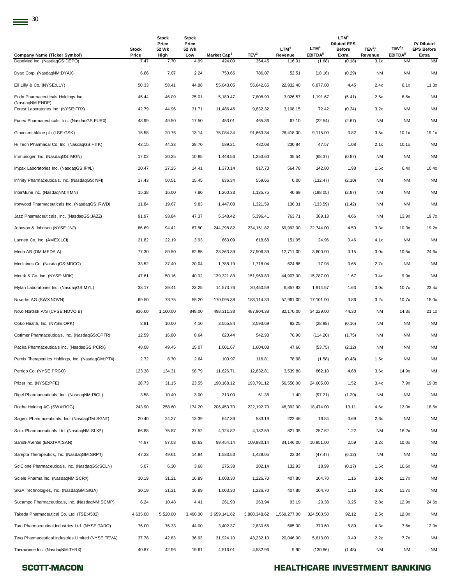| <b>Company Name (Ticker Symbol)</b>                   | <b>Stock</b><br>Price | <b>Stock</b><br>Price<br>52 Wk<br>High | Stock<br>Price<br>52 Wk<br>Low | Market Cap <sup>2</sup> | TEV <sup>3</sup> | LTM <sup>4</sup><br>Revenue | LTM <sup>4</sup><br>EBITDA <sup>5</sup> | LTM <sup>4</sup><br><b>Diluted EPS</b><br>Before<br>Extra | TEV <sup>3</sup> /<br>Revenue | TEV <sup>3</sup> /<br>EBITDA <sup>5</sup> | P/Diluted<br><b>EPS Before</b><br>Extra |
|-------------------------------------------------------|-----------------------|----------------------------------------|--------------------------------|-------------------------|------------------|-----------------------------|-----------------------------------------|-----------------------------------------------------------|-------------------------------|-------------------------------------------|-----------------------------------------|
| DepoMed Inc. (NasdaqGS:DEPO)                          | 7.47                  | 7.70                                   | 4.99                           | 424.00                  | 354.45           | 116.01                      | (1.68)                                  | (0.18)                                                    | 3.1x                          | NM                                        | <b>NM</b>                               |
| Dyax Corp. (NasdaqNM:DYAX)                            | 6.86                  | 7.07                                   | 2.24                           | 750.66                  | 786.07           | 52.51                       | (18.16)                                 | (0.29)                                                    | NM                            | <b>NM</b>                                 | <b>NM</b>                               |
| Eli Lilly & Co. (NYSE:LLY)                            | 50.33                 | 58.41                                  | 44.88                          | 55,043.05               | 55,642.65        | 22,932.40                   | 6,877.80                                | 4.45                                                      | 2.4x                          | 8.1x                                      | 11.3x                                   |
| Endo Pharmaceuticals Holdings Inc.<br>(NasdaqNM:ENDP) | 45.44                 | 46.09                                  | 25.01                          | 5,189.47                | 7,808.90         | 3,026.57                    | 1,191.67                                | (5.41)                                                    | 2.6x                          | 6.6x                                      | <b>NM</b>                               |
| Forest Laboratories Inc. (NYSE:FRX)                   | 42.79                 | 44.96                                  | 31.71                          | 11,486.46               | 9,832.32         | 3,108.15                    | 72.42                                   | (0.24)                                                    | 3.2x                          | <b>NM</b>                                 | <b>NM</b>                               |
| Furiex Pharmaceuticals, Inc. (NasdaqGS:FURX)          | 43.99                 | 49.50                                  | 17.50                          | 453.01                  | 465.36           | 67.10                       | (22.54)                                 | (2.67)                                                    | NM                            | <b>NM</b>                                 | <b>NM</b>                               |
| Glaxosmithkline plc (LSE:GSK)                         | 15.58                 | 20.76                                  | 13.14                          | 75,084.34               | 91,663.34        | 26,418.00                   | 9,115.00                                | 0.82                                                      | 3.5x                          | 10.1x                                     | 19.1x                                   |
| Hi Tech Pharmacal Co. Inc. (NasdaqGS:HITK)            | 43.15                 | 44.33                                  | 28.70                          | 589.21                  | 482.08           | 230.84                      | 47.57                                   | 1.08                                                      | 2.1x                          | 10.1x                                     | <b>NM</b>                               |
| Immunogen Inc. (NasdaqGS:IMGN)                        | 17.02                 | 20.25                                  | 10.85                          | 1,448.56                | 1,253.60         | 35.54                       | (68.37)                                 | (0.87)                                                    | NM                            | <b>NM</b>                                 | <b>NM</b>                               |
| Impax Laboratories Inc. (NasdaqGS:IPXL)               | 20.47                 | 27.25                                  | 14.41                          | 1,370.14                | 917.73           | 564.78                      | 142.80                                  | 1.98                                                      | 1.6x                          | 6.4x                                      | 10.4x                                   |
| Infinity Pharmaceuticals, Inc. (NasdaqGS:INFI)        | 17.43                 | 50.51                                  | 15.45                          | 836.34                  | 559.66           | 0.00                        | (132.47)                                | (2.10)                                                    | <b>NM</b>                     | <b>NM</b>                                 | <b>NM</b>                               |
| InterMune Inc. (NasdaqNM:ITMN)                        | 15.38                 | 16.00                                  | 7.80                           | 1,260.33                | 1,135.75         | 40.69                       | (198.05)                                | (2.87)                                                    | NM                            | <b>NM</b>                                 | <b>NM</b>                               |
| Ironwood Pharmaceuticals Inc. (NasdaqGS:IRWD)         | 11.84                 | 19.67                                  | 9.83                           | 1,447.08                | 1,321.59         | 136.31                      | (133.59)                                | (1.42)                                                    | <b>NM</b>                     | <b>NM</b>                                 | <b>NM</b>                               |
| Jazz Pharmaceuticals, Inc. (NasdaqGS:JAZZ)            | 91.97                 | 93.84                                  | 47.37                          | 5,348.42                | 5,396.41         | 763.71                      | 389.13                                  | 4.66                                                      | NM                            | 13.9x                                     | 19.7x                                   |
| Johnson & Johnson (NYSE: JNJ)                         | 86.69                 | 94.42                                  | 67.80                          | 244,298.82              | 234, 151.82      | 69,992.00                   | 22,744.00                               | 4.50                                                      | 3.3x                          | 10.3x                                     | 19.2x                                   |
| Lannett Co. Inc. (AMEX:LCI)                           | 21.82                 | 22.19                                  | 3.93                           | 663.09                  | 618.68           | 151.05                      | 24.96                                   | 0.46                                                      | 4.1x                          | <b>NM</b>                                 | <b>NM</b>                               |
| Meda AB (OM:MEDA A)                                   | 77.30                 | 89.50                                  | 62.85                          | 23,363.39               | 37,906.39        | 12,711.00                   | 3,600.00                                | 3.15                                                      | 3.0x                          | 10.5x                                     | 24.6x                                   |
| Medicines Co. (NasdaqGS:MDCO)                         | 33.52                 | 37.40                                  | 20.04                          | 1,788.19                | 1,718.04         | 624.86                      | 77.98                                   | 0.65                                                      | 2.7x                          | <b>NM</b>                                 | <b>NM</b>                               |
| Merck & Co. Inc. (NYSE:MRK)                           | 47.61                 | 50.16                                  | 40.02                          | 139,321.83              | 151,969.83       | 44,907.00                   | 15,287.00                               | 1.67                                                      | 3.4x                          | 9.9x                                      | <b>NM</b>                               |
| Mylan Laboratories Inc. (NasdaqGS:MYL)                | 38.17                 | 39.41                                  | 23.25                          | 14,573.76               | 20,450.59        | 6,857.83                    | 1,914.57                                | 1.63                                                      | 3.0x                          | 10.7x                                     | 23.4x                                   |
| Novartis AG (SWX:NOVN)                                | 69.50                 | 73.75                                  | 55.20                          | 170,095.38              | 183, 114.33      | 57,961.00                   | 17,101.00                               | 3.86                                                      | 3.2x                          | 10.7x                                     | 18.0x                                   |
| Novo Nordisk A/S (CPSE:NOVO B)                        | 936.00                | 1,100.00                               | 848.00                         | 498,311.38              | 487,904.38       | 82,170.00                   | 34,229.00                               | 44.30                                                     | NM                            | 14.3x                                     | 21.1x                                   |
| Opko Health, Inc. (NYSE:OPK)                          | 8.81                  | 10.00                                  | 4.10                           | 3,555.84                | 3,593.69         | 83.25                       | (28.98)                                 | (0.16)                                                    | <b>NM</b>                     | ΝM                                        | <b>NM</b>                               |
| Optimer Pharmaceuticals, Inc. (NasdaqGS:OPTR)         | 12.59                 | 16.80                                  | 8.64                           | 620.44                  | 542.93           | 76.90                       | (114.20)                                | (1.75)                                                    | NM                            | <b>NM</b>                                 | <b>NM</b>                               |
| Pacira Pharmaceuticals Inc. (NasdaqGS:PCRX)           | 48.08                 | 49.45                                  | 15.07                          | 1,601.67                | 1,604.08         | 47.66                       | (53.75)                                 | (2.12)                                                    | <b>NM</b>                     | <b>NM</b>                                 | <b>NM</b>                               |
| Pernix Therapeutics Holdings, Inc. (NasdaqGM:PTX)     | 2.72                  | 8.70                                   | 2.64                           | 100.97                  | 116.81           | 78.98                       | (1.58)                                  | (0.48)                                                    | 1.5x                          | <b>NM</b>                                 | <b>NM</b>                               |
| Perrigo Co. (NYSE:PRGO)                               | 123.38                | 134.31                                 | 98.79                          | 11,626.71               | 12,832.81        | 3,539.80                    | 862.10                                  | 4.68                                                      | 3.6x                          | 14.9x                                     | <b>NM</b>                               |
| Pfizer Inc. (NYSE:PFE)                                | 28.73                 | 31.15                                  | 23.55                          | 190, 168. 12            | 193,791.12       | 56,556.00                   | 24,605.00                               | 1.52                                                      | 3.4x                          | 7.9x                                      | 19.0x                                   |
| Rigel Pharmaceuticals, Inc. (NasdaqNM:RIGL)           | 3.58                  | 10.40                                  | 3.00                           | 313.00                  | 61.36            | 1.40                        | (97.21)                                 | (1.20)                                                    | <b>NM</b>                     | <b>NM</b>                                 | <b>NM</b>                               |
| Roche Holding AG (SWX:ROG)                            | 243.90                | 258.60                                 | 174.20                         | 206,453.70              | 222,192.70       | 48,392.00                   | 18,474.00                               | 13.11                                                     | 4.6x                          | 12.0x                                     | 18.6x                                   |
| Sagent Pharmaceuticals, Inc. (NasdagGM:SGNT)          | 20.40                 | 24.27                                  | 13.39                          | 647.39                  | 583.19           | 222.46                      | 16.84                                   | 0.69                                                      | 2.6x                          | NM                                        | <b>NM</b>                               |
| Salix Pharmaceuticals Ltd. (NasdaqNM:SLXP)            | 66.88                 | 75.87                                  | 37.52                          | 4,124.82                | 4,182.59         | 821.35                      | 257.62                                  | 1.22                                                      | NM                            | 16.2x                                     | <b>NM</b>                               |
| Sanofi-Aventis (ENXTPA:SAN)                           | 74.97                 | 87.03                                  | 65.63                          | 99,454.14               | 109,980.14       | 34,146.00                   | 10,951.00                               | 2.59                                                      | 3.2x                          | 10.0x                                     | <b>NM</b>                               |
| Sarepta Therapeutics, Inc. (NasdaqGM:SRPT)            | 47.23                 | 49.61                                  | 14.84                          | 1,583.53                | 1,429.05         | 22.34                       | (47.47)                                 | (6.12)                                                    | <b>NM</b>                     | <b>NM</b>                                 | <b>NM</b>                               |
| SciClone Pharmaceuticals, Inc. (NasdaqGS:SCLN)        | 5.07                  | 6.30                                   | 3.68                           | 275.38                  | 202.14           | 132.93                      | 18.99                                   | (0.17)                                                    | 1.5x                          | 10.6x                                     | <b>NM</b>                               |
| Sciele Pharma Inc. (NasdaqNM:SCRX)                    | 30.19                 | 31.21                                  | 16.89                          | 1,003.30                | 1,226.70         | 407.80                      | 104.70                                  | 1.16                                                      | 3.0x                          | 11.7x                                     | <b>NM</b>                               |
| SIGA Technologies, Inc. (NasdaqGM:SIGA)               | 30.19                 | 31.21                                  | 16.89                          | 1,003.30                | 1,226.70         | 407.80                      | 104.70                                  | 1.16                                                      | 3.0x                          | 11.7x                                     | <b>NM</b>                               |
| Sucampo Pharmaceuticals, Inc. (NasdaqNM:SCMP)         | 6.24                  | 10.48                                  | 4.41                           | 261.93                  | 263.94           | 93.19                       | 20.38                                   | 0.25                                                      | 2.8x                          | 12.9x                                     | 24.6x                                   |
| Takeda Pharmaceutical Co. Ltd. (TSE:4502)             | 4,635.00              | 5,520.00                               | 3,490.00                       | 3,659,141.62            | 3,880,348.62     | 1,569,277.00                | 324,500.50                              | 92.12                                                     | 2.5x                          | 12.0x                                     | <b>NM</b>                               |
| Taro Pharmaceutical Industries Ltd. (NYSE:TARO)       | 76.00                 | 76.33                                  | 44.00                          | 3,402.37                | 2,830.66         | 665.00                      | 370.60                                  | 5.89                                                      | 4.3x                          | 7.6x                                      | 12.9x                                   |
| Teva Pharmaceutical Industries Limited (NYSE:TEVA)    | 37.78                 | 42.83                                  | 36.63                          | 31,924.10               | 43,232.10        | 20,046.00                   | 5,613.00                                | 0.49                                                      | 2.2x                          | 7.7x                                      | <b>NM</b>                               |
| Theravance Inc. (NasdaqNM:THRX)                       | 40.87                 | 42.96                                  | 19.61                          | 4,516.01                | 4,532.96         | 9.90                        | (130.86)                                | (1.48)                                                    | <b>NM</b>                     | <b>NM</b>                                 | <b>NM</b>                               |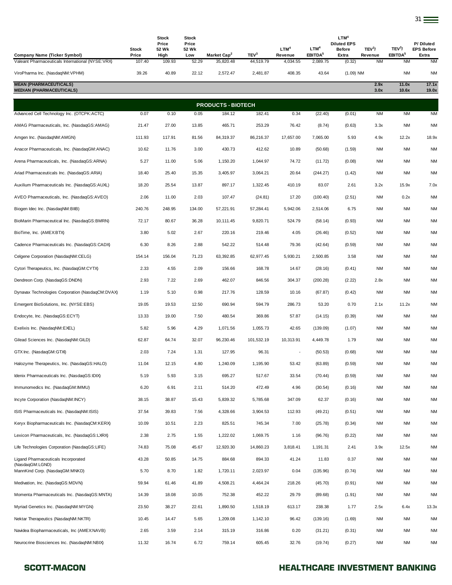| <b>Company Name (Ticker Symbol)</b>                              | <b>Stock</b><br>Price | Stock<br>Price<br>52 Wk<br>High | <b>Stock</b><br>Price<br>52 Wk<br>Low | Market Cap <sup>2</sup>   | TEV <sup>3</sup> | LTM <sup>4</sup><br>Revenue | LTM <sup>4</sup><br>EBITDA <sup>5</sup> | LTM <sup>4</sup><br><b>Diluted EPS</b><br><b>Before</b><br>Extra | TEV <sup>3</sup> /<br>Revenue | TEV <sup>3</sup> /<br>EBITDA <sup>5</sup> | P/Diluted<br><b>EPS Before</b><br>Extra |
|------------------------------------------------------------------|-----------------------|---------------------------------|---------------------------------------|---------------------------|------------------|-----------------------------|-----------------------------------------|------------------------------------------------------------------|-------------------------------|-------------------------------------------|-----------------------------------------|
| Valeant Pharmaceuticals International (NYSE:VRX)                 | 107.40                | 109.93                          | 52.29                                 | 35,820.48                 | 44,519.79        | 4,034.55                    | 2,089.75                                | (0.32)                                                           | <b>NM</b>                     | <b>NM</b>                                 | <b>NM</b>                               |
| ViroPharma Inc. (NasdaqNM:VPHM)                                  | 39.26                 | 40.89                           | 22.12                                 | 2,572.47                  | 2,481.87         | 408.35                      | 43.64                                   | $(1.09)$ NM                                                      |                               | <b>NM</b>                                 | <b>NM</b>                               |
| <b>MEAN (PHARMACEUTICALS)</b><br><b>MEDIAN (PHARMACEUTICALS)</b> |                       |                                 |                                       |                           |                  |                             |                                         |                                                                  | 2.9x<br>3.0x                  | 11.0x<br>10.6x                            | 17.1x<br>19.0x                          |
|                                                                  |                       |                                 |                                       | <b>PRODUCTS - BIOTECH</b> |                  |                             |                                         |                                                                  |                               |                                           |                                         |
| Advanced Cell Technology Inc. (OTCPK:ACTC)                       | 0.07                  | 0.10                            | 0.05                                  | 184.12                    | 182.41           | 0.34                        | (22.40)                                 | (0.01)                                                           | <b>NM</b>                     | <b>NM</b>                                 | <b>NM</b>                               |
| AMAG Pharmaceuticals, Inc. (NasdaqGS:AMAG)                       | 21.47                 | 27.00                           | 13.85                                 | 465.71                    | 253.29           | 76.42                       | (8.74)                                  | (0.63)                                                           | 3.3x                          | <b>NM</b>                                 | <b>NM</b>                               |
| Amgen Inc. (NasdaqNM:AMGN)                                       | 111.93                | 117.91                          | 81.56                                 | 84,319.37                 | 86,216.37        | 17,657.00                   | 7,065.00                                | 5.93                                                             | 4.9x                          | 12.2x                                     | 18.9x                                   |
| Anacor Pharmaceuticals, Inc. (NasdaqGM:ANAC)                     | 10.62                 | 11.76                           | 3.00                                  | 430.73                    | 412.62           | 10.89                       | (50.68)                                 | (1.59)                                                           | <b>NM</b>                     | <b>NM</b>                                 | <b>NM</b>                               |
| Arena Pharmaceuticals, Inc. (NasdaqGS:ARNA)                      | 5.27                  | 11.00                           | 5.06                                  | 1,150.20                  | 1,044.97         | 74.72                       | (11.72)                                 | (0.08)                                                           | <b>NM</b>                     | <b>NM</b>                                 | <b>NM</b>                               |
| Ariad Pharmaceuticals Inc. (NasdaqGS:ARIA)                       | 18.40                 | 25.40                           | 15.35                                 | 3,405.97                  | 3,064.21         | 20.64                       | (244.27)                                | (1.42)                                                           | <b>NM</b>                     | <b>NM</b>                                 | <b>NM</b>                               |
| Auxilium Pharmaceuticals Inc. (NasdaqGS:AUXL)                    | 18.20                 | 25.54                           | 13.87                                 | 897.17                    | 1,322.45         | 410.19                      | 83.07                                   | 2.61                                                             | 3.2x                          | 15.9x                                     | 7.0x                                    |
| AVEO Pharmaceuticals, Inc. (NasdaqGS:AVEO)                       | 2.06                  | 11.00                           | 2.03                                  | 107.47                    | (24.81)          | 17.20                       | (100.40)                                | (2.51)                                                           | <b>NM</b>                     | 0.2x                                      | <b>NM</b>                               |
| Biogen Idec Inc. (NasdaqNM:BIIB)                                 | 240.76                | 248.95                          | 134.00                                | 57,221.91                 | 57,284.41        | 5,942.06                    | 2,514.06                                | 6.75                                                             | <b>NM</b>                     | <b>NM</b>                                 | <b>NM</b>                               |
| BioMarin Pharmaceutical Inc. (NasdaqGS:BMRN)                     | 72.17                 | 80.67                           | 36.28                                 | 10,111.45                 | 9,820.71         | 524.79                      | (58.14)                                 | (0.93)                                                           | <b>NM</b>                     | <b>NM</b>                                 | <b>NM</b>                               |
| BioTime, Inc. (AMEX:BTX)                                         | 3.80                  | 5.02                            | 2.67                                  | 220.16                    | 219.46           | 4.05                        | (26.46)                                 | (0.52)                                                           | <b>NM</b>                     | <b>NM</b>                                 | <b>NM</b>                               |
| Cadence Pharmaceuticals Inc. (NasdaqGS:CADX)                     | 6.30                  | 8.26                            | 2.88                                  | 542.22                    | 514.48           | 79.36                       | (42.64)                                 | (0.59)                                                           | <b>NM</b>                     | <b>NM</b>                                 | <b>NM</b>                               |
| Celgene Corporation (NasdaqNM:CELG)                              | 154.14                | 156.04                          | 71.23                                 | 63,392.85                 | 62,977.45        | 5,930.21                    | 2,500.85                                | 3.58                                                             | <b>NM</b>                     | <b>NM</b>                                 | <b>NM</b>                               |
| Cytori Therapeutics, Inc. (NasdaqGM:CYTX)                        | 2.33                  | 4.55                            | 2.09                                  | 156.66                    | 168.78           | 14.67                       | (28.16)                                 | (0.41)                                                           | <b>NM</b>                     | <b>NM</b>                                 | <b>NM</b>                               |
| Dendreon Corp. (NasdaqGS:DNDN)                                   | 2.93                  | 7.22                            | 2.69                                  | 462.07                    | 846.56           | 304.37                      | (200.28)                                | (2.22)                                                           | 2.8x                          | <b>NM</b>                                 | <b>NM</b>                               |
| Dynavax Technologies Corporation (NasdaqCM:DVAX)                 | 1.19                  | 5.10                            | 0.98                                  | 217.76                    | 128.59           | 10.16                       | (67.87)                                 | (0.42)                                                           | <b>NM</b>                     | <b>NM</b>                                 | <b>NM</b>                               |
| Emergent BioSolutions, Inc. (NYSE:EBS)                           | 19.05                 | 19.53                           | 12.50                                 | 690.94                    | 594.79           | 286.73                      | 53.20                                   | 0.70                                                             | 2.1x                          | 11.2x                                     | <b>NM</b>                               |
| Endocyte, Inc. (NasdaqGS:ECYT)                                   | 13.33                 | 19.00                           | 7.50                                  | 480.54                    | 369.86           | 57.87                       | (14.15)                                 | (0.39)                                                           | <b>NM</b>                     | <b>NM</b>                                 | <b>NM</b>                               |
| Exelixis Inc. (NasdaqNM:EXEL)                                    | 5.82                  | 5.96                            | 4.29                                  | 1,071.56                  | 1,055.73         | 42.65                       | (139.09)                                | (1.07)                                                           | <b>NM</b>                     | <b>NM</b>                                 | <b>NM</b>                               |
| Gilead Sciences Inc. (NasdaqNM:GILD)                             | 62.87                 | 64.74                           | 32.07                                 | 96,230.46                 | 101,532.19       | 10,313.91                   | 4,449.78                                | 1.79                                                             | <b>NM</b>                     | <b>NM</b>                                 | <b>NM</b>                               |
| GTX Inc. (NasdaqGM:GTXI)                                         | 2.03                  | 7.24                            | 1.31                                  | 127.95                    | 96.31            |                             | (50.53)                                 | (0.68)                                                           | <b>NM</b>                     | <b>NM</b>                                 | NM                                      |
| Halozyme Therapeutics, Inc. (NasdaqGS:HALO)                      | 11.04                 | 12.15                           | 4.80                                  | 1,240.09                  | 1,195.90         | 53.42                       | (63.89)                                 | (0.59)                                                           | NM                            | NM                                        | ΝM                                      |
| Idenix Pharmaceuticals Inc. (NasdaqGS:IDIX)                      | 5.19                  | 5.93                            | 3.15                                  | 695.27                    | 517.67           | 33.54                       | (70.44)                                 | (0.59)                                                           | <b>NM</b>                     | NM                                        | <b>NM</b>                               |
| Immunomedics Inc. (NasdaqGM: IMMU)                               | 6.20                  | 6.91                            | 2.11                                  | 514.20                    | 472.49           | 4.96                        | (30.54)                                 | (0.16)                                                           | <b>NM</b>                     | NM                                        | <b>NM</b>                               |
| Incyte Corporation (NasdaqNM:INCY)                               | 38.15                 | 38.87                           | 15.43                                 | 5,839.32                  | 5,785.68         | 347.09                      | 62.37                                   | (0.16)                                                           | <b>NM</b>                     | <b>NM</b>                                 | <b>NM</b>                               |
| ISIS Pharmaceuticals Inc. (NasdaqNM:ISIS)                        | 37.54                 | 39.83                           | 7.56                                  | 4,328.66                  | 3,904.53         | 112.93                      | (49.21)                                 | (0.51)                                                           | <b>NM</b>                     | <b>NM</b>                                 | <b>NM</b>                               |
| Keryx Biopharmaceuticals Inc. (NasdaqCM:KERX)                    | 10.09                 | 10.51                           | 2.23                                  | 825.51                    | 745.34           | 7.00                        | (25.78)                                 | (0.34)                                                           | <b>NM</b>                     | NM                                        | <b>NM</b>                               |
| Lexicon Pharmaceuticals, Inc. (NasdaqGS:LXRX)                    | 2.38                  | 2.75                            | 1.55                                  | 1,222.02                  | 1,069.75         | 1.16                        | (96.76)                                 | (0.22)                                                           | <b>NM</b>                     | <b>NM</b>                                 | <b>NM</b>                               |
| Life Technologies Corporation (NasdagGS:LIFE)                    | 74.83                 | 75.08                           | 45.67                                 | 12,920.30                 | 14,860.23        | 3,818.41                    | 1,191.31                                | 2.41                                                             | 3.9x                          | 12.5x                                     | <b>NM</b>                               |
| Ligand Pharmaceuticals Incorporated<br>(NasdaqGM:LGND)           | 43.28                 | 50.85                           | 14.75                                 | 884.68                    | 894.33           | 41.24                       | 11.83                                   | 0.37                                                             | <b>NM</b>                     | NM                                        | <b>NM</b>                               |
| MannKind Corp. (NasdaqGM:MNKD)                                   | 5.70                  | 8.70                            | 1.82                                  | 1,720.11                  | 2,023.97         | 0.04                        | (135.96)                                | (0.74)                                                           | <b>NM</b>                     | NM                                        | <b>NM</b>                               |
| Medivation, Inc. (NasdaqGS:MDVN)                                 | 59.94                 | 61.46                           | 41.89                                 | 4,508.21                  | 4,464.24         | 218.26                      | (45.70)                                 | (0.91)                                                           | <b>NM</b>                     | NM                                        | <b>NM</b>                               |
| Momenta Pharmaceuticals Inc. (NasdaqGS:MNTA)                     | 14.39                 | 18.08                           | 10.05                                 | 752.38                    | 452.22           | 29.79                       | (89.68)                                 | (1.91)                                                           | <b>NM</b>                     | NM                                        | <b>NM</b>                               |
| Myriad Genetics Inc. (NasdaqNM:MYGN)                             | 23.50                 | 38.27                           | 22.61                                 | 1,890.50                  | 1,518.19         | 613.17                      | 238.38                                  | 1.77                                                             | 2.5x                          | 6.4x                                      | 13.3x                                   |
| Nektar Therapeutics (NasdaqNM:NKTR)                              | 10.45                 | 14.47                           | 5.65                                  | 1,209.08                  | 1,142.10         | 96.42                       | (139.16)                                | (1.69)                                                           | <b>NM</b>                     | NM                                        | <b>NM</b>                               |
| Navidea Biopharmaceuticals, Inc (AMEX:NAVB)                      | 2.65                  | 3.59                            | 2.14                                  | 315.19                    | 316.86           | 0.20                        | (31.21)                                 | (0.31)                                                           | <b>NM</b>                     | NM                                        | <b>NM</b>                               |
| Neurocrine Biosciences Inc. (NasdaqNM:NBIX)                      | 11.32                 | 16.74                           | 6.72                                  | 759.14                    | 605.45           | 32.76                       | (19.74)                                 | (0.27)                                                           | <b>NM</b>                     | NM                                        | <b>NM</b>                               |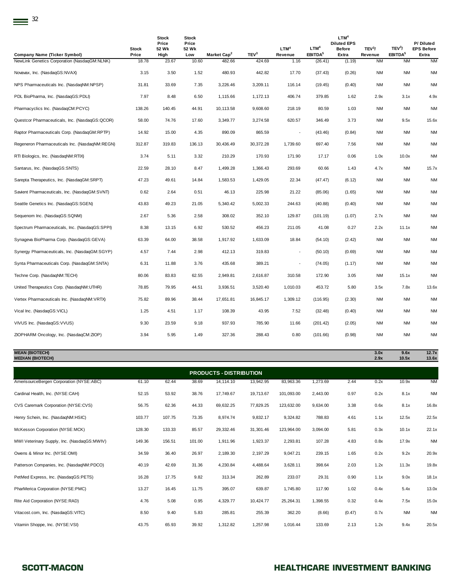| <b>Company Name (Ticker Symbol)</b>            | <b>Stock</b><br>Price | <b>Stock</b><br>Price<br>52 Wk<br>High | <b>Stock</b><br>Price<br>52 Wk<br>Low | Market Cap <sup>2</sup> | TEV <sup>3</sup> | LTM <sup>4</sup><br>Revenue | LTM <sup>4</sup><br>EBITDA <sup>5</sup> | LTM <sup>4</sup><br><b>Diluted EPS</b><br><b>Before</b><br>Extra | TEV <sup>3</sup> /<br>Revenue | TEV <sup>3</sup> /<br>EBITDA <sup>5</sup> | P/Diluted<br><b>EPS Before</b><br>Extra |
|------------------------------------------------|-----------------------|----------------------------------------|---------------------------------------|-------------------------|------------------|-----------------------------|-----------------------------------------|------------------------------------------------------------------|-------------------------------|-------------------------------------------|-----------------------------------------|
| NewLink Genetics Corporation (NasdaqGM:NLNK)   | 18.78                 | 23.67                                  | 10.60                                 | 482.66                  | 424.69           | 1.16                        | (26.41)                                 | (1.19)                                                           | <b>NM</b>                     | <b>NM</b>                                 | <b>NM</b>                               |
| Novavax, Inc. (NasdaqGS:NVAX)                  | 3.15                  | 3.50                                   | 1.52                                  | 480.93                  | 442.82           | 17.70                       | (37.43)                                 | (0.26)                                                           | <b>NM</b>                     | <b>NM</b>                                 | <b>NM</b>                               |
| NPS Pharmaceuticals Inc. (NasdaqNM:NPSP)       | 31.81                 | 33.69                                  | 7.35                                  | 3,226.46                | 3,209.11         | 116.14                      | (19.45)                                 | (0.40)                                                           | <b>NM</b>                     | <b>NM</b>                                 | <b>NM</b>                               |
| PDL BioPharma, Inc. (NasdaqGS:PDLI)            | 7.97                  | 8.48                                   | 6.50                                  | 1,115.66                | 1,172.13         | 406.74                      | 379.85                                  | 1.62                                                             | 2.9x                          | 3.1x                                      | 4.9x                                    |
| Pharmacyclics Inc. (NasdaqCM:PCYC)             | 138.26                | 140.45                                 | 44.91                                 | 10,113.58               | 9,608.60         | 218.19                      | 80.59                                   | 1.03                                                             | <b>NM</b>                     | <b>NM</b>                                 | <b>NM</b>                               |
| Questcor Pharmaceuticals, Inc. (NasdaqGS:QCOR) | 58.00                 | 74.76                                  | 17.60                                 | 3,349.77                | 3,274.58         | 620.57                      | 346.49                                  | 3.73                                                             | <b>NM</b>                     | 9.5x                                      | 15.6x                                   |
| Raptor Pharmaceuticals Corp. (NasdaqGM:RPTP)   | 14.92                 | 15.00                                  | 4.35                                  | 890.09                  | 865.59           |                             | (43.46)                                 | (0.84)                                                           | <b>NM</b>                     | <b>NM</b>                                 | <b>NM</b>                               |
| Regeneron Pharmaceuticals Inc. (NasdaqNM:REGN) | 312.87                | 319.83                                 | 136.13                                | 30,436.49               | 30,372.28        | 1,739.60                    | 697.40                                  | 7.56                                                             | <b>NM</b>                     | <b>NM</b>                                 | <b>NM</b>                               |
| RTI Biologics, Inc. (NasdaqNM:RTIX)            | 3.74                  | 5.11                                   | 3.32                                  | 210.29                  | 170.93           | 171.90                      | 17.17                                   | 0.06                                                             | 1.0x                          | 10.0x                                     | <b>NM</b>                               |
| Santarus, Inc. (NasdaqGS:SNTS)                 | 22.59                 | 28.10                                  | 8.47                                  | 1,499.28                | 1,366.43         | 293.69                      | 60.66                                   | 1.43                                                             | 4.7x                          | NM                                        | 15.7x                                   |
| Sarepta Therapeutics, Inc. (NasdaqGM:SRPT)     | 47.23                 | 49.61                                  | 14.84                                 | 1,583.53                | 1,429.05         | 22.34                       | (47.47)                                 | (6.12)                                                           | <b>NM</b>                     | <b>NM</b>                                 | <b>NM</b>                               |
| Savient Pharmaceuticals, Inc. (NasdaqGM:SVNT)  | 0.62                  | 2.64                                   | 0.51                                  | 46.13                   | 225.98           | 21.22                       | (85.06)                                 | (1.65)                                                           | <b>NM</b>                     | <b>NM</b>                                 | <b>NM</b>                               |
| Seattle Genetics Inc. (NasdaqGS:SGEN)          | 43.83                 | 49.23                                  | 21.05                                 | 5,340.42                | 5,002.33         | 244.63                      | (40.88)                                 | (0.40)                                                           | <b>NM</b>                     | <b>NM</b>                                 | <b>NM</b>                               |
| Sequenom Inc. (NasdaqGS:SQNM)                  | 2.67                  | 5.36                                   | 2.58                                  | 308.02                  | 352.10           | 129.87                      | (101.19)                                | (1.07)                                                           | 2.7x                          | <b>NM</b>                                 | <b>NM</b>                               |
| Spectrum Pharmaceuticals, Inc. (NasdaqGS:SPPI) | 8.38                  | 13.15                                  | 6.92                                  | 530.52                  | 456.23           | 211.05                      | 41.08                                   | 0.27                                                             | 2.2x                          | 11.1x                                     | <b>NM</b>                               |
| Synageva BioPharma Corp. (NasdaqGS:GEVA)       | 63.39                 | 64.00                                  | 38.58                                 | 1,917.92                | 1,633.09         | 18.84                       | (54.10)                                 | (2.42)                                                           | <b>NM</b>                     | <b>NM</b>                                 | <b>NM</b>                               |
| Synergy Pharmaceuticals, Inc. (NasdaqGM:SGYP)  | 4.57                  | 7.44                                   | 2.98                                  | 412.13                  | 319.83           | ÷,                          | (50.10)                                 | (0.69)                                                           | <b>NM</b>                     | <b>NM</b>                                 | <b>NM</b>                               |
| Synta Pharmaceuticals Corp. (NasdaqGM:SNTA)    | 6.31                  | 11.88                                  | 3.76                                  | 435.68                  | 389.21           |                             | (74.05)                                 | (1.17)                                                           | <b>NM</b>                     | <b>NM</b>                                 | <b>NM</b>                               |
| Techne Corp. (NasdaqNM:TECH)                   | 80.06                 | 83.83                                  | 62.55                                 | 2,949.81                | 2,616.87         | 310.58                      | 172.90                                  | 3.05                                                             | <b>NM</b>                     | 15.1x                                     | <b>NM</b>                               |
| United Therapeutics Corp. (NasdaqNM:UTHR)      | 78.85                 | 79.95                                  | 44.51                                 | 3,936.51                | 3,520.40         | 1,010.03                    | 453.72                                  | 5.80                                                             | 3.5x                          | 7.8x                                      | 13.6x                                   |
| Vertex Pharmaceuticals Inc. (NasdaqNM:VRTX)    | 75.82                 | 89.96                                  | 38.44                                 | 17,651.81               | 16,845.17        | 1,309.12                    | (116.95)                                | (2.30)                                                           | <b>NM</b>                     | <b>NM</b>                                 | <b>NM</b>                               |
| Vical Inc. (NasdaqGS:VICL)                     | 1.25                  | 4.51                                   | 1.17                                  | 108.39                  | 43.95            | 7.52                        | (32.48)                                 | (0.40)                                                           | <b>NM</b>                     | <b>NM</b>                                 | <b>NM</b>                               |
| VIVUS Inc. (NasdaqGS: VVUS)                    | 9.30                  | 23.59                                  | 9.18                                  | 937.93                  | 785.90           | 11.66                       | (201.42)                                | (2.05)                                                           | <b>NM</b>                     | <b>NM</b>                                 | <b>NM</b>                               |
| ZIOPHARM Oncology, Inc. (NasdaqCM:ZIOP)        | 3.94                  | 5.95                                   | 1.49                                  | 327.36                  | 288.43           | 0.80                        | (101.66)                                | (0.98)                                                           | <b>NM</b>                     | <b>NM</b>                                 | <b>NM</b>                               |
|                                                |                       |                                        |                                       |                         |                  |                             |                                         |                                                                  |                               |                                           |                                         |

**MEAN (BIOTECH) 3.0x 9.6x 12.7x MEDIAN (BIOTECH) 2.9x 10.5x 13.6x**

| <b>PRODUCTS - DISTRIBUTION</b>              |        |        |        |             |           |            |          |        |      |           |           |  |
|---------------------------------------------|--------|--------|--------|-------------|-----------|------------|----------|--------|------|-----------|-----------|--|
| AmerisourceBergen Corporation (NYSE:ABC)    | 61.10  | 62.44  | 38.69  | 14, 114. 10 | 13,942.95 | 83,963.36  | 1,273.69 | 2.44   | 0.2x | 10.9x     | <b>NM</b> |  |
| Cardinal Health, Inc. (NYSE:CAH)            | 52.15  | 53.92  | 38.76  | 17,749.67   | 19,713.67 | 101,093.00 | 2,443.00 | 0.97   | 0.2x | 8.1x      | <b>NM</b> |  |
| CVS Caremark Corporation (NYSE:CVS)         | 56.75  | 62.36  | 44.33  | 69,632.25   | 77,829.25 | 123,632.00 | 9,634.00 | 3.38   | 0.6x | 8.1x      | 16.8x     |  |
| Henry Schein, Inc. (NasdaqNM:HSIC)          | 103.77 | 107.75 | 73.35  | 8,974.74    | 9,832.17  | 9,324.82   | 788.83   | 4.61   | 1.1x | 12.5x     | 22.5x     |  |
| McKesson Corporation (NYSE:MCK)             | 128.30 | 133.33 | 85.57  | 29,332.46   | 31,301.46 | 123,964.00 | 3,094.00 | 5.81   | 0.3x | 10.1x     | 22.1x     |  |
| MWI Veterinary Supply, Inc. (NasdaqGS:MWIV) | 149.36 | 156.51 | 101.00 | 1,911.96    | 1,923.37  | 2,293.81   | 107.28   | 4.83   | 0.8x | 17.9x     | <b>NM</b> |  |
| Owens & Minor Inc. (NYSE:OMI)               | 34.59  | 36.40  | 26.97  | 2,189.30    | 2,197.29  | 9,047.21   | 239.15   | 1.65   | 0.2x | 9.2x      | 20.9x     |  |
| Patterson Companies, Inc. (NasdaqNM:PDCO)   | 40.19  | 42.69  | 31.36  | 4,230.84    | 4,488.64  | 3,628.11   | 398.64   | 2.03   | 1.2x | 11.3x     | 19.8x     |  |
| PetMed Express, Inc. (NasdaqGS:PETS)        | 16.28  | 17.75  | 9.82   | 313.34      | 262.89    | 233.07     | 29.31    | 0.90   | 1.1x | 9.0x      | 18.1x     |  |
| PharMerica Corporation (NYSE:PMC)           | 13.27  | 16.45  | 11.75  | 395.07      | 639.87    | 1,745.80   | 117.90   | 1.02   | 0.4x | 5.4x      | 13.0x     |  |
| Rite Aid Corporation (NYSE:RAD)             | 4.76   | 5.08   | 0.95   | 4,329.77    | 10,424.77 | 25,264.31  | 1,398.55 | 0.32   | 0.4x | 7.5x      | 15.0x     |  |
| Vitacost.com, Inc. (NasdaqGS:VITC)          | 8.50   | 9.40   | 5.83   | 285.81      | 255.39    | 362.20     | (8.66)   | (0.47) | 0.7x | <b>NM</b> | <b>NM</b> |  |
| Vitamin Shoppe, Inc. (NYSE:VSI)             | 43.75  | 65.93  | 39.92  | 1,312.82    | 1,257.98  | 1,016.44   | 133.69   | 2.13   | 1.2x | 9.4x      | 20.5x     |  |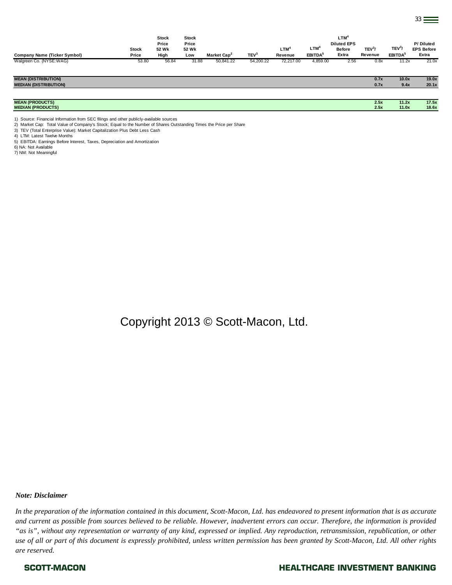| <b>Company Name (Ticker Symbol)</b> | <b>Stock</b><br>Price | <b>Stock</b><br>Price<br>52 Wk<br>High | <b>Stock</b><br>Price<br>52 Wk<br>Low | Market Cap <sup>2</sup> | TEV <sup>3</sup> | LTM <sup>4</sup><br>Revenue | LTM <sup>4</sup><br>EBITDA <sup>5</sup> | LTM <sup>4</sup><br><b>Diluted EPS</b><br><b>Before</b><br>Extra | TEV <sup>3</sup> /<br>Revenue | TEV <sup>3</sup> /<br>EBITDA <sup>5</sup> | P/Diluted<br><b>EPS Before</b><br>Extra |
|-------------------------------------|-----------------------|----------------------------------------|---------------------------------------|-------------------------|------------------|-----------------------------|-----------------------------------------|------------------------------------------------------------------|-------------------------------|-------------------------------------------|-----------------------------------------|
| Walgreen Co. (NYSE:WAG)             | 53.80                 | 56.84                                  | 31.88                                 | 50,841.22               | 54,200.22        | 72,217.00                   | 4,859.00                                | 2.56                                                             | 0.8x                          | 11.2x                                     | 21.0x                                   |
|                                     |                       |                                        |                                       |                         |                  |                             |                                         |                                                                  |                               |                                           |                                         |
| <b>MEAN (DISTRIBUTION)</b>          |                       |                                        |                                       |                         |                  |                             |                                         |                                                                  | 0.7x                          | 10.0x                                     | 19.0x                                   |
| <b>MEDIAN (DISTRIBUTION)</b>        |                       |                                        |                                       |                         |                  |                             |                                         |                                                                  | 0.7x                          | 9.4x                                      | 20.1x                                   |
|                                     |                       |                                        |                                       |                         |                  |                             |                                         |                                                                  |                               |                                           |                                         |
| <b>MEAN (PRODUCTS)</b>              |                       |                                        |                                       |                         |                  |                             |                                         |                                                                  | 2.5x                          | 11.2x                                     | 17.5x                                   |
| <b>MEDIAN (PRODUCTS)</b>            |                       |                                        |                                       |                         |                  |                             |                                         |                                                                  | 2.5x                          | 11.0x                                     | 18.6x                                   |

1) Source: Financial Information from SEC filings and other publicly-available sources

2) Market Cap: Total Value of Company's Stock; Equal to the Number of Shares Outstanding Times the Price per Share

3) TEV (Total Enterprise Value): Market Capitalization Plus Debt Less Cash

4) LTM: Latest Twelve Months

5) EBITDA: Earnings Before Interest, Taxes, Depreciation and Amortization

6) NA: Not Available

7) NM: Not Meaningful

Copyright 2013 © Scott-Macon, Ltd.

### *Note: Disclaimer*

*In the preparation of the information contained in this document, Scott-Macon, Ltd. has endeavored to present information that is as accurate and current as possible from sources believed to be reliable. However, inadvertent errors can occur. Therefore, the information is provided "as is", without any representation or warranty of any kind, expressed or implied. Any reproduction, retransmission, republication, or other use of all or part of this document is expressly prohibited, unless written permission has been granted by Scott-Macon, Ltd. All other rights are reserved.*